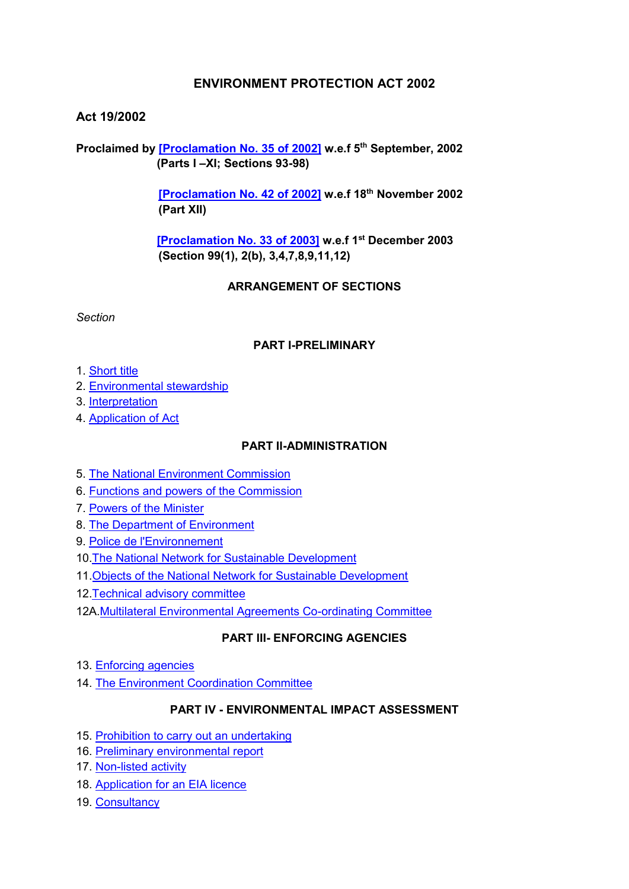# **ENVIRONMENT PROTECTION ACT 2002**

# **Act 19/2002**

**Proclaimed by [\[Proclamation No. 35 of 2002\]](https://supremecourt.govmu.org/get-doc-link/Proclamation_No._35_of_2002) w.e.f 5th September, 2002 (Parts I –XI; Sections 93-98)**

> **[\[Proclamation No. 42 of 2002\]](https://supremecourt.govmu.org/get-doc-link/Proclamation_No._42_of_2002) w.e.f 18th November 2002 (Part XII)**

 **[\[Proclamation No. 33 of 2003\]](https://supremecourt.govmu.org/get-doc-link/Proclamation_No._33_of_2003) w.e.f 1st December 2003 (Section 99(1), 2(b), 3,4,7,8,9,11,12)**

### **ARRANGEMENT OF SECTIONS**

*Section* 

### **PART I-PRELIMINARY**

- 1. [Short title](#page-3-0)
- 2. [Environmental stewardship](#page-3-1)
- 3. [Interpretation](#page-4-0)
- 4. [Application of Act](#page-10-0)

### **PART II-ADMINISTRATION**

- 5. [The National Environment Commission](#page-10-1)
- 6. [Functions and powers of the Commission](#page-10-2)
- 7. [Powers of the Minister](#page-11-0)
- 8. [The Department of Environment](#page-12-0)
- 9. [Police de l'Environnement](#page-13-0)
- 10[.The National Network for Sustainable Development](#page-13-1)
- 11.Objects [of the National Network for Sustainable Development](#page-13-2)
- 12[.Technical advisory committee](#page-14-0)
- 12A[.Multilateral Environmental Agreements Co-ordinating Committee](#page-14-0)

# **PART III- ENFORCING AGENCIES**

- 13. [Enforcing agencies](#page-16-0)
- 14. [The Environment Coordination Committee](#page-17-0)

### **PART IV - ENVIRONMENTAL IMPACT ASSESSMENT**

- 15. [Prohibition to carry out an undertaking](#page-18-0)
- 16. [Preliminary environmental report](#page-19-0)
- 17. [Non-listed activity](#page-22-0)
- 18. [Application for an EIA licence](#page-23-0)
- 19. [Consultancy](#page-25-0)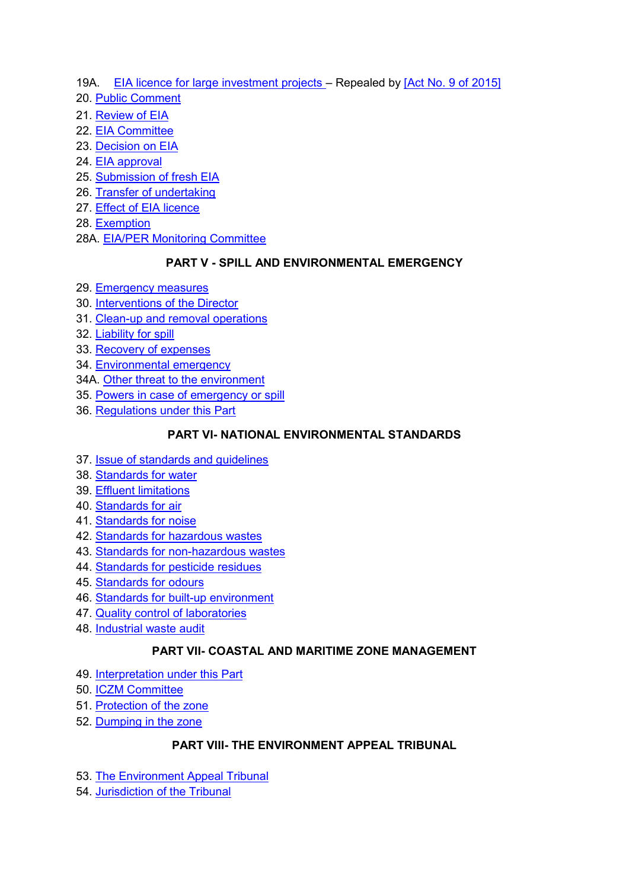- 19A. [EIA licence for large investment projects](../../../../../../../library/My%20Documents/library%20shared/ACTS/Updated%20&%20All%20Acts/Updated%20Acts/s/THE%20STATISTICS%20ACT%202000.doc#b14)  Repealed b[y \[Act No. 9 of 2015\]](https://supremecourt.govmu.org/get-doc-link/Act_No._9_of_2015)
- 20. [Public Comment](#page-25-1)
- 21. [Review of EIA](#page-26-0)
- 22. [EIA Committee](#page-27-0)
- 23. [Decision on EIA](#page-28-0)
- 24. [EIA approval](#page-29-0)
- 25. [Submission of fresh EIA](#page-31-0)
- 26. [Transfer of undertaking](#page-31-1)
- 27. [Effect of EIA licence](#page-32-0)
- 28. [Exemption](#page-32-1)
- 28A. [EIA/PER Monitoring Committee](#page-32-1)

# **PART V - SPILL AND ENVIRONMENTAL EMERGENCY**

- 29. [Emergency measures](#page-34-0)
- 30. [Interventions of the Director](#page-35-0)
- 31. [Clean-up and removal operations](#page-35-1)
- 32. [Liability for spill](#page-36-0)
- 33. [Recovery of expenses](#page-36-1)
- 34. [Environmental emergency](#page-36-2)
- 34A. [Other threat to the environment](#page-36-2)
- 35. [Powers in case of emergency or spill](#page-37-0)
- 36. [Regulations under this Part](#page-38-0)

# **PART VI- NATIONAL ENVIRONMENTAL STANDARDS**

- 37. [Issue of standards and guidelines](#page-38-1)
- 38. [Standards for water](#page-39-0)
- 39. [Effluent limitations](#page-39-1)
- 40. [Standards for air](#page-40-0)
- 41. [Standards for noise](#page-40-1)
- 42. [Standards for hazardous wastes](#page-40-2)
- 43. [Standards for non-hazardous wastes](#page-41-0)
- 44. [Standards for pesticide residues](#page-41-1)
- 45. [Standards for odours](#page-41-2)
- 46. [Standards for built-up environment](#page-41-3)
- 47. [Quality control of laboratories](#page-42-0)
- 48. [Industrial waste audit](#page-42-1)

# **PART VII- COASTAL AND MARITIME ZONE MANAGEMENT**

- 49. [Interpretation under this Part](#page-42-2)
- 50. [ICZM Committee](#page-43-0)
- 51. [Protection of the zone](#page-44-0)
- 52. [Dumping in the zone](#page-45-0)

# **PART VIII- THE ENVIRONMENT APPEAL TRIBUNAL**

- 53. The Environment Appeal Tribunal
- 54. Jurisdiction of the Tribunal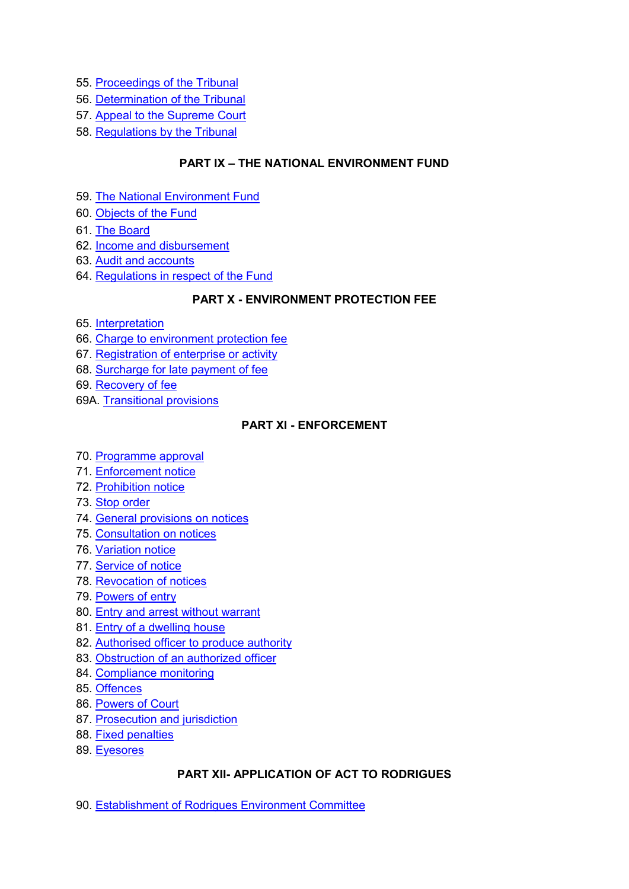- 55. [Proceedings of the Tribunal](#page-46-0)
- 56. Determination of the Tribunal
- 57. Appeal to the Supreme Court
- 58. Regulations by the Tribunal

### **PART IX – THE NATIONAL ENVIRONMENT FUND**

- 59. [The National Environment Fund](#page-46-1)
- 60. [Objects of the Fund](#page-47-0)
- 61. [The Board](#page-48-0)
- 62. [Income and disbursement](#page-49-0)
- 63. [Audit and accounts](#page-49-1)
- 64. [Regulations in respect of the Fund](#page-50-0)

# **PART X - ENVIRONMENT PROTECTION FEE**

- 65. [Interpretation](#page-50-1)
- 66. [Charge to environment protection fee](#page-51-0)
- 67. [Registration of enterprise or activity](#page-52-0)
- 68. Surcharge for late payment of fee
- 69. Recovery of fee
- 69A. [Transitional provisions](#page-53-0)

### **PART XI - ENFORCEMENT**

- 70. [Programme approval](#page-55-0)
- 71. [Enforcement notice](#page-56-0)
- 72. [Prohibition notice](#page-57-0)
- 73. [Stop order](#page-58-0)
- 74. [General provisions on notices](#page-58-1)
- 75. [Consultation on notices](#page-58-2)
- 76. [Variation notice](#page-59-0)
- 77. [Service of notice](#page-59-1)
- 78. [Revocation of notices](#page-59-2)
- 79. [Powers of entry](#page-60-0)
- 80. [Entry and arrest without warrant](#page-61-0)
- 81. [Entry of a dwelling house](#page-61-1)
- 82. [Authorised officer to produce authority](#page-62-0)
- 83. [Obstruction of an authorized officer](#page-62-1)
- 84. [Compliance monitoring](#page-62-2)
- 85. [Offences](#page-63-0)
- 86. [Powers of Court](#page-64-0)
- 87. [Prosecution and jurisdiction](#page-64-1)
- 88. [Fixed penalties](#page-65-0)
- 89. Eyesores

# **PART XII- APPLICATION OF ACT TO RODRIGUES**

90. [Establishment of Rodrigues Environment Committee](#page-67-0)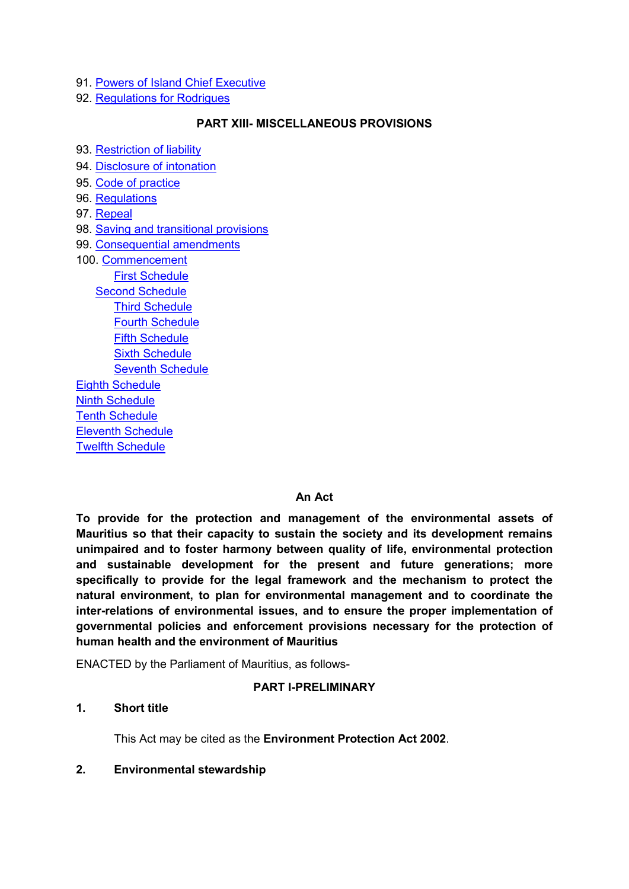- 91. [Powers of Island Chief Executive](#page-68-0)
- 92. [Regulations for Rodrigues](#page-68-1)

### **PART XIII- MISCELLANEOUS PROVISIONS**

93. [Restriction of liability](#page-69-0)

- 94. [Disclosure of intonation](#page-69-1)
- 95. [Code of practice](#page-69-2)
- 96. Regulations
- 97. [Repeal](#page-70-0)
- 98. [Saving and transitional provisions](#page-71-0)
- 99. [Consequential amendments](#page-72-0)
- 100. [Commencement](#page-77-0) First Schedule [Second Schedule](#page-78-0) [Third Schedule](#page-78-1) [Fourth Schedule](#page-80-0) Fifth Schedule [Sixth Schedule](#page-85-0) [Seventh Schedule](#page-86-0) [Eighth Schedule](#page-86-0) [Ninth Schedule](#page-86-0) [Tenth Schedule](#page-86-0) [Eleventh Schedule](#page-86-0) [Twelfth Schedule](#page-86-0)

#### **An Act**

**To provide for the protection and management of the environmental assets of Mauritius so that their capacity to sustain the society and its development remains unimpaired and to foster harmony between quality of life, environmental protection and sustainable development for the present and future generations; more specifically to provide for the legal framework and the mechanism to protect the natural environment, to plan for environmental management and to coordinate the inter-relations of environmental issues, and to ensure the proper implementation of governmental policies and enforcement provisions necessary for the protection of human health and the environment of Mauritius** 

ENACTED by the Parliament of Mauritius, as follows-

#### **PART I-PRELIMINARY**

#### <span id="page-3-0"></span>**1. Short title**

This Act may be cited as the **Environment Protection Act 2002**.

#### <span id="page-3-1"></span>**2. Environmental stewardship**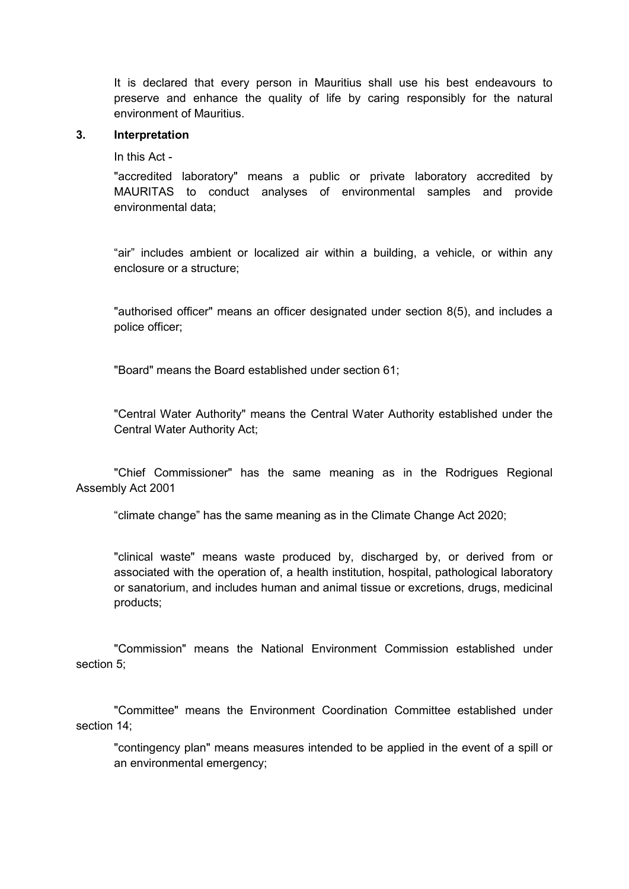It is declared that every person in Mauritius shall use his best endeavours to preserve and enhance the quality of life by caring responsibly for the natural environment of Mauritius.

#### <span id="page-4-0"></span>**3. Interpretation**

In this Act -

"accredited laboratory" means a public or private laboratory accredited by MAURITAS to conduct analyses of environmental samples and provide environmental data;

"air" includes ambient or localized air within a building, a vehicle, or within any enclosure or a structure;

"authorised officer" means an officer designated under section 8(5), and includes a police officer;

"Board" means the Board established under section 61;

"Central Water Authority" means the Central Water Authority established under the Central Water Authority Act;

"Chief Commissioner" has the same meaning as in the Rodrigues Regional Assembly Act 2001

"climate change" has the same meaning as in the Climate Change Act 2020;

"clinical waste" means waste produced by, discharged by, or derived from or associated with the operation of, a health institution, hospital, pathological laboratory or sanatorium, and includes human and animal tissue or excretions, drugs, medicinal products;

"Commission" means the National Environment Commission established under section 5;

"Committee" means the Environment Coordination Committee established under section 14;

"contingency plan" means measures intended to be applied in the event of a spill or an environmental emergency;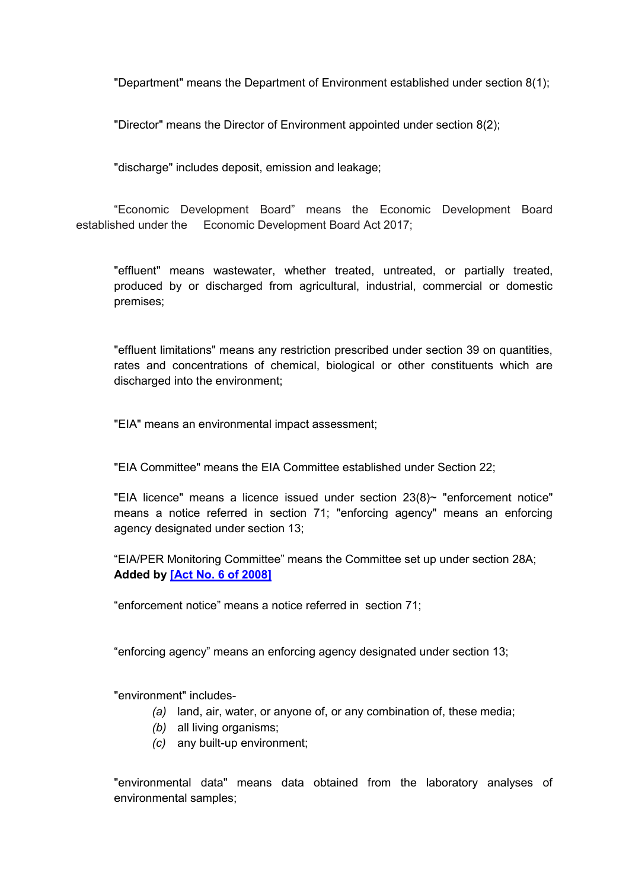"Department" means the Department of Environment established under section 8(1);

"Director" means the Director of Environment appointed under section 8(2);

"discharge" includes deposit, emission and leakage;

"Economic Development Board" means the Economic Development Board established under the Economic Development Board Act 2017;

"effluent" means wastewater, whether treated, untreated, or partially treated, produced by or discharged from agricultural, industrial, commercial or domestic premises;

"effluent limitations" means any restriction prescribed under section 39 on quantities, rates and concentrations of chemical, biological or other constituents which are discharged into the environment;

"EIA" means an environmental impact assessment;

"EIA Committee" means the EIA Committee established under Section 22;

"EIA licence" means a licence issued under section  $23(8)$ ~ "enforcement notice" means a notice referred in section 71; "enforcing agency" means an enforcing agency designated under section 13;

"EIA/PER Monitoring Committee" means the Committee set up under section 28A; **Added by [\[Act No. 6 of 2008\]](https://supremecourt.govmu.org/get-doc-link/Act_No._6_of_2008)**

"enforcement notice" means a notice referred in section 71;

"enforcing agency" means an enforcing agency designated under section 13;

"environment" includes-

- *(a)* land, air, water, or anyone of, or any combination of, these media;
- *(b)* all living organisms;
- *(c)* any built-up environment;

"environmental data" means data obtained from the laboratory analyses of environmental samples;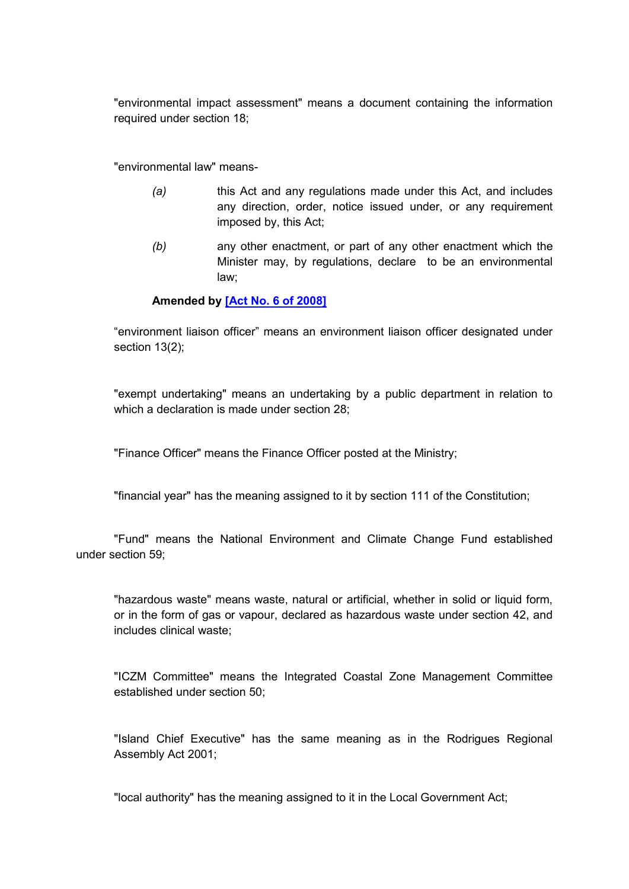"environmental impact assessment" means a document containing the information required under section 18;

"environmental law" means-

- *(a)* this Act and any regulations made under this Act, and includes any direction, order, notice issued under, or any requirement imposed by, this Act;
- *(b)* any other enactment, or part of any other enactment which the Minister may, by regulations, declare to be an environmental law;

### **Amended by [\[Act No. 6 of 2008\]](https://supremecourt.govmu.org/get-doc-link/Act_No._6_of_2008)**

"environment liaison officer" means an environment liaison officer designated under section 13(2);

"exempt undertaking" means an undertaking by a public department in relation to which a declaration is made under section 28:

"Finance Officer" means the Finance Officer posted at the Ministry;

"financial year" has the meaning assigned to it by section 111 of the Constitution;

"Fund" means the National Environment and Climate Change Fund established under section 59;

"hazardous waste" means waste, natural or artificial, whether in solid or liquid form, or in the form of gas or vapour, declared as hazardous waste under section 42, and includes clinical waste;

"ICZM Committee" means the Integrated Coastal Zone Management Committee established under section 50;

"Island Chief Executive" has the same meaning as in the Rodrigues Regional Assembly Act 2001;

"local authority" has the meaning assigned to it in the Local Government Act;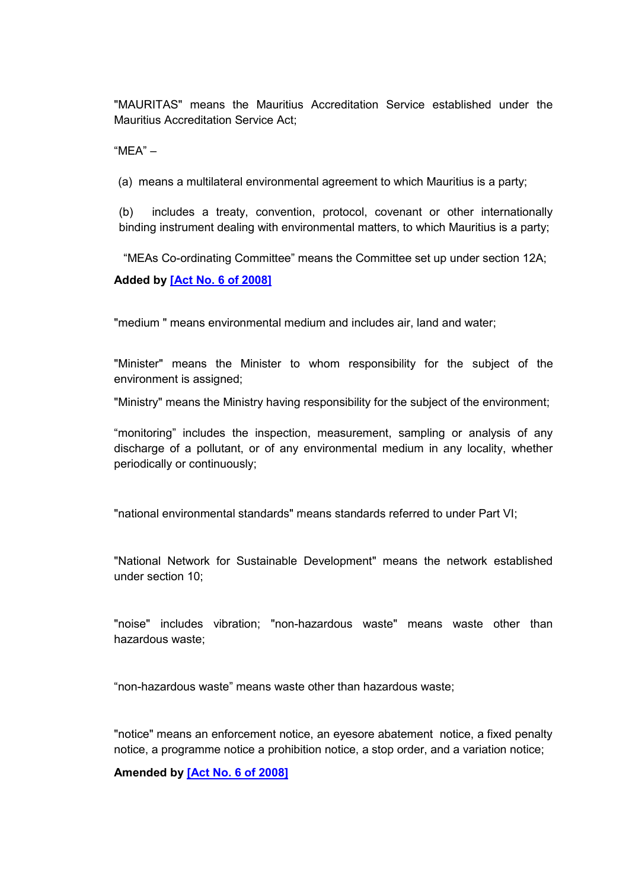"MAURITAS" means the Mauritius Accreditation Service established under the Mauritius Accreditation Service Act;

"MEA" –

(a) means a multilateral environmental agreement to which Mauritius is a party;

(b) includes a treaty, convention, protocol, covenant or other internationally binding instrument dealing with environmental matters, to which Mauritius is a party;

"MEAs Co-ordinating Committee" means the Committee set up under section 12A;

#### **Added by [\[Act No. 6 of 2008\]](https://supremecourt.govmu.org/get-doc-link/Act_No._6_of_2008)**

"medium " means environmental medium and includes air, land and water;

"Minister" means the Minister to whom responsibility for the subject of the environment is assigned;

"Ministry" means the Ministry having responsibility for the subject of the environment;

"monitoring" includes the inspection, measurement, sampling or analysis of any discharge of a pollutant, or of any environmental medium in any locality, whether periodically or continuously;

"national environmental standards" means standards referred to under Part VI;

"National Network for Sustainable Development" means the network established under section 10;

"noise" includes vibration; "non-hazardous waste" means waste other than hazardous waste;

"non-hazardous waste" means waste other than hazardous waste;

"notice" means an enforcement notice, an eyesore abatement notice, a fixed penalty notice, a programme notice a prohibition notice, a stop order, and a variation notice;

**Amended by [\[Act No. 6 of 2008\]](https://supremecourt.govmu.org/get-doc-link/Act_No._6_of_2008)**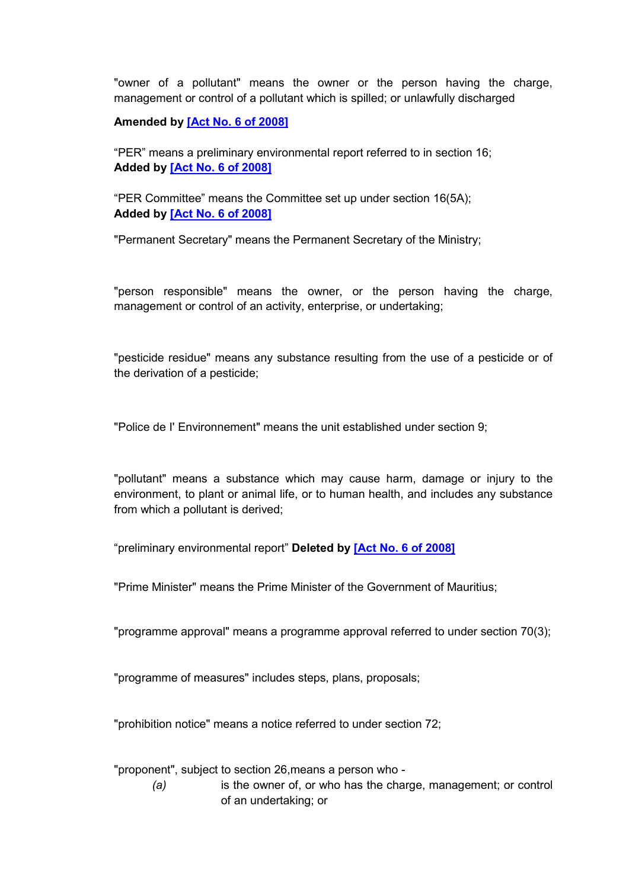"owner of a pollutant" means the owner or the person having the charge, management or control of a pollutant which is spilled; or unlawfully discharged

### **Amended by [\[Act No. 6 of 2008\]](https://supremecourt.govmu.org/get-doc-link/Act_No._6_of_2008)**

"PER" means a preliminary environmental report referred to in section 16; **Added by [\[Act No. 6 of 2008\]](https://supremecourt.govmu.org/get-doc-link/Act_No._6_of_2008)**

"PER Committee" means the Committee set up under section 16(5A); **Added by [\[Act No. 6 of 2008\]](https://supremecourt.govmu.org/get-doc-link/Act_No._6_of_2008)**

"Permanent Secretary" means the Permanent Secretary of the Ministry;

"person responsible" means the owner, or the person having the charge, management or control of an activity, enterprise, or undertaking;

"pesticide residue" means any substance resulting from the use of a pesticide or of the derivation of a pesticide;

"Police de I' Environnement" means the unit established under section 9;

"pollutant" means a substance which may cause harm, damage or injury to the environment, to plant or animal life, or to human health, and includes any substance from which a pollutant is derived;

"preliminary environmental report" **Deleted by [\[Act No. 6 of 2008\]](https://supremecourt.govmu.org/get-doc-link/Act_No._6_of_2008)**

"Prime Minister" means the Prime Minister of the Government of Mauritius;

"programme approval" means a programme approval referred to under section 70(3);

"programme of measures" includes steps, plans, proposals;

"prohibition notice" means a notice referred to under section 72;

"proponent", subject to section 26,means a person who -

*(a)* is the owner of, or who has the charge, management; or control of an undertaking; or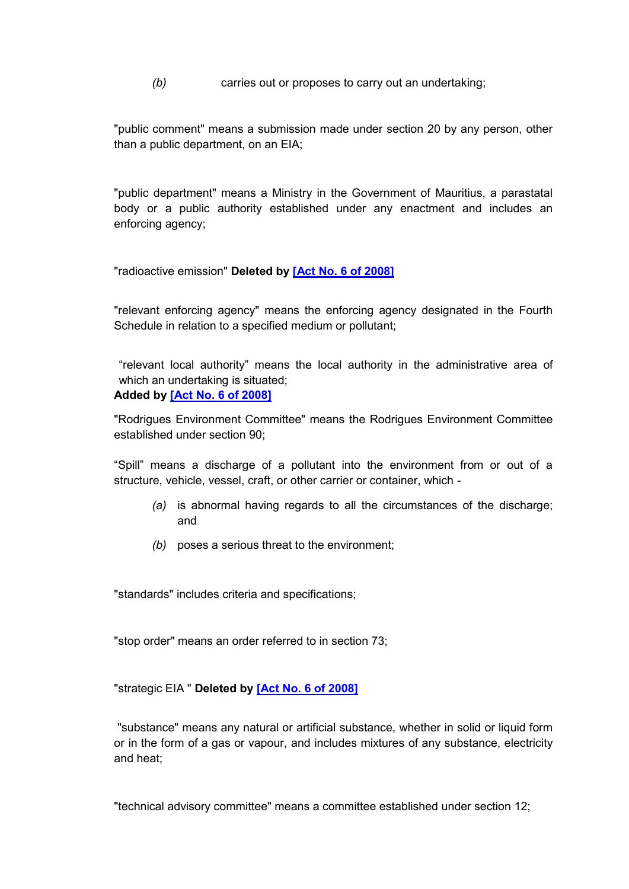*(b)* carries out or proposes to carry out an undertaking;

"public comment" means a submission made under section 20 by any person, other than a public department, on an EIA;

"public department" means a Ministry in the Government of Mauritius, a parastatal body or a public authority established under any enactment and includes an enforcing agency;

"radioactive emission" **Deleted by [\[Act No. 6 of 2008\]](https://supremecourt.govmu.org/get-doc-link/Act_No._6_of_2008)**

"relevant enforcing agency" means the enforcing agency designated in the Fourth Schedule in relation to a specified medium or pollutant;

"relevant local authority" means the local authority in the administrative area of which an undertaking is situated; **Added by [\[Act No. 6 of 2008\]](https://supremecourt.govmu.org/get-doc-link/Act_No._6_of_2008)**

"Rodrigues Environment Committee" means the Rodrigues Environment Committee established under section 90;

"Spill" means a discharge of a pollutant into the environment from or out of a structure, vehicle, vessel, craft, or other carrier or container, which -

- *(a)* is abnormal having regards to all the circumstances of the discharge; and
- *(b)* poses a serious threat to the environment;

"standards" includes criteria and specifications;

"stop order" means an order referred to in section 73;

"strategic EIA " **Deleted by [\[Act No. 6 of 2008\]](https://supremecourt.govmu.org/get-doc-link/Act_No._6_of_2008)**

"substance" means any natural or artificial substance, whether in solid or liquid form or in the form of a gas or vapour, and includes mixtures of any substance, electricity and heat;

"technical advisory committee" means a committee established under section 12;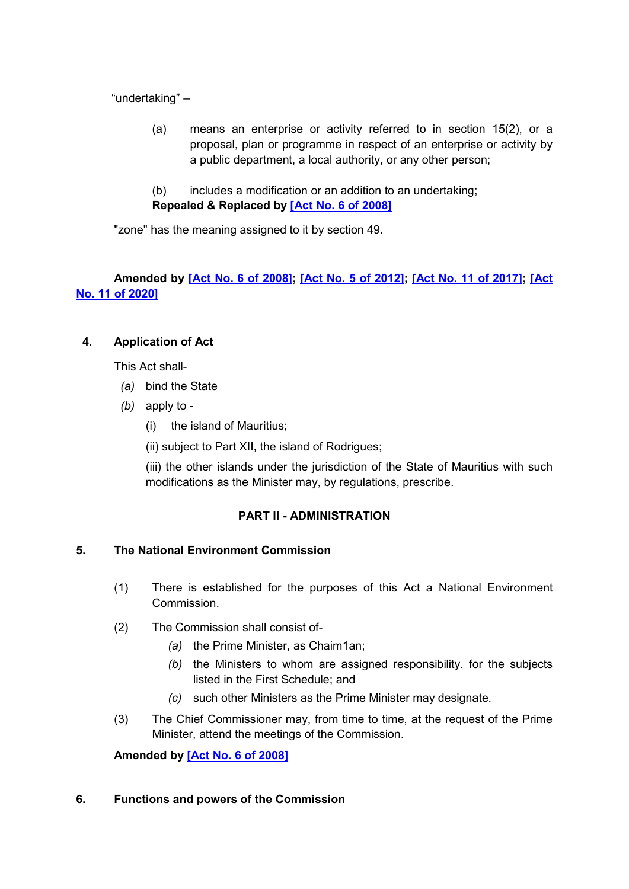"undertaking" –

- (a) means an enterprise or activity referred to in section 15(2), or a proposal, plan or programme in respect of an enterprise or activity by a public department, a local authority, or any other person;
- (b) includes a modification or an addition to an undertaking;
- **Repealed & Replaced by [\[Act No. 6 of 2008\]](https://supremecourt.govmu.org/get-doc-link/Act_No._6_of_2008)**

"zone" has the meaning assigned to it by section 49.

**Amended by [\[Act No. 6 of 2008\];](https://supremecourt.govmu.org/get-doc-link/Act_No._6_of_2008) [\[Act No. 5 of 2012\];](https://supremecourt.govmu.org/get-doc-link/Act_No._5_of_2012) [\[Act No. 11 of 2017\];](https://supremecourt.govmu.org/get-doc-link/Act_No._11_of_2017) [\[Act](https://supremecourt.govmu.org/get-doc-link/Act_No._11_of_2020)  [No. 11 of 2020\]](https://supremecourt.govmu.org/get-doc-link/Act_No._11_of_2020)**

# <span id="page-10-0"></span>**4. Application of Act**

This Act shall-

- *(a)* bind the State
- *(b)* apply to
	- (i) the island of Mauritius;

(ii) subject to Part XII, the island of Rodrigues;

(iii) the other islands under the jurisdiction of the State of Mauritius with such modifications as the Minister may, by regulations, prescribe.

# **PART II - ADMINISTRATION**

# <span id="page-10-1"></span>**5. The National Environment Commission**

- (1) There is established for the purposes of this Act a National Environment Commission.
- (2) The Commission shall consist of-
	- *(a)* the Prime Minister, as Chaim1an;
	- *(b)* the Ministers to whom are assigned responsibility. for the subjects listed in the First Schedule; and
	- *(c)* such other Ministers as the Prime Minister may designate.
- (3) The Chief Commissioner may, from time to time, at the request of the Prime Minister, attend the meetings of the Commission.

**Amended by [\[Act No. 6 of 2008\]](https://supremecourt.govmu.org/get-doc-link/Act_No._6_of_2008)**

### <span id="page-10-2"></span>**6. Functions and powers of the Commission**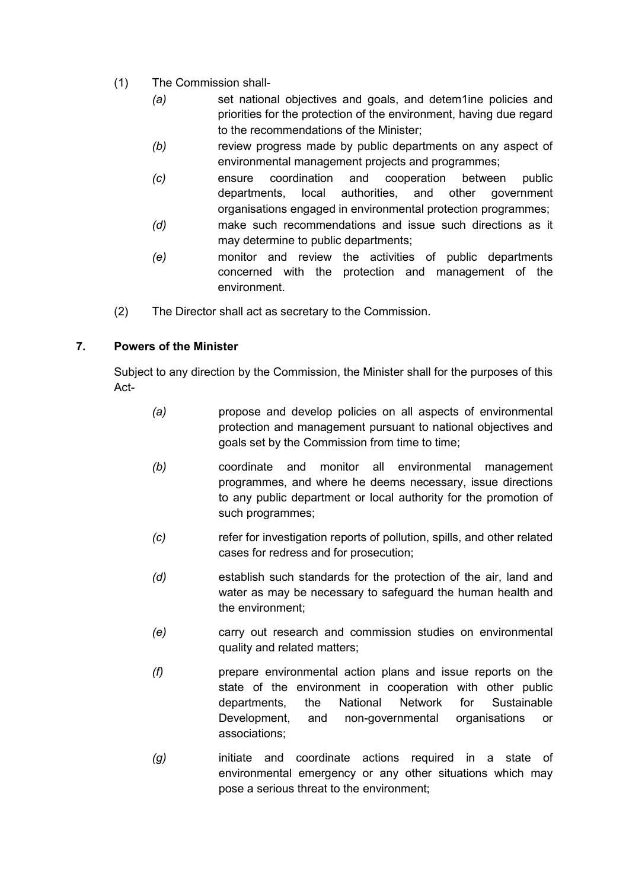- (1) The Commission shall-
	- *(a)* set national objectives and goals, and detem1ine policies and priorities for the protection of the environment, having due regard to the recommendations of the Minister;
	- *(b)* review progress made by public departments on any aspect of environmental management projects and programmes;
	- *(c)* ensure coordination and cooperation between public departments, local authorities, and other government organisations engaged in environmental protection programmes;
	- *(d)* make such recommendations and issue such directions as it may determine to public departments;
	- *(e)* monitor and review the activities of public departments concerned with the protection and management of the environment.
- (2) The Director shall act as secretary to the Commission.

# <span id="page-11-0"></span>**7. Powers of the Minister**

Subject to any direction by the Commission, the Minister shall for the purposes of this Act-

- *(a)* propose and develop policies on all aspects of environmental protection and management pursuant to national objectives and goals set by the Commission from time to time;
- *(b)* coordinate and monitor all environmental management programmes, and where he deems necessary, issue directions to any public department or local authority for the promotion of such programmes;
- *(c)* refer for investigation reports of pollution, spills, and other related cases for redress and for prosecution;
- *(d)* establish such standards for the protection of the air, land and water as may be necessary to safeguard the human health and the environment;
- *(e)* carry out research and commission studies on environmental quality and related matters;
- *(f)* prepare environmental action plans and issue reports on the state of the environment in cooperation with other public departments, the National Network for Sustainable Development, and non-governmental organisations or associations;
- *(g)* initiate and coordinate actions required in a state of environmental emergency or any other situations which may pose a serious threat to the environment;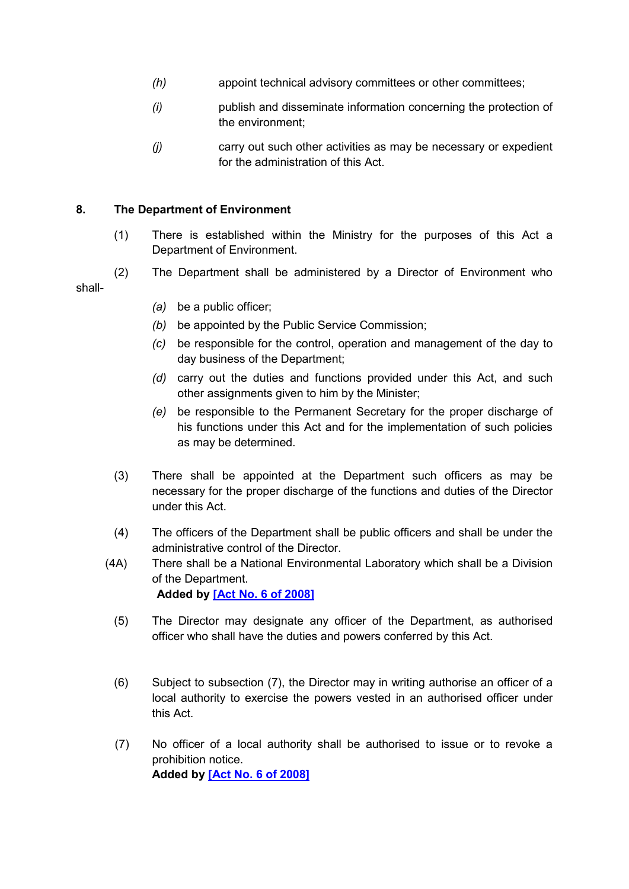- *(h)* appoint technical advisory committees or other committees;
- *(i)* publish and disseminate information concerning the protection of the environment;
- *(j)* carry out such other activities as may be necessary or expedient for the administration of this Act.

### <span id="page-12-0"></span>**8. The Department of Environment**

- (1) There is established within the Ministry for the purposes of this Act a Department of Environment.
- (2) The Department shall be administered by a Director of Environment who shall-
	- *(a)* be a public officer;
	- *(b)* be appointed by the Public Service Commission;
	- *(c)* be responsible for the control, operation and management of the day to day business of the Department;
	- *(d)* carry out the duties and functions provided under this Act, and such other assignments given to him by the Minister;
	- *(e)* be responsible to the Permanent Secretary for the proper discharge of his functions under this Act and for the implementation of such policies as may be determined.
	- (3) There shall be appointed at the Department such officers as may be necessary for the proper discharge of the functions and duties of the Director under this Act.
	- (4) The officers of the Department shall be public officers and shall be under the administrative control of the Director.
	- (4A) There shall be a National Environmental Laboratory which shall be a Division of the Department. **Added by [\[Act No. 6 of 2008\]](https://supremecourt.govmu.org/get-doc-link/Act_No._6_of_2008)**
		- (5) The Director may designate any officer of the Department, as authorised officer who shall have the duties and powers conferred by this Act.
		- (6) Subject to subsection (7), the Director may in writing authorise an officer of a local authority to exercise the powers vested in an authorised officer under this Act.
		- (7) No officer of a local authority shall be authorised to issue or to revoke a prohibition notice. **Added by [\[Act No. 6 of 2008\]](https://supremecourt.govmu.org/get-doc-link/Act_No._6_of_2008)**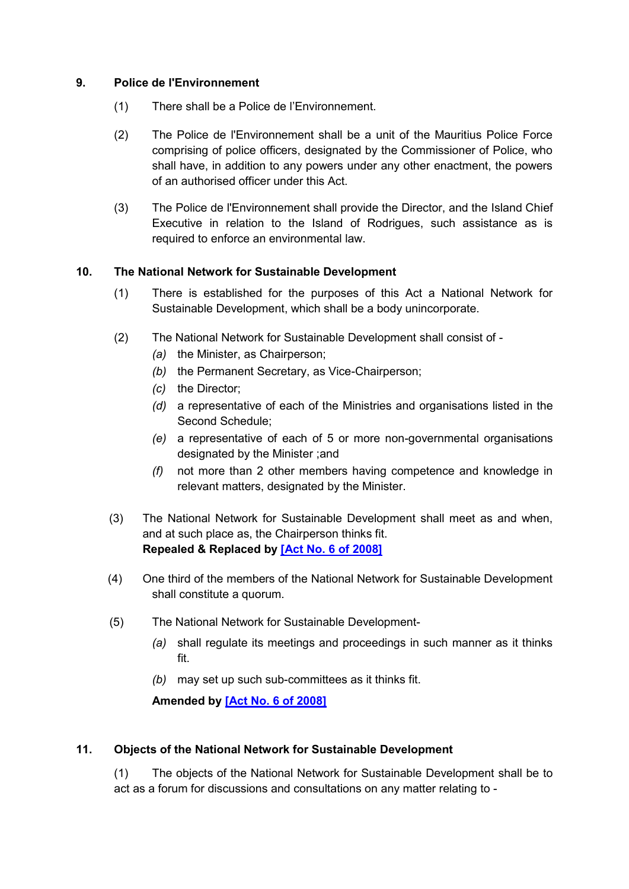### <span id="page-13-0"></span>**9. Police de l'Environnement**

- (1) There shall be a Police de l'Environnement.
- (2) The Police de l'Environnement shall be a unit of the Mauritius Police Force comprising of police officers, designated by the Commissioner of Police, who shall have, in addition to any powers under any other enactment, the powers of an authorised officer under this Act.
- (3) The Police de l'Environnement shall provide the Director, and the Island Chief Executive in relation to the Island of Rodrigues, such assistance as is required to enforce an environmental law.

### <span id="page-13-1"></span>**10. The National Network for Sustainable Development**

- (1) There is established for the purposes of this Act a National Network for Sustainable Development, which shall be a body unincorporate.
- (2) The National Network for Sustainable Development shall consist of
	- *(a)* the Minister, as Chairperson;
	- *(b)* the Permanent Secretary, as Vice-Chairperson;
	- *(c)* the Director;
	- *(d)* a representative of each of the Ministries and organisations listed in the Second Schedule;
	- *(e)* a representative of each of 5 or more non-governmental organisations designated by the Minister ;and
	- *(f)* not more than 2 other members having competence and knowledge in relevant matters, designated by the Minister.
- (3) The National Network for Sustainable Development shall meet as and when, and at such place as, the Chairperson thinks fit. **Repealed & Replaced by [\[Act No. 6 of 2008\]](https://supremecourt.govmu.org/get-doc-link/Act_No._6_of_2008)**
- (4) One third of the members of the National Network for Sustainable Development shall constitute a quorum.
- (5) The National Network for Sustainable Development-
	- *(a)* shall regulate its meetings and proceedings in such manner as it thinks fit.
	- *(b)* may set up such sub-committees as it thinks fit.

# **Amended by [\[Act No. 6 of 2008\]](https://supremecourt.govmu.org/get-doc-link/Act_No._6_of_2008)**

### <span id="page-13-2"></span>**11. Objects of the National Network for Sustainable Development**

(1) The objects of the National Network for Sustainable Development shall be to act as a forum for discussions and consultations on any matter relating to -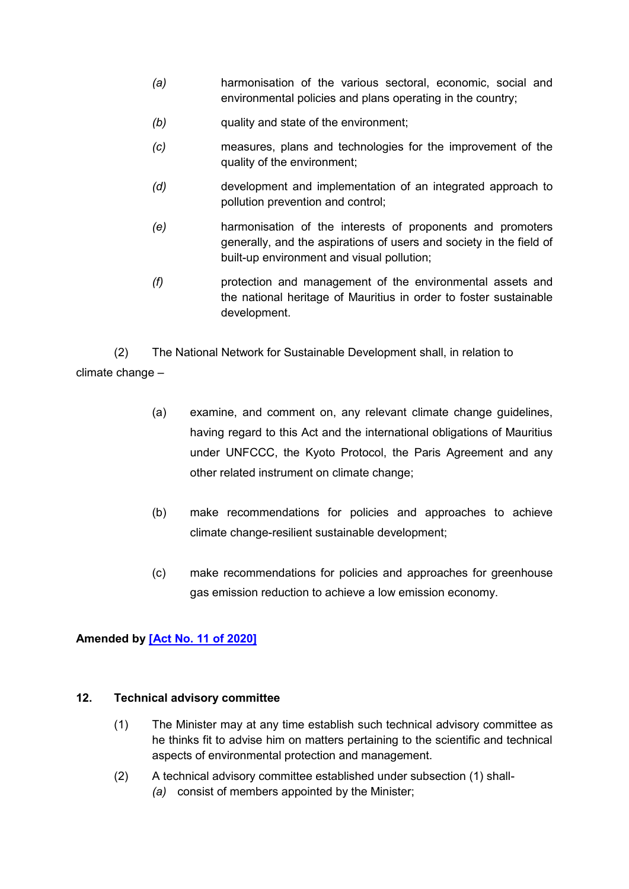- *(a)* harmonisation of the various sectoral, economic, social and environmental policies and plans operating in the country;
- *(b)* quality and state of the environment;
- *(c)* measures, plans and technologies for the improvement of the quality of the environment;
- *(d)* development and implementation of an integrated approach to pollution prevention and control;
- *(e)* harmonisation of the interests of proponents and promoters generally, and the aspirations of users and society in the field of built-up environment and visual pollution;
- *(f)* protection and management of the environmental assets and the national heritage of Mauritius in order to foster sustainable development.

<span id="page-14-0"></span>(2) The National Network for Sustainable Development shall, in relation to climate change –

- (a) examine, and comment on, any relevant climate change guidelines, having regard to this Act and the international obligations of Mauritius under UNFCCC, the Kyoto Protocol, the Paris Agreement and any other related instrument on climate change;
- (b) make recommendations for policies and approaches to achieve climate change-resilient sustainable development;
- (c) make recommendations for policies and approaches for greenhouse gas emission reduction to achieve a low emission economy.

# **Amended by [\[Act No. 11 of 2020\]](https://supremecourt.govmu.org/get-doc-link/Act_No._11_of_2020)**

# **12. Technical advisory committee**

- (1) The Minister may at any time establish such technical advisory committee as he thinks fit to advise him on matters pertaining to the scientific and technical aspects of environmental protection and management.
- (2) A technical advisory committee established under subsection (1) shall- *(a)* consist of members appointed by the Minister;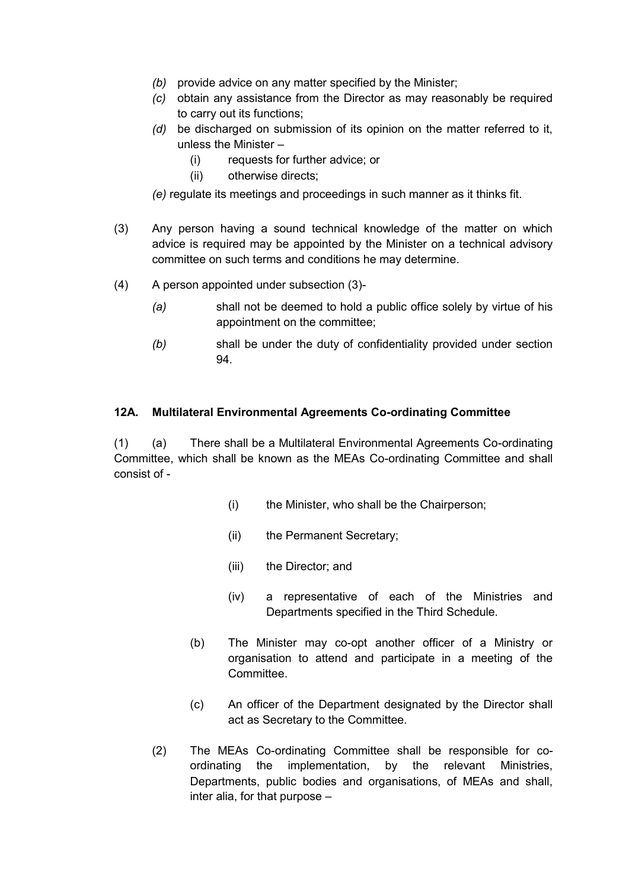- *(b)* provide advice on any matter specified by the Minister;
- *(c)* obtain any assistance from the Director as may reasonably be required to carry out its functions;
- *(d)* be discharged on submission of its opinion on the matter referred to it, unless the Minister –
	- (i) requests for further advice; or
	- (ii) otherwise directs;
- *(e)* regulate its meetings and proceedings in such manner as it thinks fit.
- (3) Any person having a sound technical knowledge of the matter on which advice is required may be appointed by the Minister on a technical advisory committee on such terms and conditions he may determine.
- (4) A person appointed under subsection (3)-
	- *(a)* shall not be deemed to hold a public office solely by virtue of his appointment on the committee;
	- *(b)* shall be under the duty of confidentiality provided under section 94.

### **12A. Multilateral Environmental Agreements Co-ordinating Committee**

(1) (a) There shall be a Multilateral Environmental Agreements Co-ordinating Committee, which shall be known as the MEAs Co-ordinating Committee and shall consist of -

- (i) the Minister, who shall be the Chairperson;
- (ii) the Permanent Secretary;
- (iii) the Director; and
- (iv) a representative of each of the Ministries and Departments specified in the Third Schedule.
- (b) The Minister may co-opt another officer of a Ministry or organisation to attend and participate in a meeting of the Committee.
- (c) An officer of the Department designated by the Director shall act as Secretary to the Committee.
- (2) The MEAs Co-ordinating Committee shall be responsible for coordinating the implementation, by the relevant Ministries, Departments, public bodies and organisations, of MEAs and shall, inter alia, for that purpose –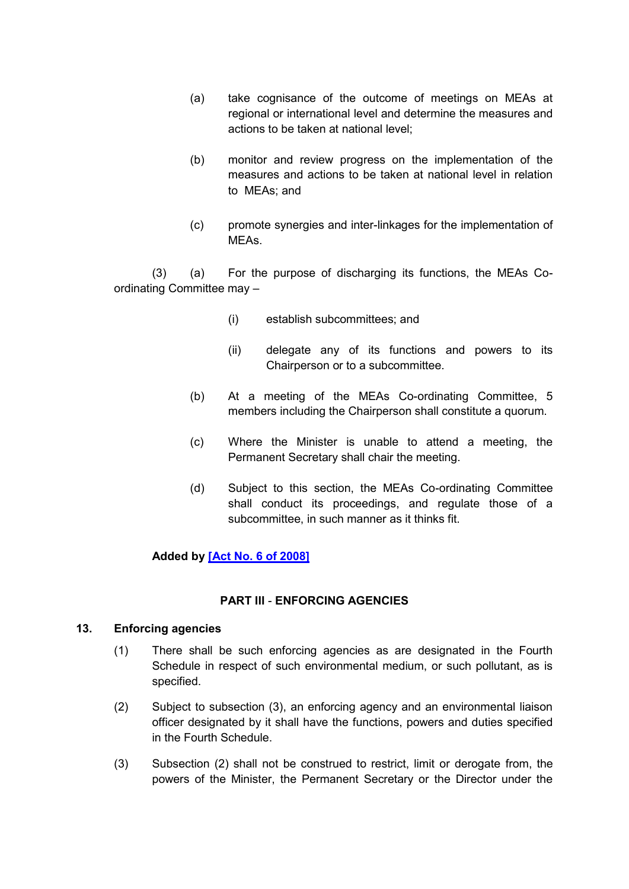- (a) take cognisance of the outcome of meetings on MEAs at regional or international level and determine the measures and actions to be taken at national level;
- (b) monitor and review progress on the implementation of the measures and actions to be taken at national level in relation to MEAs; and
- (c) promote synergies and inter-linkages for the implementation of **MFAs**

(3) (a) For the purpose of discharging its functions, the MEAs Coordinating Committee may –

- (i) establish subcommittees; and
- (ii) delegate any of its functions and powers to its Chairperson or to a subcommittee.
- (b) At a meeting of the MEAs Co-ordinating Committee, 5 members including the Chairperson shall constitute a quorum.
- (c) Where the Minister is unable to attend a meeting, the Permanent Secretary shall chair the meeting.
- (d) Subject to this section, the MEAs Co-ordinating Committee shall conduct its proceedings, and regulate those of a subcommittee, in such manner as it thinks fit.

# **Added by [\[Act No. 6 of 2008\]](https://supremecourt.govmu.org/get-doc-link/Act_No._6_of_2008)**

### **PART III** - **ENFORCING AGENCIES**

### <span id="page-16-0"></span>**13. Enforcing agencies**

- (1) There shall be such enforcing agencies as are designated in the Fourth Schedule in respect of such environmental medium, or such pollutant, as is specified.
- (2) Subject to subsection (3), an enforcing agency and an environmental liaison officer designated by it shall have the functions, powers and duties specified in the Fourth Schedule.
- (3) Subsection (2) shall not be construed to restrict, limit or derogate from, the powers of the Minister, the Permanent Secretary or the Director under the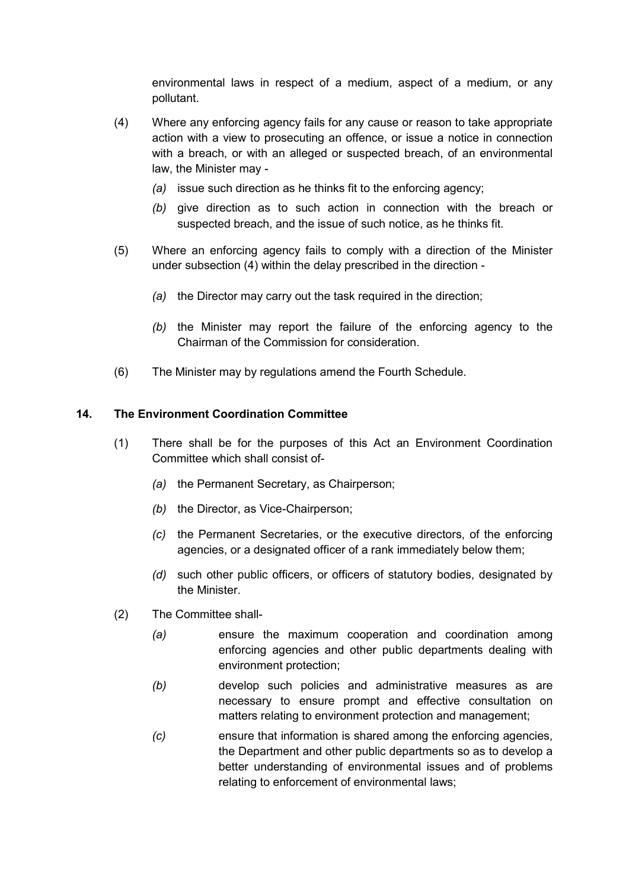environmental laws in respect of a medium, aspect of a medium, or any pollutant.

- (4) Where any enforcing agency fails for any cause or reason to take appropriate action with a view to prosecuting an offence, or issue a notice in connection with a breach, or with an alleged or suspected breach, of an environmental law, the Minister may -
	- *(a)* issue such direction as he thinks fit to the enforcing agency;
	- *(b)* give direction as to such action in connection with the breach or suspected breach, and the issue of such notice, as he thinks fit.
- (5) Where an enforcing agency fails to comply with a direction of the Minister under subsection (4) within the delay prescribed in the direction -
	- *(a)* the Director may carry out the task required in the direction;
	- *(b)* the Minister may report the failure of the enforcing agency to the Chairman of the Commission for consideration.
- (6) The Minister may by regulations amend the Fourth Schedule.

### <span id="page-17-0"></span>**14. The Environment Coordination Committee**

- (1) There shall be for the purposes of this Act an Environment Coordination Committee which shall consist of-
	- *(a)* the Permanent Secretary, as Chairperson;
	- *(b)* the Director, as Vice-Chairperson;
	- *(c)* the Permanent Secretaries, or the executive directors, of the enforcing agencies, or a designated officer of a rank immediately below them;
	- *(d)* such other public officers, or officers of statutory bodies, designated by the Minister.
- (2) The Committee shall-
	- *(a)* ensure the maximum cooperation and coordination among enforcing agencies and other public departments dealing with environment protection;
	- *(b)* develop such policies and administrative measures as are necessary to ensure prompt and effective consultation on matters relating to environment protection and management;
	- *(c)* ensure that information is shared among the enforcing agencies, the Department and other public departments so as to develop a better understanding of environmental issues and of problems relating to enforcement of environmental laws;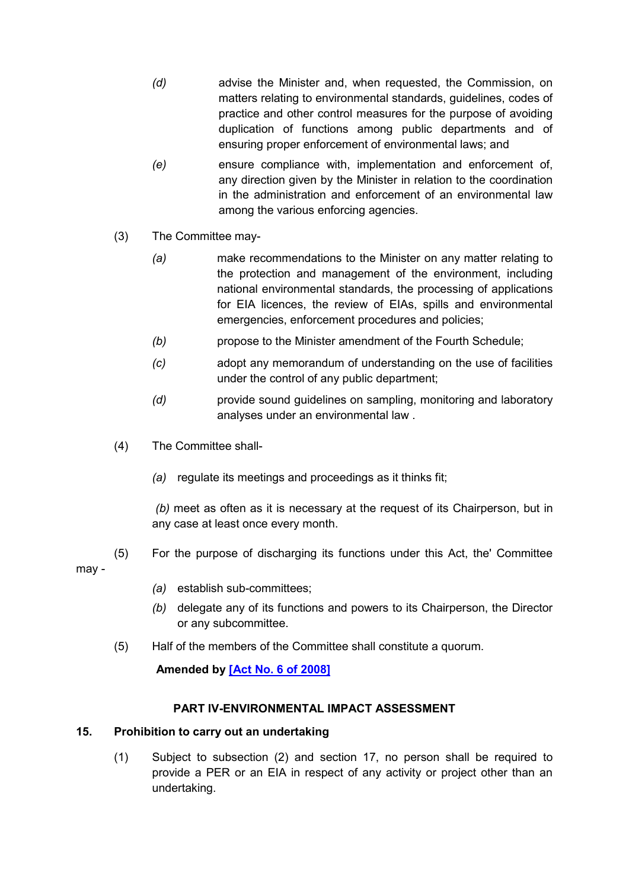- *(d)* advise the Minister and, when requested, the Commission, on matters relating to environmental standards, guidelines, codes of practice and other control measures for the purpose of avoiding duplication of functions among public departments and of ensuring proper enforcement of environmental laws; and
- *(e)* ensure compliance with, implementation and enforcement of, any direction given by the Minister in relation to the coordination in the administration and enforcement of an environmental law among the various enforcing agencies.
- (3) The Committee may-
	- *(a)* make recommendations to the Minister on any matter relating to the protection and management of the environment, including national environmental standards, the processing of applications for EIA licences, the review of EIAs, spills and environmental emergencies, enforcement procedures and policies;
	- *(b)* propose to the Minister amendment of the Fourth Schedule;
	- *(c)* adopt any memorandum of understanding on the use of facilities under the control of any public department;
	- *(d)* provide sound guidelines on sampling, monitoring and laboratory analyses under an environmental law .
- (4) The Committee shall-
	- *(a)* regulate its meetings and proceedings as it thinks fit;

*(b)* meet as often as it is necessary at the request of its Chairperson, but in any case at least once every month.

- (5) For the purpose of discharging its functions under this Act, the' Committee may -
	- *(a)* establish sub-committees;
	- *(b)* delegate any of its functions and powers to its Chairperson, the Director or any subcommittee.
	- (5) Half of the members of the Committee shall constitute a quorum.

# **Amended by [\[Act No. 6 of 2008\]](https://supremecourt.govmu.org/get-doc-link/Act_No._6_of_2008)**

### **PART IV-ENVIRONMENTAL IMPACT ASSESSMENT**

### <span id="page-18-0"></span>**15. Prohibition to carry out an undertaking**

(1) Subject to subsection (2) and section 17, no person shall be required to provide a PER or an EIA in respect of any activity or project other than an undertaking.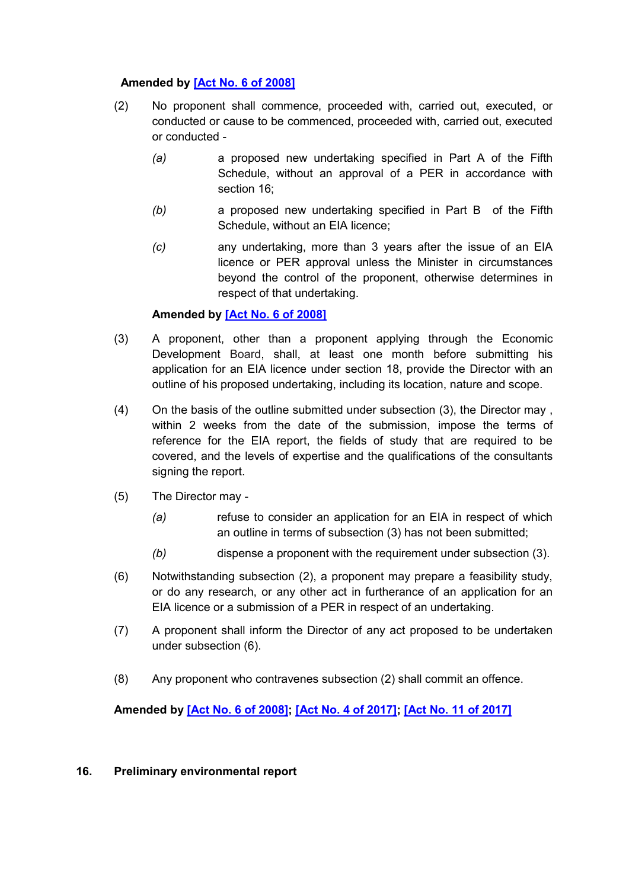# **Amended by [\[Act No. 6 of 2008\]](https://supremecourt.govmu.org/get-doc-link/Act_No._6_of_2008)**

- (2) No proponent shall commence, proceeded with, carried out, executed, or conducted or cause to be commenced, proceeded with, carried out, executed or conducted -
	- *(a)* a proposed new undertaking specified in Part A of the Fifth Schedule, without an approval of a PER in accordance with section 16;
	- *(b)* a proposed new undertaking specified in Part B of the Fifth Schedule, without an EIA licence;
	- *(c)* any undertaking, more than 3 years after the issue of an EIA licence or PER approval unless the Minister in circumstances beyond the control of the proponent, otherwise determines in respect of that undertaking.

# **Amended by [\[Act No. 6 of 2008\]](https://supremecourt.govmu.org/get-doc-link/Act_No._6_of_2008)**

- (3) A proponent, other than a proponent applying through the Economic Development Board, shall, at least one month before submitting his application for an EIA licence under section 18, provide the Director with an outline of his proposed undertaking, including its location, nature and scope.
- (4) On the basis of the outline submitted under subsection (3), the Director may , within 2 weeks from the date of the submission, impose the terms of reference for the EIA report, the fields of study that are required to be covered, and the levels of expertise and the qualifications of the consultants signing the report.
- (5) The Director may
	- *(a)* refuse to consider an application for an EIA in respect of which an outline in terms of subsection (3) has not been submitted;
	- *(b)* dispense a proponent with the requirement under subsection (3).
- (6) Notwithstanding subsection (2), a proponent may prepare a feasibility study, or do any research, or any other act in furtherance of an application for an EIA licence or a submission of a PER in respect of an undertaking.
- (7) A proponent shall inform the Director of any act proposed to be undertaken under subsection (6).
- (8) Any proponent who contravenes subsection (2) shall commit an offence.

**Amended by [\[Act No. 6 of 2008\];](https://supremecourt.govmu.org/get-doc-link/Act_No._6_of_2008) [\[Act No. 4 of 2017\];](https://supremecourt.govmu.org/get-doc-link/Act_No._4_of_2017) [\[Act No. 11 of 2017\]](https://supremecourt.govmu.org/get-doc-link/Act_No._11_of_2017)**

### <span id="page-19-0"></span>**16. Preliminary environmental report**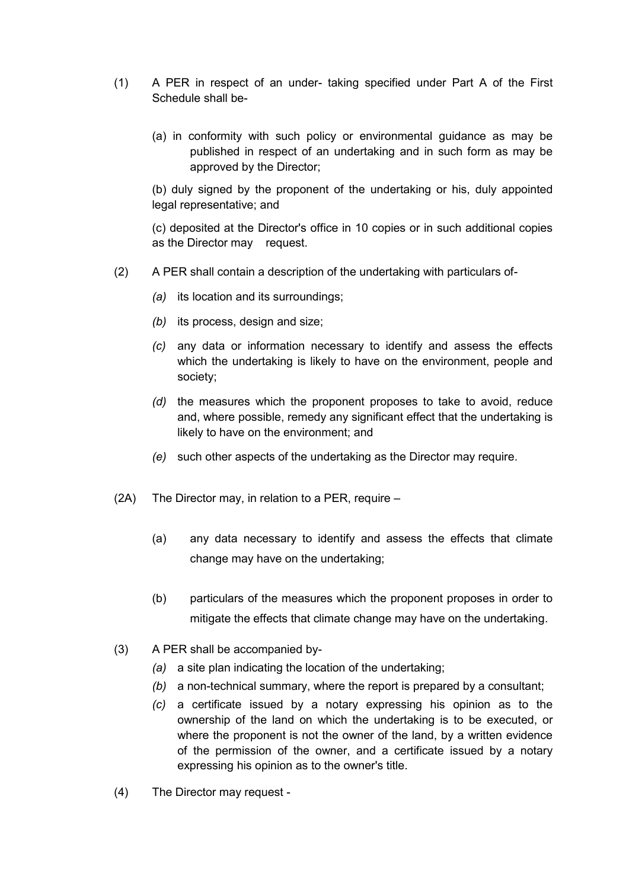- (1) A PER in respect of an under- taking specified under Part A of the First Schedule shall be-
	- (a) in conformity with such policy or environmental guidance as may be published in respect of an undertaking and in such form as may be approved by the Director;

(b) duly signed by the proponent of the undertaking or his, duly appointed legal representative; and

(c) deposited at the Director's office in 10 copies or in such additional copies as the Director may request.

- (2) A PER shall contain a description of the undertaking with particulars of-
	- *(a)* its location and its surroundings;
	- *(b)* its process, design and size;
	- *(c)* any data or information necessary to identify and assess the effects which the undertaking is likely to have on the environment, people and society;
	- *(d)* the measures which the proponent proposes to take to avoid, reduce and, where possible, remedy any significant effect that the undertaking is likely to have on the environment; and
	- *(e)* such other aspects of the undertaking as the Director may require.
- (2A) The Director may, in relation to a PER, require
	- (a) any data necessary to identify and assess the effects that climate change may have on the undertaking;
	- (b) particulars of the measures which the proponent proposes in order to mitigate the effects that climate change may have on the undertaking.
- (3) A PER shall be accompanied by-
	- *(a)* a site plan indicating the location of the undertaking;
	- *(b)* a non-technical summary, where the report is prepared by a consultant;
	- *(c)* a certificate issued by a notary expressing his opinion as to the ownership of the land on which the undertaking is to be executed, or where the proponent is not the owner of the land, by a written evidence of the permission of the owner, and a certificate issued by a notary expressing his opinion as to the owner's title.
- (4) The Director may request -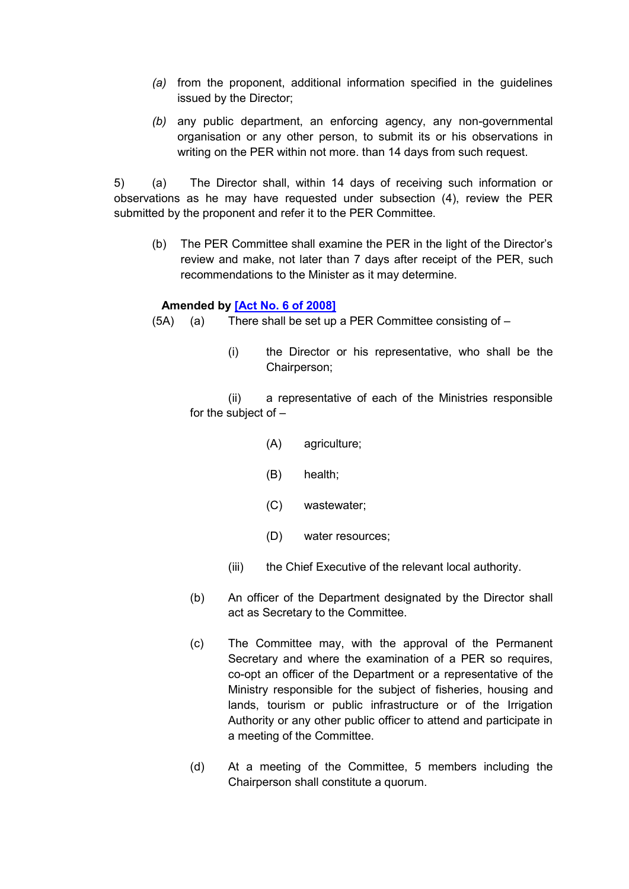- *(a)* from the proponent, additional information specified in the guidelines issued by the Director;
- *(b)* any public department, an enforcing agency, any non-governmental organisation or any other person, to submit its or his observations in writing on the PER within not more. than 14 days from such request.

5) (a) The Director shall, within 14 days of receiving such information or observations as he may have requested under subsection (4), review the PER submitted by the proponent and refer it to the PER Committee.

(b) The PER Committee shall examine the PER in the light of the Director's review and make, not later than 7 days after receipt of the PER, such recommendations to the Minister as it may determine.

### **Amended by [\[Act No. 6 of 2008\]](https://supremecourt.govmu.org/get-doc-link/Act_No._6_of_2008)**

- (5A) (a) There shall be set up a PER Committee consisting of
	- (i) the Director or his representative, who shall be the Chairperson;

(ii) a representative of each of the Ministries responsible for the subject of –

- (A) agriculture;
- (B) health;
- (C) wastewater;
- (D) water resources;
- (iii) the Chief Executive of the relevant local authority.
- (b) An officer of the Department designated by the Director shall act as Secretary to the Committee.
- (c) The Committee may, with the approval of the Permanent Secretary and where the examination of a PER so requires, co-opt an officer of the Department or a representative of the Ministry responsible for the subject of fisheries, housing and lands, tourism or public infrastructure or of the Irrigation Authority or any other public officer to attend and participate in a meeting of the Committee.
- (d) At a meeting of the Committee, 5 members including the Chairperson shall constitute a quorum.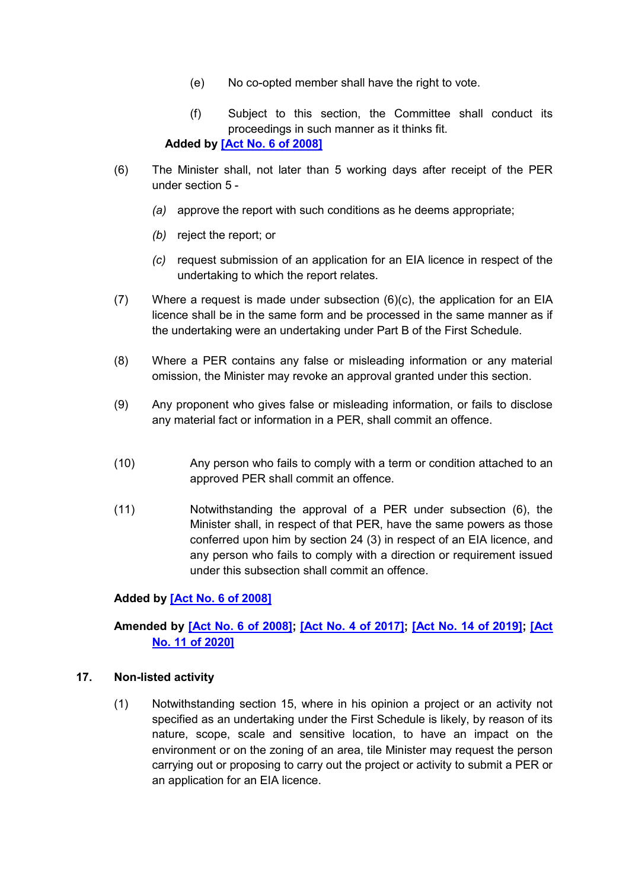- (e) No co-opted member shall have the right to vote.
- (f) Subject to this section, the Committee shall conduct its proceedings in such manner as it thinks fit.

**Added by [\[Act No. 6 of 2008\]](https://supremecourt.govmu.org/get-doc-link/Act_No._6_of_2008)**

- (6) The Minister shall, not later than 5 working days after receipt of the PER under section 5 -
	- *(a)* approve the report with such conditions as he deems appropriate;
	- *(b)* reject the report; or
	- *(c)* request submission of an application for an EIA licence in respect of the undertaking to which the report relates.
- $(7)$  Where a request is made under subsection  $(6)(c)$ , the application for an EIA licence shall be in the same form and be processed in the same manner as if the undertaking were an undertaking under Part B of the First Schedule.
- (8) Where a PER contains any false or misleading information or any material omission, the Minister may revoke an approval granted under this section.
- (9) Any proponent who gives false or misleading information, or fails to disclose any material fact or information in a PER, shall commit an offence.
- (10) Any person who fails to comply with a term or condition attached to an approved PER shall commit an offence.
- (11) Notwithstanding the approval of a PER under subsection (6), the Minister shall, in respect of that PER, have the same powers as those conferred upon him by section 24 (3) in respect of an EIA licence, and any person who fails to comply with a direction or requirement issued under this subsection shall commit an offence.

### **Added by [\[Act No. 6 of 2008\]](https://supremecourt.govmu.org/get-doc-link/Act_No._6_of_2008)**

# **Amended by [\[Act No. 6 of 2008\];](https://supremecourt.govmu.org/get-doc-link/Act_No._6_of_2008) [\[Act No. 4 of 2017\];](https://supremecourt.govmu.org/get-doc-link/Act_No._4_of_2017) [\[Act No. 14 of 2019\];](https://supremecourt.govmu.org/get-doc-link/Act_No._14_of_2019) [\[Act](https://supremecourt.govmu.org/get-doc-link/Act_No._11_of_2020)  [No. 11 of 2020\]](https://supremecourt.govmu.org/get-doc-link/Act_No._11_of_2020)**

#### <span id="page-22-0"></span>**17. Non-listed activity**

(1) Notwithstanding section 15, where in his opinion a project or an activity not specified as an undertaking under the First Schedule is likely, by reason of its nature, scope, scale and sensitive location, to have an impact on the environment or on the zoning of an area, tile Minister may request the person carrying out or proposing to carry out the project or activity to submit a PER or an application for an EIA licence.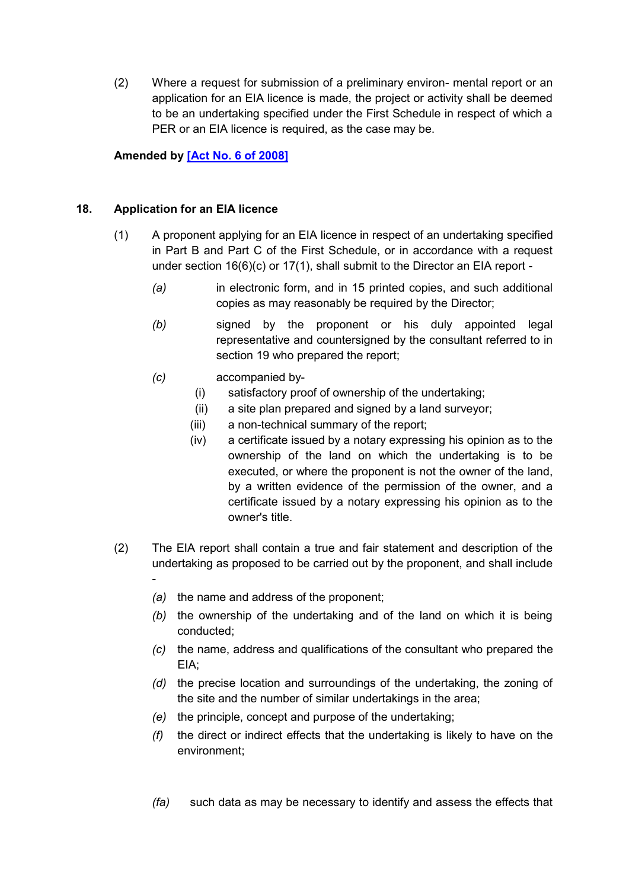(2) Where a request for submission of a preliminary environ- mental report or an application for an EIA licence is made, the project or activity shall be deemed to be an undertaking specified under the First Schedule in respect of which a PER or an EIA licence is required, as the case may be.

**Amended by [\[Act No. 6 of 2008\]](https://supremecourt.govmu.org/get-doc-link/Act_No._6_of_2008)**

### <span id="page-23-0"></span>**18. Application for an EIA licence**

- (1) A proponent applying for an EIA licence in respect of an undertaking specified in Part B and Part C of the First Schedule, or in accordance with a request under section 16(6)(c) or 17(1), shall submit to the Director an EIA report -
	- *(a)* in electronic form, and in 15 printed copies, and such additional copies as may reasonably be required by the Director;
	- *(b)* signed by the proponent or his duly appointed legal representative and countersigned by the consultant referred to in section 19 who prepared the report;
	- *(c)* accompanied by-
		- (i) satisfactory proof of ownership of the undertaking;
		- (ii) a site plan prepared and signed by a land surveyor;
		- (iii) a non-technical summary of the report;
		- (iv) a certificate issued by a notary expressing his opinion as to the ownership of the land on which the undertaking is to be executed, or where the proponent is not the owner of the land, by a written evidence of the permission of the owner, and a certificate issued by a notary expressing his opinion as to the owner's title.
- (2) The EIA report shall contain a true and fair statement and description of the undertaking as proposed to be carried out by the proponent, and shall include -
	- *(a)* the name and address of the proponent;
	- *(b)* the ownership of the undertaking and of the land on which it is being conducted;
	- *(c)* the name, address and qualifications of the consultant who prepared the EIA;
	- *(d)* the precise location and surroundings of the undertaking, the zoning of the site and the number of similar undertakings in the area;
	- *(e)* the principle, concept and purpose of the undertaking;
	- *(f)* the direct or indirect effects that the undertaking is likely to have on the environment;
	- *(fa)* such data as may be necessary to identify and assess the effects that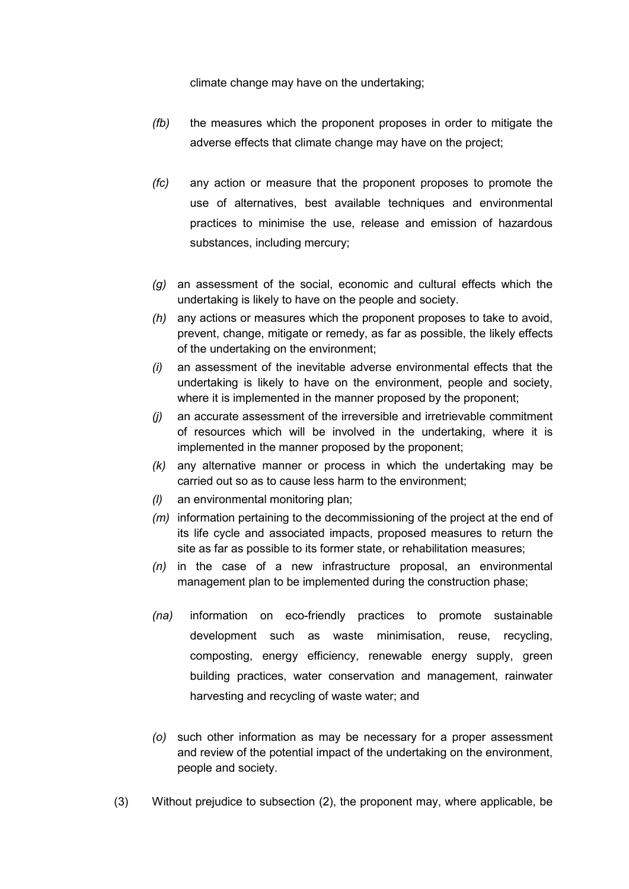climate change may have on the undertaking;

- *(fb)* the measures which the proponent proposes in order to mitigate the adverse effects that climate change may have on the project;
- *(fc)* any action or measure that the proponent proposes to promote the use of alternatives, best available techniques and environmental practices to minimise the use, release and emission of hazardous substances, including mercury;
- *(g)* an assessment of the social, economic and cultural effects which the undertaking is likely to have on the people and society.
- *(h)* any actions or measures which the proponent proposes to take to avoid, prevent, change, mitigate or remedy, as far as possible, the likely effects of the undertaking on the environment;
- *(i)* an assessment of the inevitable adverse environmental effects that the undertaking is likely to have on the environment, people and society, where it is implemented in the manner proposed by the proponent;
- *(j)* an accurate assessment of the irreversible and irretrievable commitment of resources which will be involved in the undertaking, where it is implemented in the manner proposed by the proponent;
- *(k)* any alternative manner or process in which the undertaking may be carried out so as to cause less harm to the environment;
- *(l)* an environmental monitoring plan;
- *(m)* information pertaining to the decommissioning of the project at the end of its life cycle and associated impacts, proposed measures to return the site as far as possible to its former state, or rehabilitation measures;
- *(n)* in the case of a new infrastructure proposal, an environmental management plan to be implemented during the construction phase;
- *(na)* information on eco-friendly practices to promote sustainable development such as waste minimisation, reuse, recycling, composting, energy efficiency, renewable energy supply, green building practices, water conservation and management, rainwater harvesting and recycling of waste water; and
- *(o)* such other information as may be necessary for a proper assessment and review of the potential impact of the undertaking on the environment, people and society.
- (3) Without prejudice to subsection (2), the proponent may, where applicable, be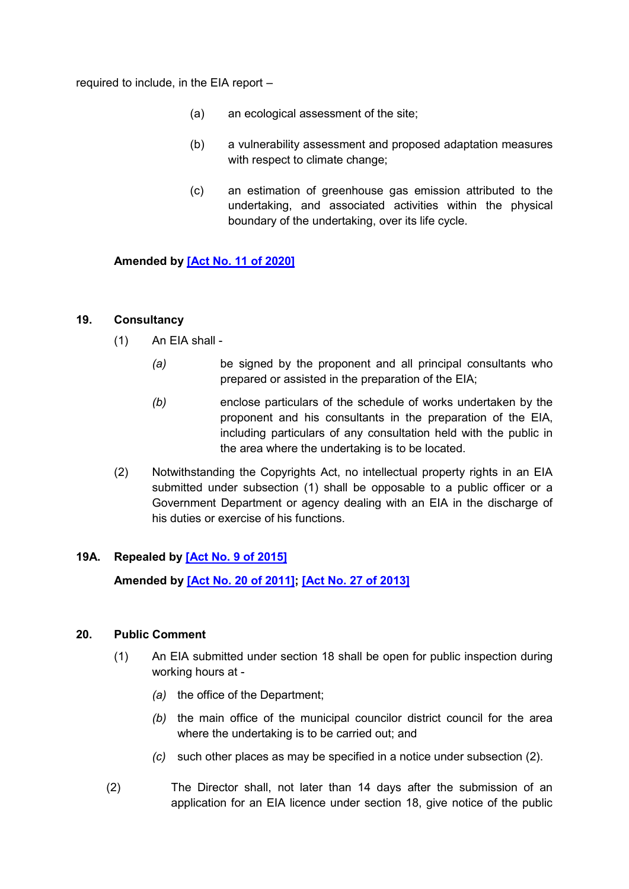required to include, in the EIA report –

- (a) an ecological assessment of the site;
- (b) a vulnerability assessment and proposed adaptation measures with respect to climate change;
- (c) an estimation of greenhouse gas emission attributed to the undertaking, and associated activities within the physical boundary of the undertaking, over its life cycle.

**Amended by [\[Act No. 11 of 2020\]](https://supremecourt.govmu.org/get-doc-link/Act_No._11_of_2020)**

### <span id="page-25-0"></span>**19. Consultancy**

- (1) An EIA shall
	- *(a)* be signed by the proponent and all principal consultants who prepared or assisted in the preparation of the EIA;
	- *(b)* enclose particulars of the schedule of works undertaken by the proponent and his consultants in the preparation of the EIA, including particulars of any consultation held with the public in the area where the undertaking is to be located.
- (2) Notwithstanding the Copyrights Act, no intellectual property rights in an EIA submitted under subsection (1) shall be opposable to a public officer or a Government Department or agency dealing with an EIA in the discharge of his duties or exercise of his functions.

# **19A. Repealed by [\[Act No. 9 of 2015\]](https://supremecourt.govmu.org/get-doc-link/Act_No._9_of_2015)**

**Amended by [Act [No. 20 of 2011\];](https://supremecourt.govmu.org/get-doc-link/Act_No._20_of_2011) [\[Act No. 27 of 2013\]](https://supremecourt.govmu.org/get-doc-link/Act_No._27_of_2013)**

### <span id="page-25-1"></span>**20. Public Comment**

- (1) An EIA submitted under section 18 shall be open for public inspection during working hours at -
	- *(a)* the office of the Department;
	- *(b)* the main office of the municipal councilor district council for the area where the undertaking is to be carried out; and
	- *(c)* such other places as may be specified in a notice under subsection (2).
- (2) The Director shall, not later than 14 days after the submission of an application for an EIA licence under section 18, give notice of the public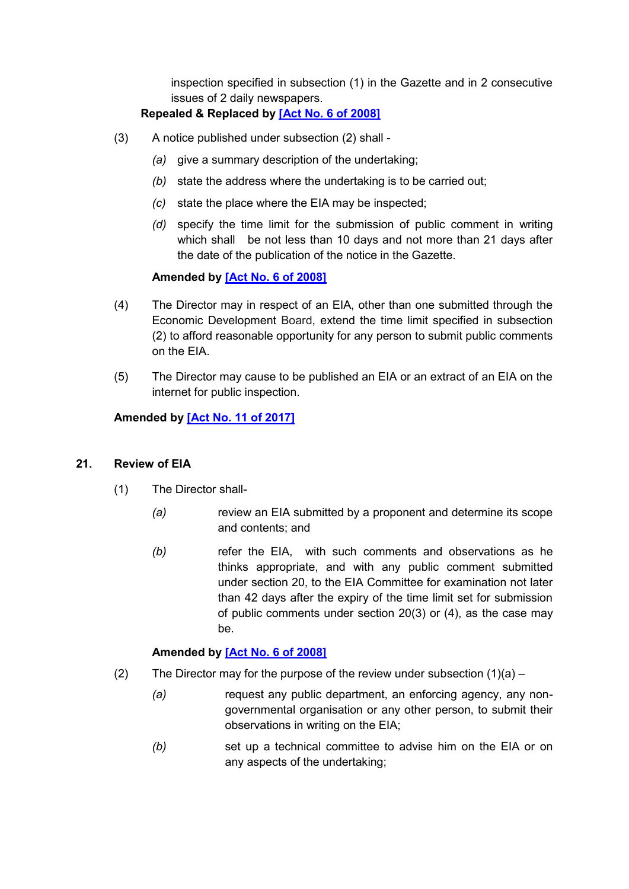inspection specified in subsection (1) in the Gazette and in 2 consecutive issues of 2 daily newspapers.

# **Repealed & Replaced by [\[Act No. 6 of 2008\]](https://supremecourt.govmu.org/get-doc-link/Act_No._6_of_2008)**

- (3) A notice published under subsection (2) shall
	- *(a)* give a summary description of the undertaking;
	- *(b)* state the address where the undertaking is to be carried out;
	- *(c)* state the place where the EIA may be inspected;
	- *(d)* specify the time limit for the submission of public comment in writing which shall be not less than 10 days and not more than 21 days after the date of the publication of the notice in the Gazette.

# **Amended by [\[Act No. 6 of 2008\]](https://supremecourt.govmu.org/get-doc-link/Act_No._6_of_2008)**

- (4) The Director may in respect of an EIA, other than one submitted through the Economic Development Board, extend the time limit specified in subsection (2) to afford reasonable opportunity for any person to submit public comments on the EIA.
- (5) The Director may cause to be published an EIA or an extract of an EIA on the internet for public inspection.

### **Amended by [\[Act No. 11 of 2017\]](https://supremecourt.govmu.org/get-doc-link/Act_No._11_of_2017)**

### <span id="page-26-0"></span>**21. Review of ElA**

- (1) The Director shall-
	- *(a)* review an EIA submitted by a proponent and determine its scope and contents; and
	- *(b)* refer the EIA, with such comments and observations as he thinks appropriate, and with any public comment submitted under section 20, to the EIA Committee for examination not later than 42 days after the expiry of the time limit set for submission of public comments under section 20(3) or (4), as the case may be.

# **Amended by [\[Act No. 6 of 2008\]](https://supremecourt.govmu.org/get-doc-link/Act_No._6_of_2008)**

- (2) The Director may for the purpose of the review under subsection  $(1)(a)$ 
	- *(a)* request any public department, an enforcing agency, any nongovernmental organisation or any other person, to submit their observations in writing on the EIA;
	- *(b)* set up a technical committee to advise him on the EIA or on any aspects of the undertaking;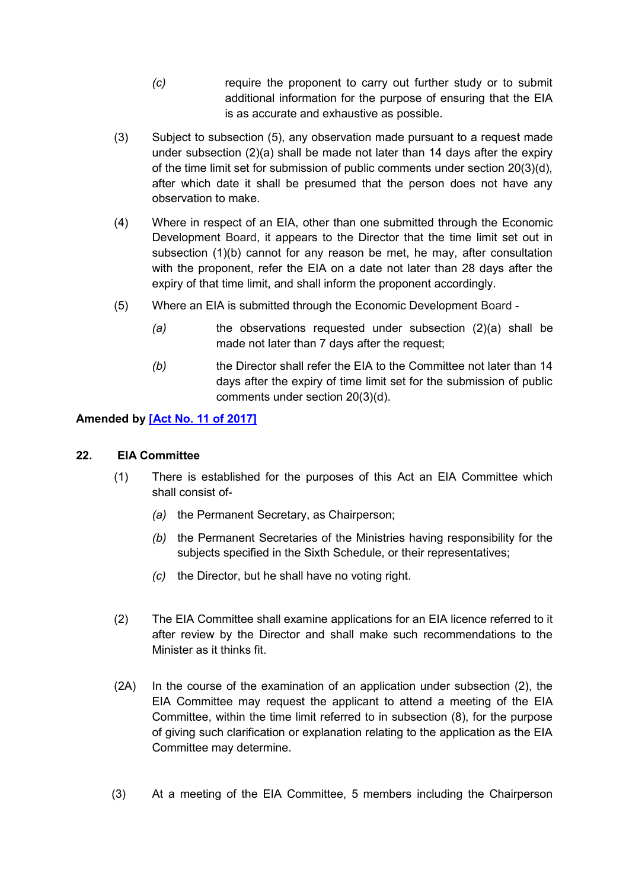- *(c)* require the proponent to carry out further study or to submit additional information for the purpose of ensuring that the EIA is as accurate and exhaustive as possible.
- (3) Subject to subsection (5), any observation made pursuant to a request made under subsection (2)(a) shall be made not later than 14 days after the expiry of the time limit set for submission of public comments under section 20(3)(d), after which date it shall be presumed that the person does not have any observation to make.
- (4) Where in respect of an EIA, other than one submitted through the Economic Development Board, it appears to the Director that the time limit set out in subsection (1)(b) cannot for any reason be met, he may, after consultation with the proponent, refer the EIA on a date not later than 28 days after the expiry of that time limit, and shall inform the proponent accordingly.
- (5) Where an EIA is submitted through the Economic Development Board
	- *(a)* the observations requested under subsection (2)(a) shall be made not later than 7 days after the request;
	- *(b)* the Director shall refer the EIA to the Committee not later than 14 days after the expiry of time limit set for the submission of public comments under section 20(3)(d).

### **Amended by [\[Act No. 11 of 2017\]](https://supremecourt.govmu.org/get-doc-link/Act_No._11_of_2017)**

### <span id="page-27-0"></span>**22. EIA Committee**

- (1) There is established for the purposes of this Act an EIA Committee which shall consist of-
	- *(a)* the Permanent Secretary, as Chairperson;
	- *(b)* the Permanent Secretaries of the Ministries having responsibility for the subjects specified in the Sixth Schedule, or their representatives;
	- *(c)* the Director, but he shall have no voting right.
- (2) The EIA Committee shall examine applications for an EIA licence referred to it after review by the Director and shall make such recommendations to the Minister as it thinks fit.
- (2A) In the course of the examination of an application under subsection (2), the EIA Committee may request the applicant to attend a meeting of the EIA Committee, within the time limit referred to in subsection (8), for the purpose of giving such clarification or explanation relating to the application as the EIA Committee may determine.
- (3) At a meeting of the EIA Committee, 5 members including the Chairperson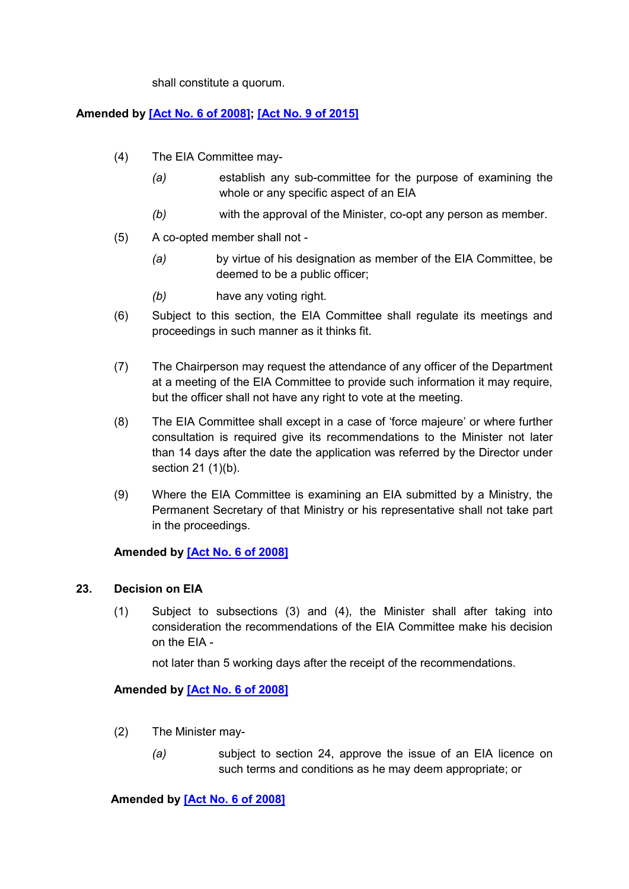shall constitute a quorum.

### **Amended by [\[Act No. 6 of 2008\];](https://supremecourt.govmu.org/get-doc-link/Act_No._6_of_2008) [\[Act No. 9 of 2015\]](https://supremecourt.govmu.org/get-doc-link/Act_No._9_of_2015)**

- (4) The EIA Committee may-
	- *(a)* establish any sub-committee for the purpose of examining the whole or any specific aspect of an EIA
	- *(b)* with the approval of the Minister, co-opt any person as member.
- (5) A co-opted member shall not
	- *(a)* by virtue of his designation as member of the EIA Committee, be deemed to be a public officer;
	- *(b)* have any voting right.
- (6) Subject to this section, the EIA Committee shall regulate its meetings and proceedings in such manner as it thinks fit.
- (7) The Chairperson may request the attendance of any officer of the Department at a meeting of the EIA Committee to provide such information it may require, but the officer shall not have any right to vote at the meeting.
- (8) The EIA Committee shall except in a case of 'force majeure' or where further consultation is required give its recommendations to the Minister not later than 14 days after the date the application was referred by the Director under section 21 (1)(b).
- (9) Where the EIA Committee is examining an EIA submitted by a Ministry, the Permanent Secretary of that Ministry or his representative shall not take part in the proceedings.

### **Amended by [\[Act No. 6 of 2008\]](https://supremecourt.govmu.org/get-doc-link/Act_No._6_of_2008)**

### <span id="page-28-0"></span>**23. Decision on EIA**

(1) Subject to subsections (3) and (4), the Minister shall after taking into consideration the recommendations of the EIA Committee make his decision on the EIA -

not later than 5 working days after the receipt of the recommendations.

### **Amended by [\[Act No. 6 of 2008\]](https://supremecourt.govmu.org/get-doc-link/Act_No._6_of_2008)**

- (2) The Minister may-
	- *(a)* subject to section 24, approve the issue of an EIA licence on such terms and conditions as he may deem appropriate; or

**Amended by [\[Act No. 6](https://supremecourt.govmu.org/get-doc-link/Act_No._6_of_2008) of 2008]**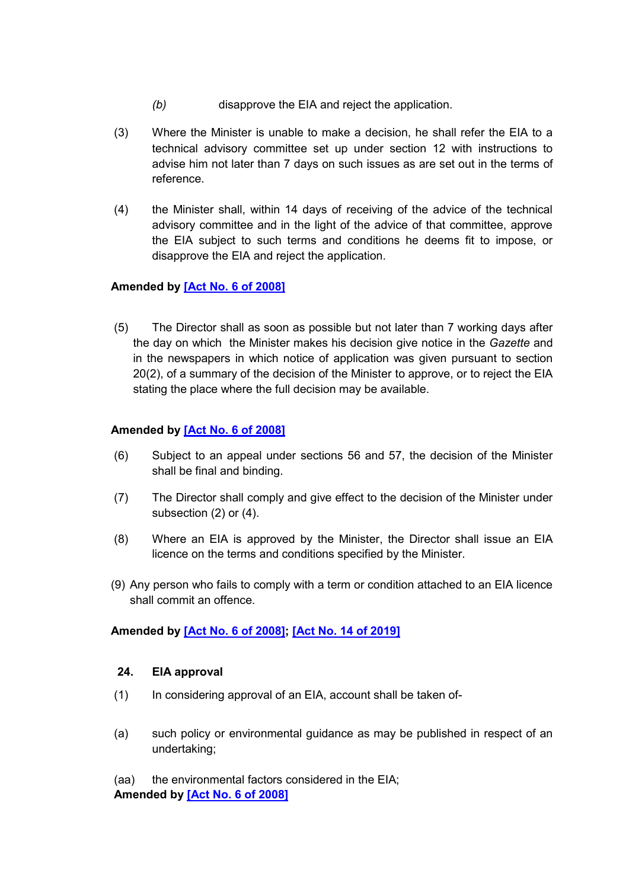- *(b)* disapprove the EIA and reject the application.
- (3) Where the Minister is unable to make a decision, he shall refer the EIA to a technical advisory committee set up under section 12 with instructions to advise him not later than 7 days on such issues as are set out in the terms of reference.
- (4) the Minister shall, within 14 days of receiving of the advice of the technical advisory committee and in the light of the advice of that committee, approve the EIA subject to such terms and conditions he deems fit to impose, or disapprove the EIA and reject the application.

### **Amended by [\[Act No. 6](https://supremecourt.govmu.org/get-doc-link/Act_No._6_of_2008) of 2008]**

(5) The Director shall as soon as possible but not later than 7 working days after the day on which the Minister makes his decision give notice in the *Gazette* and in the newspapers in which notice of application was given pursuant to section 20(2), of a summary of the decision of the Minister to approve, or to reject the EIA stating the place where the full decision may be available.

### **Amended by [\[Act No. 6](https://supremecourt.govmu.org/get-doc-link/Act_No._6_of_2008) of 2008]**

- (6) Subject to an appeal under sections 56 and 57, the decision of the Minister shall be final and binding.
- (7) The Director shall comply and give effect to the decision of the Minister under subsection (2) or (4).
- (8) Where an EIA is approved by the Minister, the Director shall issue an EIA licence on the terms and conditions specified by the Minister.
- (9) Any person who fails to comply with a term or condition attached to an EIA licence shall commit an offence.

### **Amended by [\[Act No. 6](https://supremecourt.govmu.org/get-doc-link/Act_No._6_of_2008) of 2008]; [\[Act No. 14 of 2019\]](https://supremecourt.govmu.org/get-doc-link/Act_No._14_of_2019)**

### <span id="page-29-0"></span>**24. EIA approval**

- (1) In considering approval of an EIA, account shall be taken of-
- (a) such policy or environmental guidance as may be published in respect of an undertaking;

(aa) the environmental factors considered in the EIA; **Amended by [\[Act No. 6 of 2008\]](https://supremecourt.govmu.org/get-doc-link/Act_No._6_of_2008)**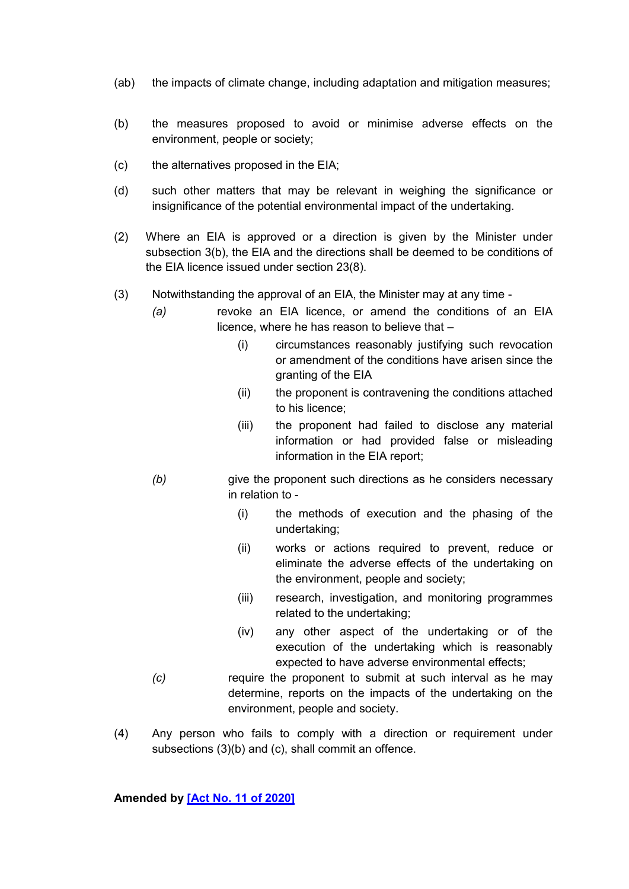- (ab) the impacts of climate change, including adaptation and mitigation measures;
- (b) the measures proposed to avoid or minimise adverse effects on the environment, people or society;
- (c) the alternatives proposed in the EIA;
- (d) such other matters that may be relevant in weighing the significance or insignificance of the potential environmental impact of the undertaking.
- (2) Where an EIA is approved or a direction is given by the Minister under subsection 3(b), the EIA and the directions shall be deemed to be conditions of the EIA licence issued under section 23(8).
- (3) Notwithstanding the approval of an EIA, the Minister may at any time
	- *(a)* revoke an EIA licence, or amend the conditions of an EIA licence, where he has reason to believe that –
		- (i) circumstances reasonably justifying such revocation or amendment of the conditions have arisen since the granting of the EIA
		- (ii) the proponent is contravening the conditions attached to his licence;
		- (iii) the proponent had failed to disclose any material information or had provided false or misleading information in the EIA report;
	- *(b)* give the proponent such directions as he considers necessary in relation to -
		- (i) the methods of execution and the phasing of the undertaking;
		- (ii) works or actions required to prevent, reduce or eliminate the adverse effects of the undertaking on the environment, people and society;
		- (iii) research, investigation, and monitoring programmes related to the undertaking;
		- (iv) any other aspect of the undertaking or of the execution of the undertaking which is reasonably expected to have adverse environmental effects;
	- *(c)* require the proponent to submit at such interval as he may determine, reports on the impacts of the undertaking on the environment, people and society.
- (4) Any person who fails to comply with a direction or requirement under subsections (3)(b) and (c), shall commit an offence.

**Amended by [\[Act No. 11 of 2020\]](https://supremecourt.govmu.org/get-doc-link/Act_No._11_of_2020)**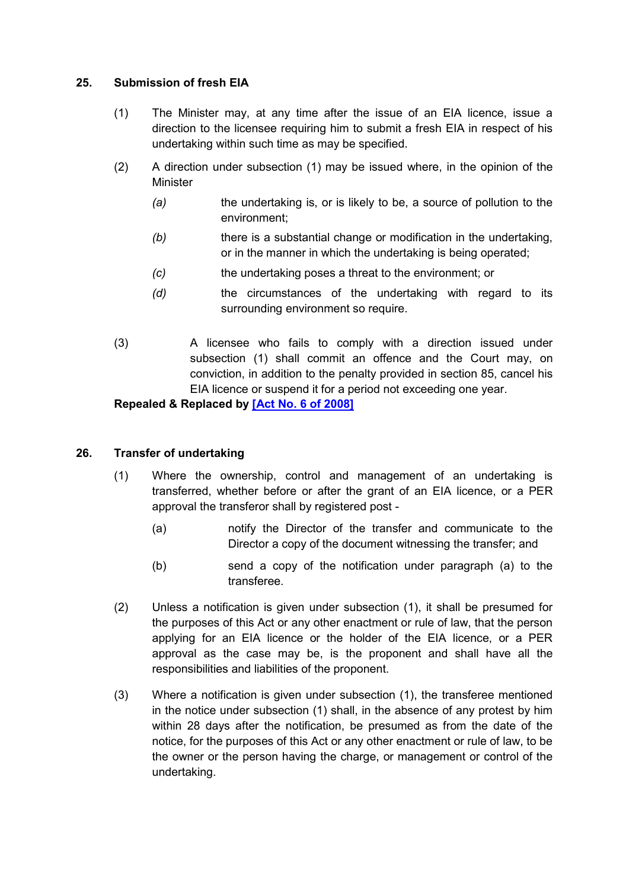### <span id="page-31-0"></span>**25. Submission of fresh EIA**

- (1) The Minister may, at any time after the issue of an EIA licence, issue a direction to the licensee requiring him to submit a fresh EIA in respect of his undertaking within such time as may be specified.
- (2) A direction under subsection (1) may be issued where, in the opinion of the Minister
	- *(a)* the undertaking is, or is likely to be, a source of pollution to the environment;
	- *(b)* there is a substantial change or modification in the undertaking, or in the manner in which the undertaking is being operated;
	- *(c)* the undertaking poses a threat to the environment; or
	- *(d)* the circumstances of the undertaking with regard to its surrounding environment so require.
- <span id="page-31-1"></span>(3) A licensee who fails to comply with a direction issued under subsection (1) shall commit an offence and the Court may, on conviction, in addition to the penalty provided in section 85, cancel his EIA licence or suspend it for a period not exceeding one year.

# **Repealed & Replaced by [\[Act No. 6 of 2008\]](https://supremecourt.govmu.org/get-doc-link/Act_No._6_of_2008)**

### **26. Transfer of undertaking**

- (1) Where the ownership, control and management of an undertaking is transferred, whether before or after the grant of an EIA licence, or a PER approval the transferor shall by registered post -
	- (a) notify the Director of the transfer and communicate to the Director a copy of the document witnessing the transfer; and
	- (b) send a copy of the notification under paragraph (a) to the transferee.
- (2) Unless a notification is given under subsection (1), it shall be presumed for the purposes of this Act or any other enactment or rule of law, that the person applying for an EIA licence or the holder of the EIA licence, or a PER approval as the case may be, is the proponent and shall have all the responsibilities and liabilities of the proponent.
- (3) Where a notification is given under subsection (1), the transferee mentioned in the notice under subsection (1) shall, in the absence of any protest by him within 28 days after the notification, be presumed as from the date of the notice, for the purposes of this Act or any other enactment or rule of law, to be the owner or the person having the charge, or management or control of the undertaking.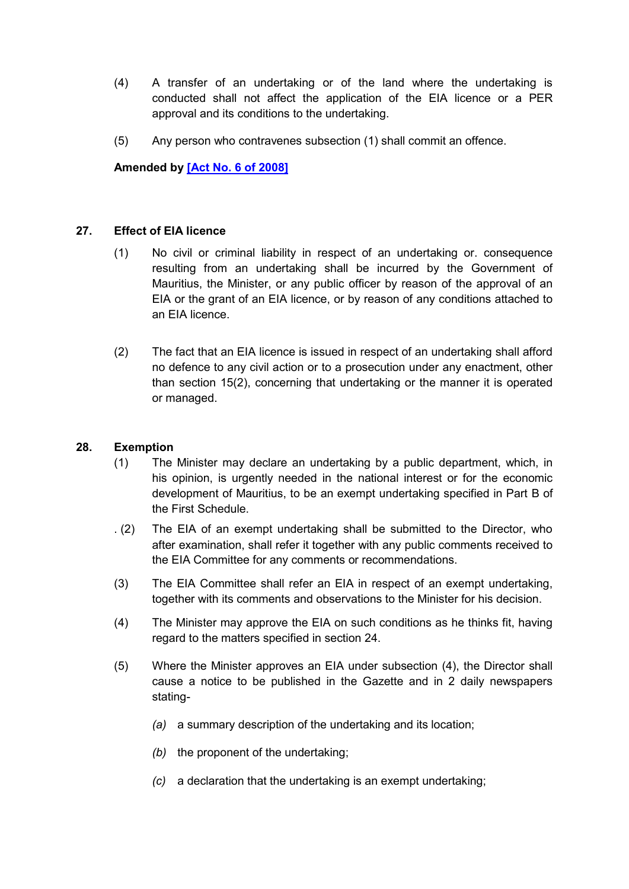- (4) A transfer of an undertaking or of the land where the undertaking is conducted shall not affect the application of the EIA licence or a PER approval and its conditions to the undertaking.
- (5) Any person who contravenes subsection (1) shall commit an offence.

**Amended by [\[Act No. 6 of 2008\]](https://supremecourt.govmu.org/get-doc-link/Act_No._6_of_2008)**

### <span id="page-32-0"></span>**27. Effect of EIA licence**

- (1) No civil or criminal liability in respect of an undertaking or. consequence resulting from an undertaking shall be incurred by the Government of Mauritius, the Minister, or any public officer by reason of the approval of an EIA or the grant of an EIA licence, or by reason of any conditions attached to an EIA licence.
- (2) The fact that an EIA licence is issued in respect of an undertaking shall afford no defence to any civil action or to a prosecution under any enactment, other than section 15(2), concerning that undertaking or the manner it is operated or managed.

### <span id="page-32-1"></span>**28. Exemption**

- (1) The Minister may declare an undertaking by a public department, which, in his opinion, is urgently needed in the national interest or for the economic development of Mauritius, to be an exempt undertaking specified in Part B of the First Schedule.
- . (2) The EIA of an exempt undertaking shall be submitted to the Director, who after examination, shall refer it together with any public comments received to the EIA Committee for any comments or recommendations.
- (3) The EIA Committee shall refer an EIA in respect of an exempt undertaking, together with its comments and observations to the Minister for his decision.
- (4) The Minister may approve the EIA on such conditions as he thinks fit, having regard to the matters specified in section 24.
- (5) Where the Minister approves an EIA under subsection (4), the Director shall cause a notice to be published in the Gazette and in 2 daily newspapers stating-
	- *(a)* a summary description of the undertaking and its location;
	- *(b)* the proponent of the undertaking;
	- *(c)* a declaration that the undertaking is an exempt undertaking;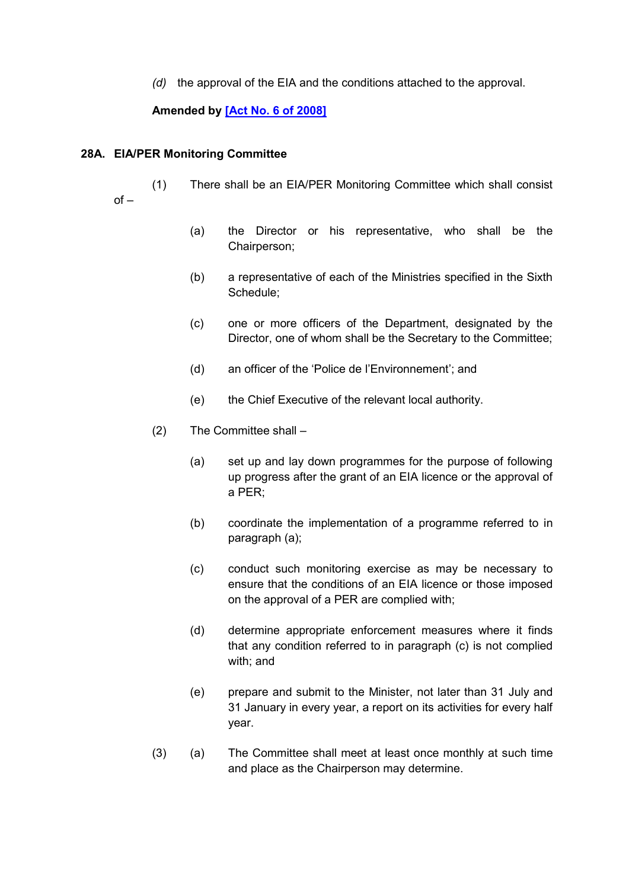*(d)* the approval of the EIA and the conditions attached to the approval.

### **Amended by [\[Act No. 6](https://supremecourt.govmu.org/get-doc-link/Act_No._6_of_2008) of 2008]**

#### **28A. EIA/PER Monitoring Committee**

(1) There shall be an EIA/PER Monitoring Committee which shall consist  $of -$ 

- (a) the Director or his representative, who shall be the Chairperson;
- (b) a representative of each of the Ministries specified in the Sixth Schedule;
- (c) one or more officers of the Department, designated by the Director, one of whom shall be the Secretary to the Committee;
- (d) an officer of the 'Police de l'Environnement'; and
- (e) the Chief Executive of the relevant local authority.
- (2) The Committee shall
	- (a) set up and lay down programmes for the purpose of following up progress after the grant of an EIA licence or the approval of a PER;
	- (b) coordinate the implementation of a programme referred to in paragraph (a);
	- (c) conduct such monitoring exercise as may be necessary to ensure that the conditions of an EIA licence or those imposed on the approval of a PER are complied with;
	- (d) determine appropriate enforcement measures where it finds that any condition referred to in paragraph (c) is not complied with; and
	- (e) prepare and submit to the Minister, not later than 31 July and 31 January in every year, a report on its activities for every half year.
- (3) (a) The Committee shall meet at least once monthly at such time and place as the Chairperson may determine.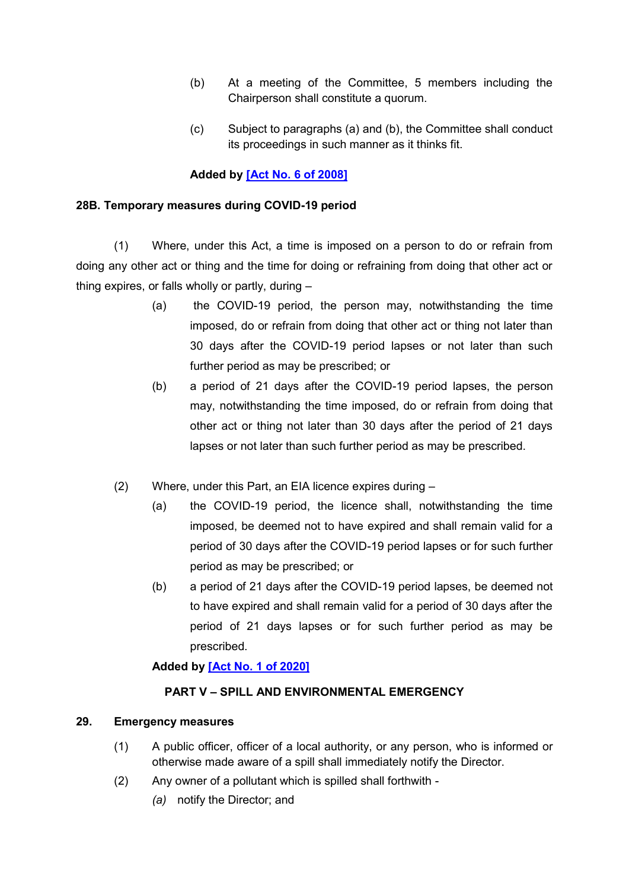- (b) At a meeting of the Committee, 5 members including the Chairperson shall constitute a quorum.
- (c) Subject to paragraphs (a) and (b), the Committee shall conduct its proceedings in such manner as it thinks fit.

### **Added by [\[Act No. 6 of 2008\]](https://supremecourt.govmu.org/get-doc-link/Act_No._6_of_2008)**

#### **28B. Temporary measures during COVID-19 period**

(1) Where, under this Act, a time is imposed on a person to do or refrain from doing any other act or thing and the time for doing or refraining from doing that other act or thing expires, or falls wholly or partly, during –

- (a) the COVID-19 period, the person may, notwithstanding the time imposed, do or refrain from doing that other act or thing not later than 30 days after the COVID-19 period lapses or not later than such further period as may be prescribed; or
- (b) a period of 21 days after the COVID-19 period lapses, the person may, notwithstanding the time imposed, do or refrain from doing that other act or thing not later than 30 days after the period of 21 days lapses or not later than such further period as may be prescribed.
- (2) Where, under this Part, an EIA licence expires during
	- (a) the COVID-19 period, the licence shall, notwithstanding the time imposed, be deemed not to have expired and shall remain valid for a period of 30 days after the COVID-19 period lapses or for such further period as may be prescribed; or
	- (b) a period of 21 days after the COVID-19 period lapses, be deemed not to have expired and shall remain valid for a period of 30 days after the period of 21 days lapses or for such further period as may be prescribed.

### **Added by [\[Act No. 1 of 2020\]](https://supremecourt.govmu.org/get-doc-link/Act_No._1_of_2020)**

### **PART V – SPILL AND ENVIRONMENTAL EMERGENCY**

### <span id="page-34-0"></span>**29. Emergency measures**

- (1) A public officer, officer of a local authority, or any person, who is informed or otherwise made aware of a spill shall immediately notify the Director.
- (2) Any owner of a pollutant which is spilled shall forthwith
	- *(a)* notify the Director; and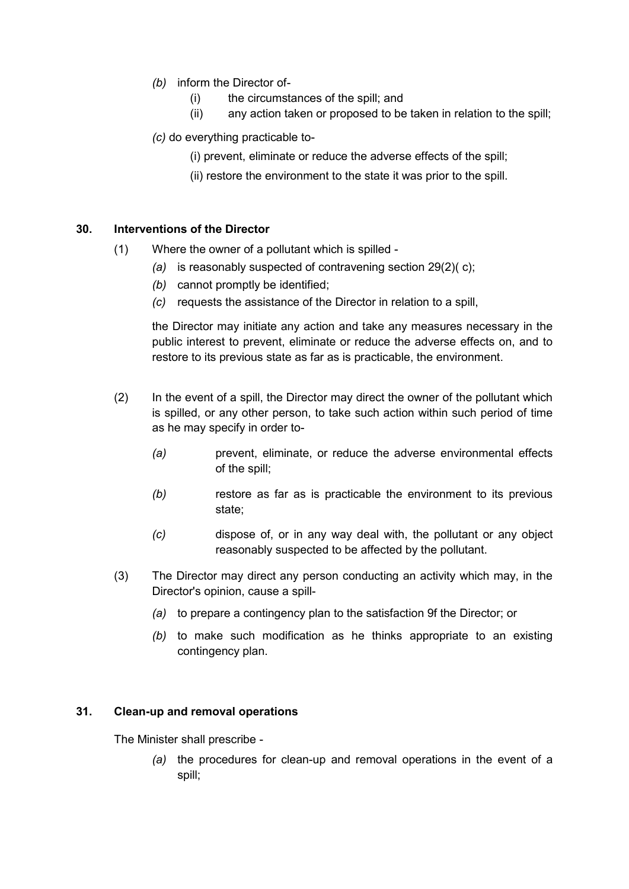- *(b)* inform the Director of-
	- (i) the circumstances of the spill; and
	- (ii) any action taken or proposed to be taken in relation to the spill;
- *(c)* do everything practicable to-
	- (i) prevent, eliminate or reduce the adverse effects of the spill;
	- (ii) restore the environment to the state it was prior to the spill.

### <span id="page-35-0"></span>**30. Interventions of the Director**

- (1) Where the owner of a pollutant which is spilled
	- *(a)* is reasonably suspected of contravening section 29(2)( c);
	- *(b)* cannot promptly be identified;
	- *(c)* requests the assistance of the Director in relation to a spill,

the Director may initiate any action and take any measures necessary in the public interest to prevent, eliminate or reduce the adverse effects on, and to restore to its previous state as far as is practicable, the environment.

- (2) In the event of a spill, the Director may direct the owner of the pollutant which is spilled, or any other person, to take such action within such period of time as he may specify in order to-
	- *(a)* prevent, eliminate, or reduce the adverse environmental effects of the spill;
	- *(b)* restore as far as is practicable the environment to its previous state;
	- *(c)* dispose of, or in any way deal with, the pollutant or any object reasonably suspected to be affected by the pollutant.
- (3) The Director may direct any person conducting an activity which may, in the Director's opinion, cause a spill-
	- *(a)* to prepare a contingency plan to the satisfaction 9f the Director; or
	- *(b)* to make such modification as he thinks appropriate to an existing contingency plan.

### <span id="page-35-1"></span>**31. Clean-up and removal operations**

The Minister shall prescribe -

*(a)* the procedures for clean-up and removal operations in the event of a spill;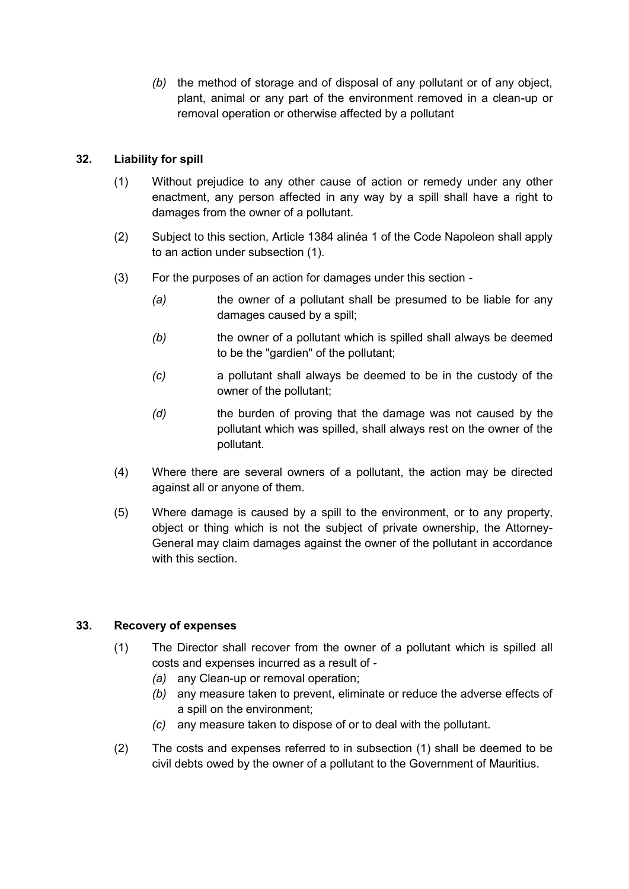*(b)* the method of storage and of disposal of any pollutant or of any object, plant, animal or any part of the environment removed in a clean-up or removal operation or otherwise affected by a pollutant

# **32. Liability for spill**

- (1) Without prejudice to any other cause of action or remedy under any other enactment, any person affected in any way by a spill shall have a right to damages from the owner of a pollutant.
- (2) Subject to this section, Article 1384 alinéa 1 of the Code Napoleon shall apply to an action under subsection (1).
- (3) For the purposes of an action for damages under this section
	- *(a)* the owner of a pollutant shall be presumed to be liable for any damages caused by a spill;
	- *(b)* the owner of a pollutant which is spilled shall always be deemed to be the "gardien" of the pollutant;
	- *(c)* a pollutant shall always be deemed to be in the custody of the owner of the pollutant;
	- *(d)* the burden of proving that the damage was not caused by the pollutant which was spilled, shall always rest on the owner of the pollutant.
- (4) Where there are several owners of a pollutant, the action may be directed against all or anyone of them.
- (5) Where damage is caused by a spill to the environment, or to any property, object or thing which is not the subject of private ownership, the Attorney-General may claim damages against the owner of the pollutant in accordance with this section.

# **33. Recovery of expenses**

- (1) The Director shall recover from the owner of a pollutant which is spilled all costs and expenses incurred as a result of -
	- *(a)* any Clean-up or removal operation;
	- *(b)* any measure taken to prevent, eliminate or reduce the adverse effects of a spill on the environment;
	- *(c)* any measure taken to dispose of or to deal with the pollutant.
- (2) The costs and expenses referred to in subsection (1) shall be deemed to be civil debts owed by the owner of a pollutant to the Government of Mauritius.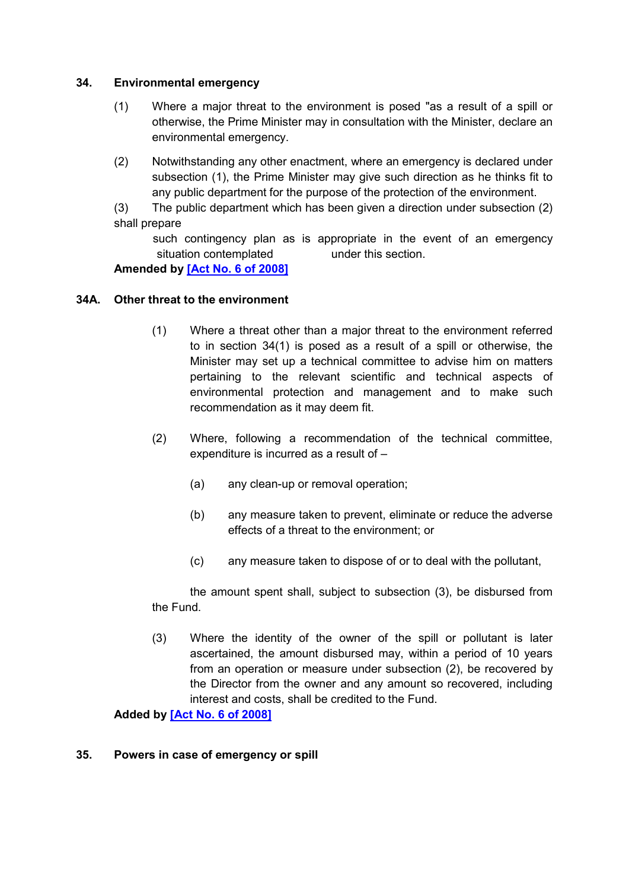## **34. Environmental emergency**

- (1) Where a major threat to the environment is posed "as a result of a spill or otherwise, the Prime Minister may in consultation with the Minister, declare an environmental emergency.
- (2) Notwithstanding any other enactment, where an emergency is declared under subsection (1), the Prime Minister may give such direction as he thinks fit to any public department for the purpose of the protection of the environment.
- (3) The public department which has been given a direction under subsection (2) shall prepare
	- such contingency plan as is appropriate in the event of an emergency situation contemplated under this section.

**Amended by [\[Act No. 6 of 2008\]](https://supremecourt.govmu.org/get-doc-link/Act_No._6_of_2008)**

### **34A. Other threat to the environment**

- (1) Where a threat other than a major threat to the environment referred to in section 34(1) is posed as a result of a spill or otherwise, the Minister may set up a technical committee to advise him on matters pertaining to the relevant scientific and technical aspects of environmental protection and management and to make such recommendation as it may deem fit.
- (2) Where, following a recommendation of the technical committee, expenditure is incurred as a result of –
	- (a) any clean-up or removal operation;
	- (b) any measure taken to prevent, eliminate or reduce the adverse effects of a threat to the environment; or
	- (c) any measure taken to dispose of or to deal with the pollutant,

the amount spent shall, subject to subsection (3), be disbursed from the Fund.

(3) Where the identity of the owner of the spill or pollutant is later ascertained, the amount disbursed may, within a period of 10 years from an operation or measure under subsection (2), be recovered by the Director from the owner and any amount so recovered, including interest and costs, shall be credited to the Fund.

### **Added by [\[Act No. 6 of 2008\]](https://supremecourt.govmu.org/get-doc-link/Act_No._6_of_2008)**

### **35. Powers in case of emergency or spill**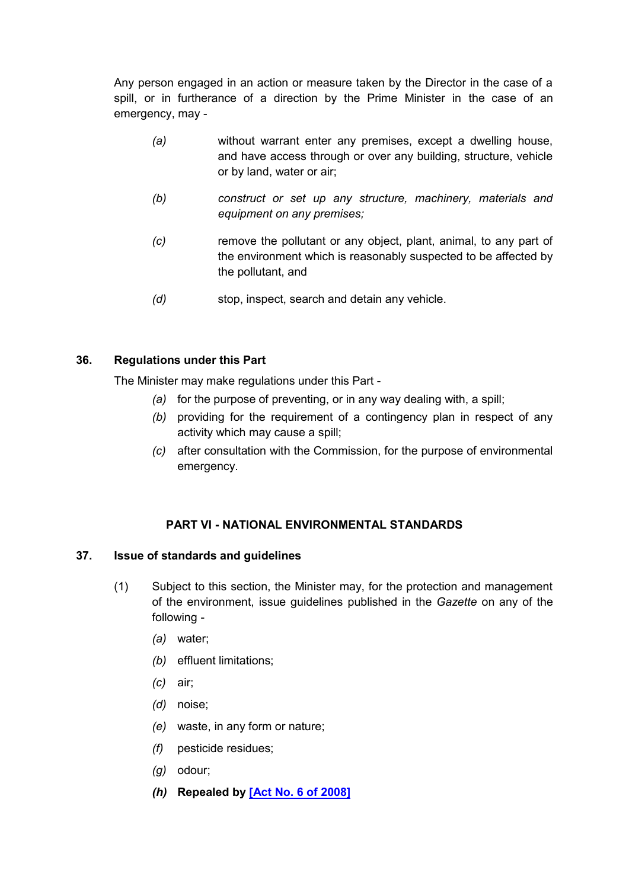Any person engaged in an action or measure taken by the Director in the case of a spill, or in furtherance of a direction by the Prime Minister in the case of an emergency, may -

- *(a)* without warrant enter any premises, except a dwelling house, and have access through or over any building, structure, vehicle or by land, water or air;
- *(b) construct or set up any structure, machinery, materials and equipment on any premises;*
- *(c)* remove the pollutant or any object, plant, animal, to any part of the environment which is reasonably suspected to be affected by the pollutant, and
- *(d)* stop, inspect, search and detain any vehicle.

## **36. Regulations under this Part**

The Minister may make regulations under this Part -

- *(a)* for the purpose of preventing, or in any way dealing with, a spill;
- *(b)* providing for the requirement of a contingency plan in respect of any activity which may cause a spill;
- *(c)* after consultation with the Commission, for the purpose of environmental emergency.

# **PART VI - NATIONAL ENVIRONMENTAL STANDARDS**

### **37. Issue of standards and guidelines**

- (1) Subject to this section, the Minister may, for the protection and management of the environment, issue guidelines published in the *Gazette* on any of the following -
	- *(a)* water;
	- *(b)* effluent limitations;
	- *(c)* air;
	- *(d)* noise;
	- *(e)* waste, in any form or nature;
	- *(f)* pesticide residues;
	- *(g)* odour;
	- *(h)* **Repealed by [\[Act No. 6 of 2008\]](https://supremecourt.govmu.org/get-doc-link/Act_No._6_of_2008)**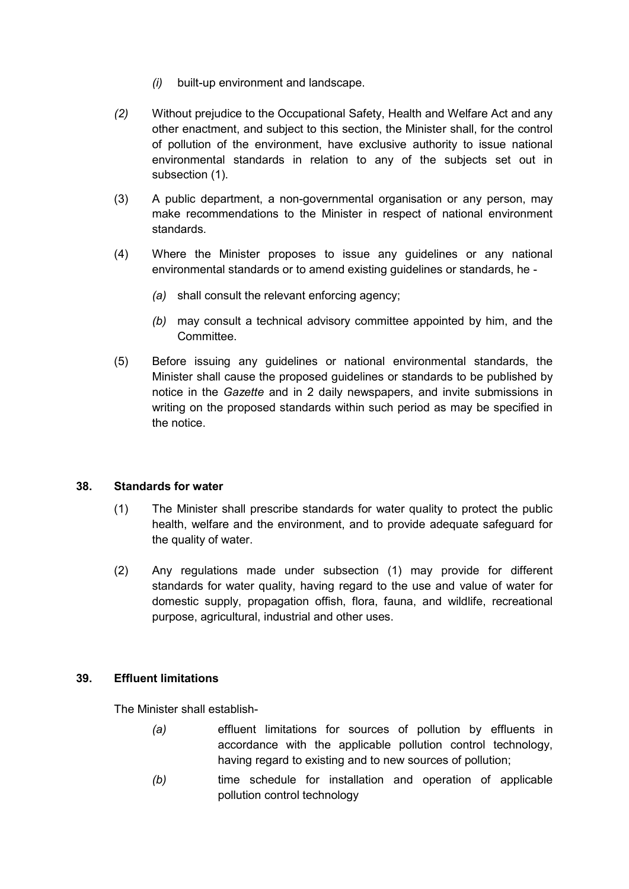- *(i)* built-up environment and landscape.
- *(2)* Without prejudice to the Occupational Safety, Health and Welfare Act and any other enactment, and subject to this section, the Minister shall, for the control of pollution of the environment, have exclusive authority to issue national environmental standards in relation to any of the subjects set out in subsection (1).
- (3) A public department, a non-governmental organisation or any person, may make recommendations to the Minister in respect of national environment standards.
- (4) Where the Minister proposes to issue any guidelines or any national environmental standards or to amend existing guidelines or standards, he -
	- *(a)* shall consult the relevant enforcing agency;
	- *(b)* may consult a technical advisory committee appointed by him, and the **Committee.**
- (5) Before issuing any guidelines or national environmental standards, the Minister shall cause the proposed guidelines or standards to be published by notice in the *Gazette* and in 2 daily newspapers, and invite submissions in writing on the proposed standards within such period as may be specified in the notice.

### **38. Standards for water**

- (1) The Minister shall prescribe standards for water quality to protect the public health, welfare and the environment, and to provide adequate safeguard for the quality of water.
- (2) Any regulations made under subsection (1) may provide for different standards for water quality, having regard to the use and value of water for domestic supply, propagation offish, flora, fauna, and wildlife, recreational purpose, agricultural, industrial and other uses.

### **39. Effluent limitations**

The Minister shall establish-

- *(a)* effluent limitations for sources of pollution by effluents in accordance with the applicable pollution control technology, having regard to existing and to new sources of pollution;
- *(b)* time schedule for installation and operation of applicable pollution control technology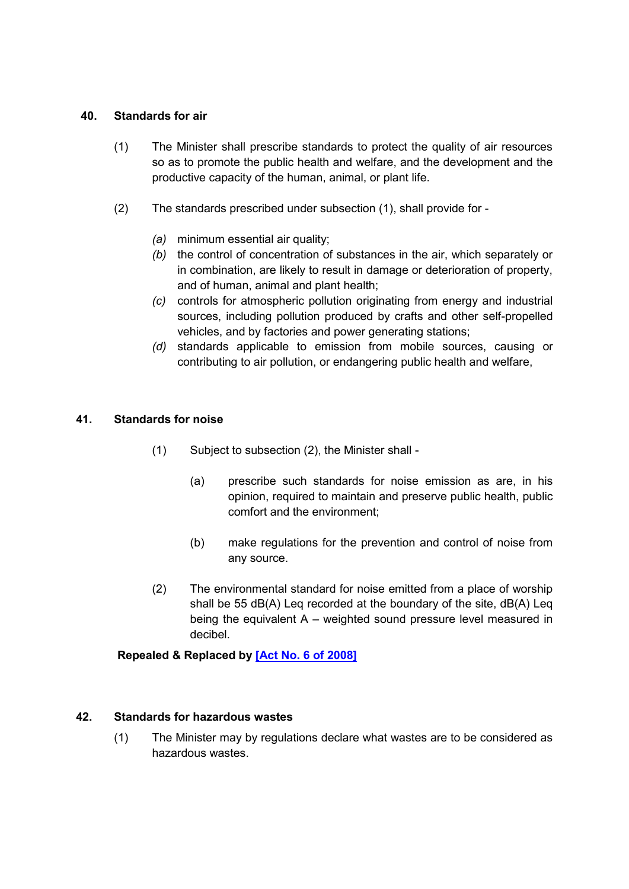## **40. Standards for air**

- (1) The Minister shall prescribe standards to protect the quality of air resources so as to promote the public health and welfare, and the development and the productive capacity of the human, animal, or plant life.
- (2) The standards prescribed under subsection (1), shall provide for
	- *(a)* minimum essential air quality;
	- *(b)* the control of concentration of substances in the air, which separately or in combination, are likely to result in damage or deterioration of property, and of human, animal and plant health;
	- *(c)* controls for atmospheric pollution originating from energy and industrial sources, including pollution produced by crafts and other self-propelled vehicles, and by factories and power generating stations;
	- *(d)* standards applicable to emission from mobile sources, causing or contributing to air pollution, or endangering public health and welfare,

## **41. Standards for noise**

- (1) Subject to subsection (2), the Minister shall
	- (a) prescribe such standards for noise emission as are, in his opinion, required to maintain and preserve public health, public comfort and the environment;
	- (b) make regulations for the prevention and control of noise from any source.
- (2) The environmental standard for noise emitted from a place of worship shall be 55 dB(A) Leq recorded at the boundary of the site, dB(A) Leq being the equivalent A – weighted sound pressure level measured in decibel.

# **Repealed & Replaced by [\[Act No. 6 of 2008\]](https://supremecourt.govmu.org/get-doc-link/Act_No._6_of_2008)**

### **42. Standards for hazardous wastes**

(1) The Minister may by regulations declare what wastes are to be considered as hazardous wastes.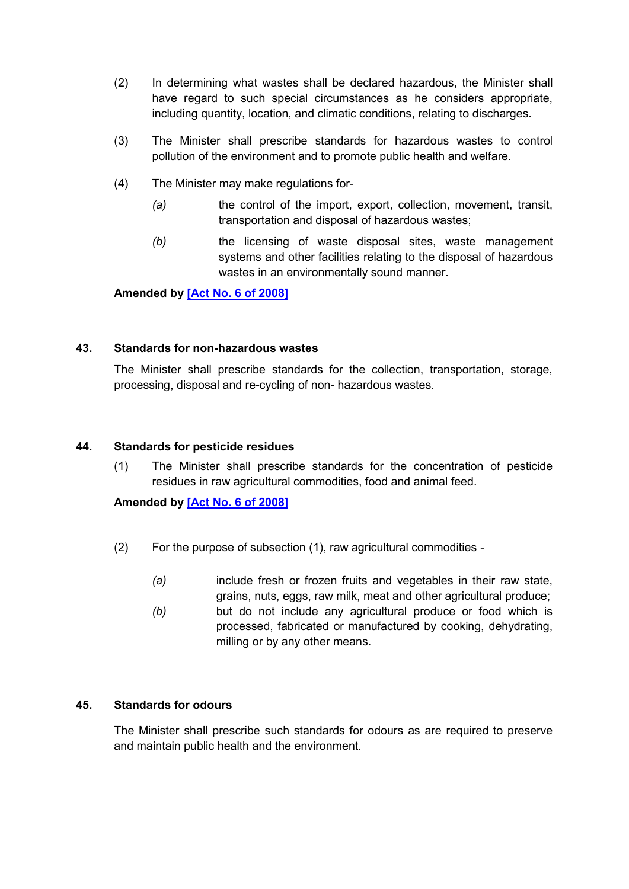- (2) In determining what wastes shall be declared hazardous, the Minister shall have regard to such special circumstances as he considers appropriate, including quantity, location, and climatic conditions, relating to discharges.
- (3) The Minister shall prescribe standards for hazardous wastes to control pollution of the environment and to promote public health and welfare.
- (4) The Minister may make regulations for-
	- *(a)* the control of the import, export, collection, movement, transit, transportation and disposal of hazardous wastes;
	- *(b)* the licensing of waste disposal sites, waste management systems and other facilities relating to the disposal of hazardous wastes in an environmentally sound manner.

**Amended by [\[Act No. 6 of 2008\]](https://supremecourt.govmu.org/get-doc-link/Act_No._6_of_2008)**

### **43. Standards for non-hazardous wastes**

The Minister shall prescribe standards for the collection, transportation, storage, processing, disposal and re-cycling of non- hazardous wastes.

## **44. Standards for pesticide residues**

(1) The Minister shall prescribe standards for the concentration of pesticide residues in raw agricultural commodities, food and animal feed.

# **Amended by [\[Act No. 6 of 2008\]](https://supremecourt.govmu.org/get-doc-link/Act_No._6_of_2008)**

- (2) For the purpose of subsection (1), raw agricultural commodities
	- *(a)* include fresh or frozen fruits and vegetables in their raw state, grains, nuts, eggs, raw milk, meat and other agricultural produce;
	- *(b)* but do not include any agricultural produce or food which is processed, fabricated or manufactured by cooking, dehydrating, milling or by any other means.

### **45. Standards for odours**

The Minister shall prescribe such standards for odours as are required to preserve and maintain public health and the environment.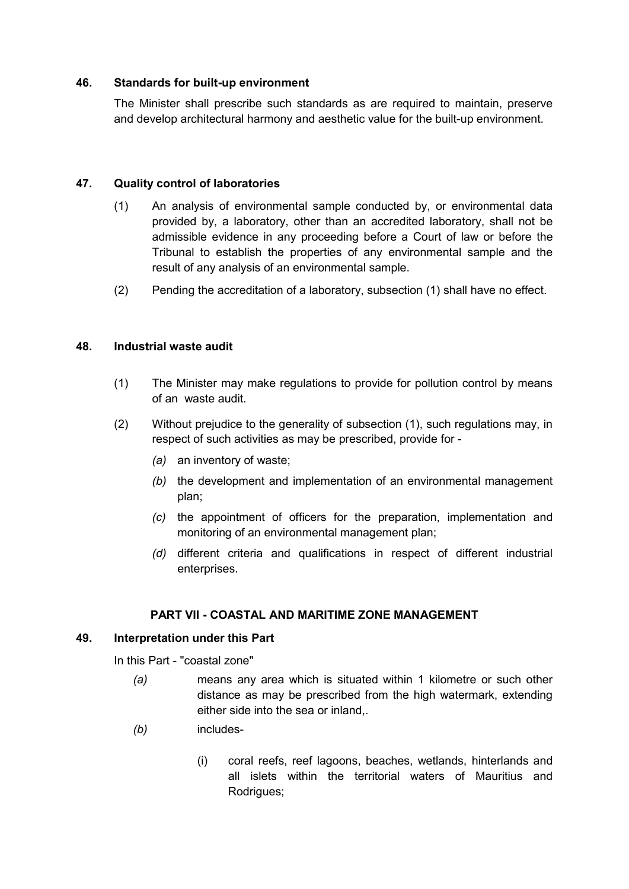### **46. Standards for built-up environment**

The Minister shall prescribe such standards as are required to maintain, preserve and develop architectural harmony and aesthetic value for the built-up environment.

### **47. Quality control of laboratories**

- (1) An analysis of environmental sample conducted by, or environmental data provided by, a laboratory, other than an accredited laboratory, shall not be admissible evidence in any proceeding before a Court of law or before the Tribunal to establish the properties of any environmental sample and the result of any analysis of an environmental sample.
- (2) Pending the accreditation of a laboratory, subsection (1) shall have no effect.

## **48. Industrial waste audit**

- (1) The Minister may make regulations to provide for pollution control by means of an waste audit.
- (2) Without prejudice to the generality of subsection (1), such regulations may, in respect of such activities as may be prescribed, provide for -
	- *(a)* an inventory of waste;
	- *(b)* the development and implementation of an environmental management plan;
	- *(c)* the appointment of officers for the preparation, implementation and monitoring of an environmental management plan;
	- *(d)* different criteria and qualifications in respect of different industrial enterprises.

# **PART VII - COASTAL AND MARITIME ZONE MANAGEMENT**

### **49. Interpretation under this Part**

In this Part - "coastal zone"

- *(a)* means any area which is situated within 1 kilometre or such other distance as may be prescribed from the high watermark, extending either side into the sea or inland,.
- *(b)* includes-
	- (i) coral reefs, reef lagoons, beaches, wetlands, hinterlands and all islets within the territorial waters of Mauritius and Rodrigues;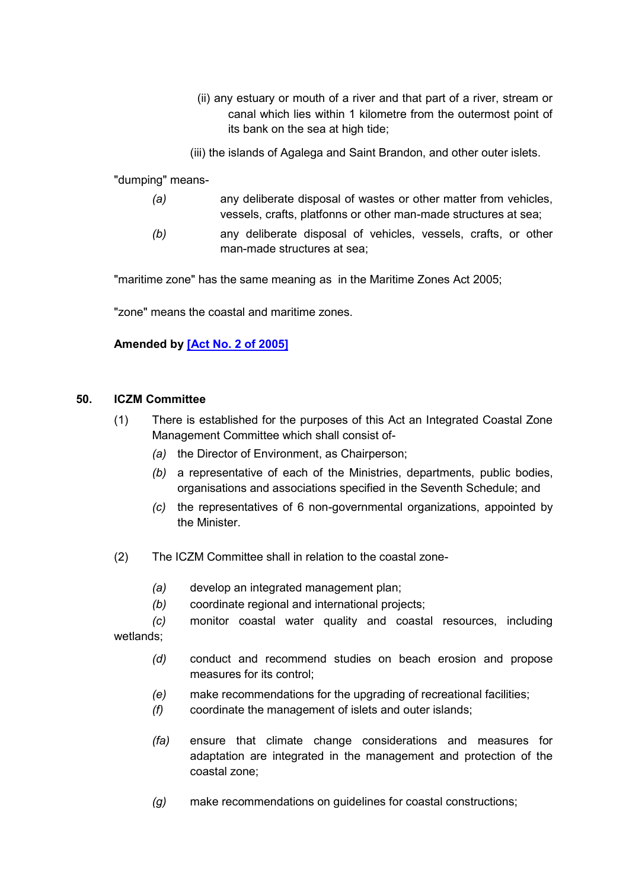- (ii) any estuary or mouth of a river and that part of a river, stream or canal which lies within 1 kilometre from the outermost point of its bank on the sea at high tide;
- (iii) the islands of Agalega and Saint Brandon, and other outer islets.

"dumping" means-

- *(a)* any deliberate disposal of wastes or other matter from vehicles, vessels, crafts, platfonns or other man-made structures at sea;
- *(b)* any deliberate disposal of vehicles, vessels, crafts, or other man-made structures at sea;

"maritime zone" has the same meaning as in the Maritime Zones Act 2005;

"zone" means the coastal and maritime zones.

# **Amended by [\[Act No. 2 of 2005\]](https://supremecourt.govmu.org/get-doc-link/Act_No._2_of_2005)**

### **50. ICZM Committee**

- (1) There is established for the purposes of this Act an Integrated Coastal Zone Management Committee which shall consist of-
	- *(a)* the Director of Environment, as Chairperson;
	- *(b)* a representative of each of the Ministries, departments, public bodies, organisations and associations specified in the Seventh Schedule; and
	- *(c)* the representatives of 6 non-governmental organizations, appointed by the Minister.
- (2) The ICZM Committee shall in relation to the coastal zone-
	- *(a)* develop an integrated management plan;
	- *(b)* coordinate regional and international projects;

*(c)* monitor coastal water quality and coastal resources, including wetlands;

- *(d)* conduct and recommend studies on beach erosion and propose measures for its control;
- *(e)* make recommendations for the upgrading of recreational facilities;
- *(f)* coordinate the management of islets and outer islands;
- *(fa)* ensure that climate change considerations and measures for adaptation are integrated in the management and protection of the coastal zone;
- *(g)* make recommendations on guidelines for coastal constructions;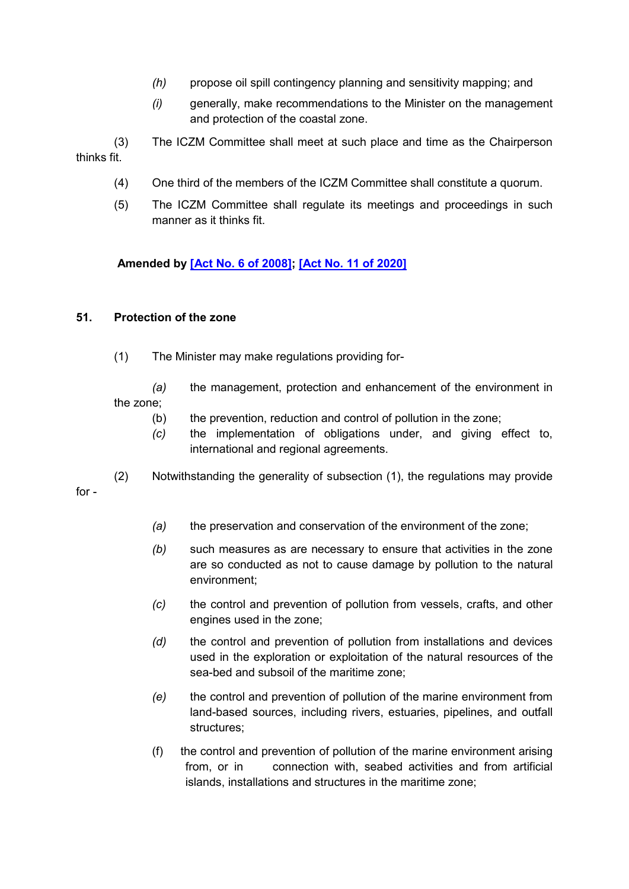- *(h)* propose oil spill contingency planning and sensitivity mapping; and
- *(i)* generally, make recommendations to the Minister on the management and protection of the coastal zone.

(3) The ICZM Committee shall meet at such place and time as the Chairperson thinks fit.

- (4) One third of the members of the ICZM Committee shall constitute a quorum.
- (5) The ICZM Committee shall regulate its meetings and proceedings in such manner as it thinks fit.

**Amended by [\[Act No. 6 of 2008\];](https://supremecourt.govmu.org/get-doc-link/Act_No._6_of_2008) [\[Act No. 11 of 2020\]](https://supremecourt.govmu.org/get-doc-link/Act_No._11_of_2020)**

### **51. Protection of the zone**

(1) The Minister may make regulations providing for-

*(a)* the management, protection and enhancement of the environment in the zone;

- (b) the prevention, reduction and control of pollution in the zone;
- *(c)* the implementation of obligations under, and giving effect to, international and regional agreements.

(2) Notwithstanding the generality of subsection (1), the regulations may provide for -

- *(a)* the preservation and conservation of the environment of the zone;
- *(b)* such measures as are necessary to ensure that activities in the zone are so conducted as not to cause damage by pollution to the natural environment;
- *(c)* the control and prevention of pollution from vessels, crafts, and other engines used in the zone;
- *(d)* the control and prevention of pollution from installations and devices used in the exploration or exploitation of the natural resources of the sea-bed and subsoil of the maritime zone;
- *(e)* the control and prevention of pollution of the marine environment from land-based sources, including rivers, estuaries, pipelines, and outfall structures;
- (f) the control and prevention of pollution of the marine environment arising from, or in connection with, seabed activities and from artificial islands, installations and structures in the maritime zone;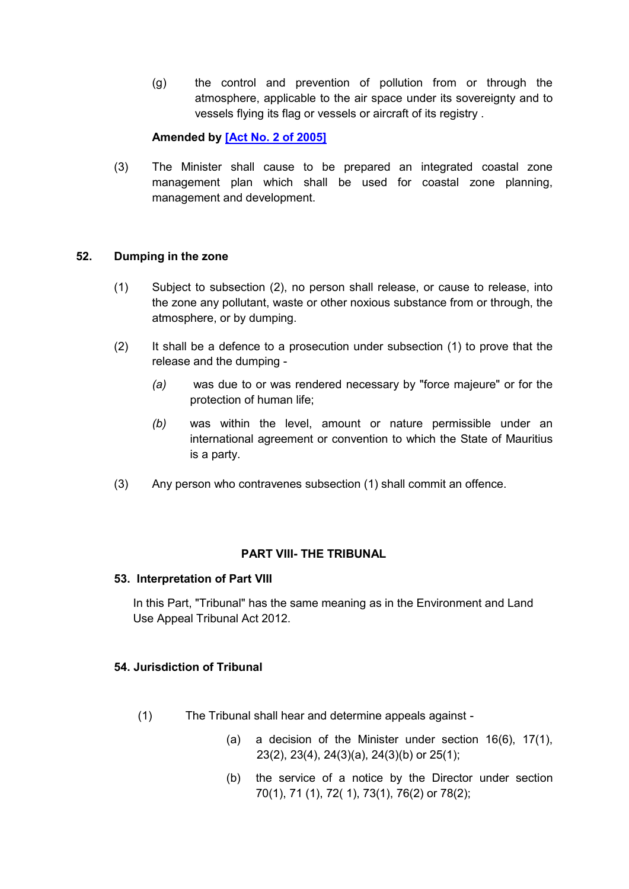(g) the control and prevention of pollution from or through the atmosphere, applicable to the air space under its sovereignty and to vessels flying its flag or vessels or aircraft of its registry .

### **Amended by [\[Act No. 2 of 2005\]](https://supremecourt.govmu.org/get-doc-link/Act_No._2_of_2005)**

(3) The Minister shall cause to be prepared an integrated coastal zone management plan which shall be used for coastal zone planning, management and development.

### **52. Dumping in the zone**

- (1) Subject to subsection (2), no person shall release, or cause to release, into the zone any pollutant, waste or other noxious substance from or through, the atmosphere, or by dumping.
- (2) It shall be a defence to a prosecution under subsection (1) to prove that the release and the dumping -
	- *(a)* was due to or was rendered necessary by "force majeure" or for the protection of human life;
	- *(b)* was within the level, amount or nature permissible under an international agreement or convention to which the State of Mauritius is a party.
- (3) Any person who contravenes subsection (1) shall commit an offence.

### **PART VIII- THE TRIBUNAL**

### **53. Interpretation of Part VIII**

In this Part, "Tribunal" has the same meaning as in the Environment and Land Use Appeal Tribunal Act 2012.

### **54. Jurisdiction of Tribunal**

- (1) The Tribunal shall hear and determine appeals against
	- (a) a decision of the Minister under section 16(6), 17(1), 23(2), 23(4), 24(3)(a), 24(3)(b) or 25(1);
	- (b) the service of a notice by the Director under section 70(1), 71 (1), 72( 1), 73(1), 76(2) or 78(2);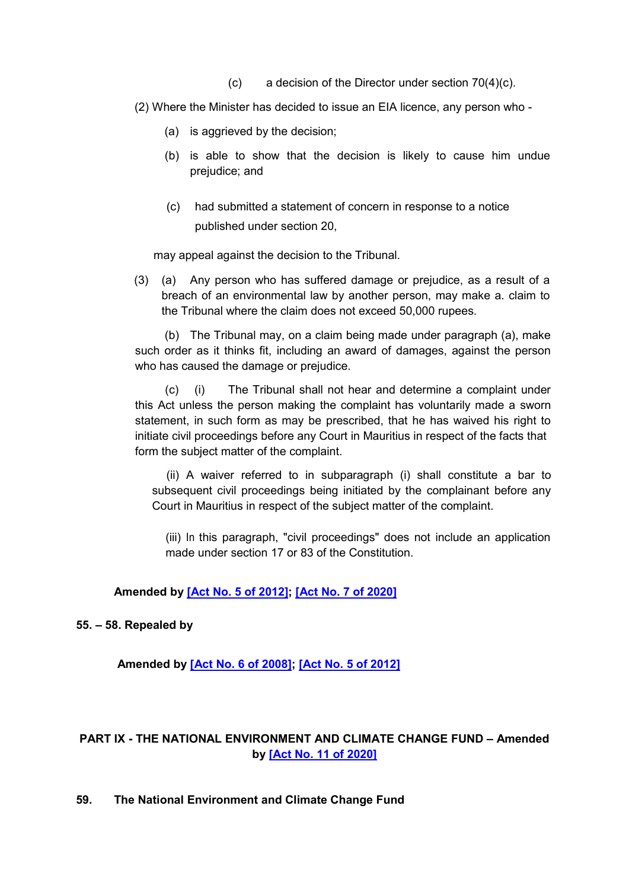(c) a decision of the Director under section  $70(4)(c)$ .

(2) Where the Minister has decided to issue an EIA licence, any person who -

- (a) is aggrieved by the decision;
- (b) is able to show that the decision is likely to cause him undue prejudice; and
- (c) had submitted a statement of concern in response to a notice published under section 20,

may appeal against the decision to the Tribunal.

(3) (a) Any person who has suffered damage or prejudice, as a result of a breach of an environmental law by another person, may make a. claim to the Tribunal where the claim does not exceed 50,000 rupees.

(b) The Tribunal may, on a claim being made under paragraph (a), make such order as it thinks fit, including an award of damages, against the person who has caused the damage or prejudice.

(c) (i) The Tribunal shall not hear and determine a complaint under this Act unless the person making the complaint has voluntarily made a sworn statement, in such form as may be prescribed, that he has waived his right to initiate civil proceedings before any Court in Mauritius in respect of the facts that form the subject matter of the complaint.

(ii) A waiver referred to in subparagraph (i) shall constitute a bar to subsequent civil proceedings being initiated by the complainant before any Court in Mauritius in respect of the subject matter of the complaint.

(iii) In this paragraph, "civil proceedings" does not include an application made under section 17 or 83 of the Constitution.

### **Amended by [\[Act No. 5 of 2012\];](https://supremecourt.govmu.org/get-doc-link/Act_No._5_of_2012) [\[Act No. 7 of 2020\]](https://supremecourt.govmu.org/get-doc-link/Act_No._7_of_2020)**

### **55. – 58. Repealed by**

**Amended by [\[Act No. 6 of 2008\];](https://supremecourt.govmu.org/get-doc-link/Act_No._6_of_2008) [\[Act No. 5 of 2012\]](https://supremecourt.govmu.org/get-doc-link/Act_No._5_of_2012)**

# **PART IX - THE NATIONAL ENVIRONMENT AND CLIMATE CHANGE FUND – Amended by [\[Act No. 11 of 2020\]](https://supremecourt.govmu.org/get-doc-link/Act_No._11_of_2020)**

**59. The National Environment and Climate Change Fund**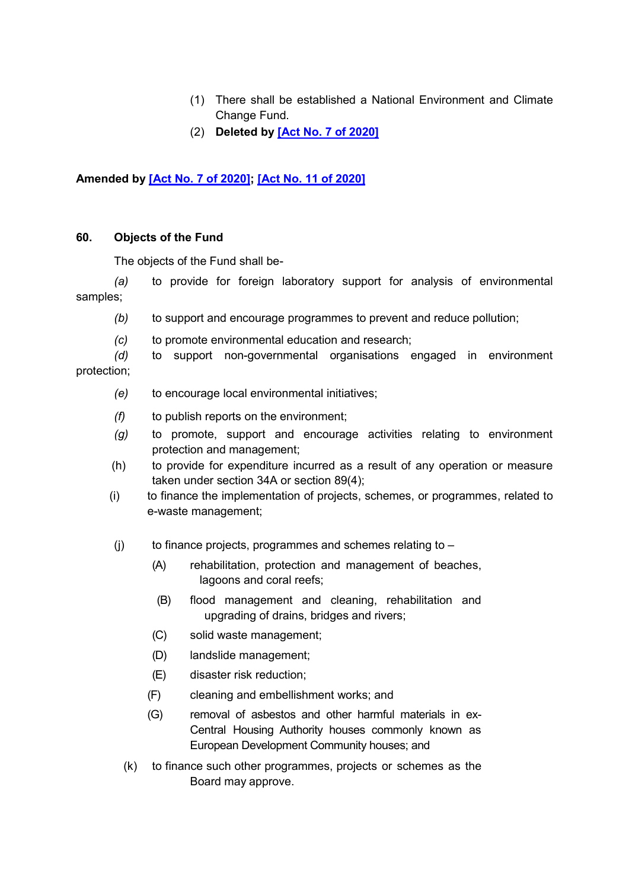- (1) There shall be established a National Environment and Climate Change Fund.
- (2) **Deleted by [\[Act No. 7 of 2020\]](https://supremecourt.govmu.org/get-doc-link/Act_No._7_of_2020)**

# **Amended by [\[Act No. 7 of 2020\];](https://supremecourt.govmu.org/get-doc-link/Act_No._7_of_2020) [\[Act No. 11 of 2020\]](https://supremecourt.govmu.org/get-doc-link/Act_No._11_of_2020)**

### **60. Objects of the Fund**

The objects of the Fund shall be-

*(a)* to provide for foreign laboratory support for analysis of environmental samples;

- *(b)* to support and encourage programmes to prevent and reduce pollution;
- *(c)* to promote environmental education and research;

*(d)* to support non-governmental organisations engaged in environment protection;

- *(e)* to encourage local environmental initiatives;
- *(f)* to publish reports on the environment;
- *(g)* to promote, support and encourage activities relating to environment protection and management;
- (h) to provide for expenditure incurred as a result of any operation or measure taken under section 34A or section 89(4);
- (i) to finance the implementation of projects, schemes, or programmes, related to e-waste management;
- $(j)$  to finance projects, programmes and schemes relating to
	- (A) rehabilitation, protection and management of beaches, lagoons and coral reefs;
	- (B) flood management and cleaning, rehabilitation and upgrading of drains, bridges and rivers;
	- (C) solid waste management;
	- (D) landslide management;
	- (E) disaster risk reduction;
	- (F) cleaning and embellishment works; and
	- (G) removal of asbestos and other harmful materials in ex-Central Housing Authority houses commonly known as European Development Community houses; and
	- (k) to finance such other programmes, projects or schemes as the Board may approve.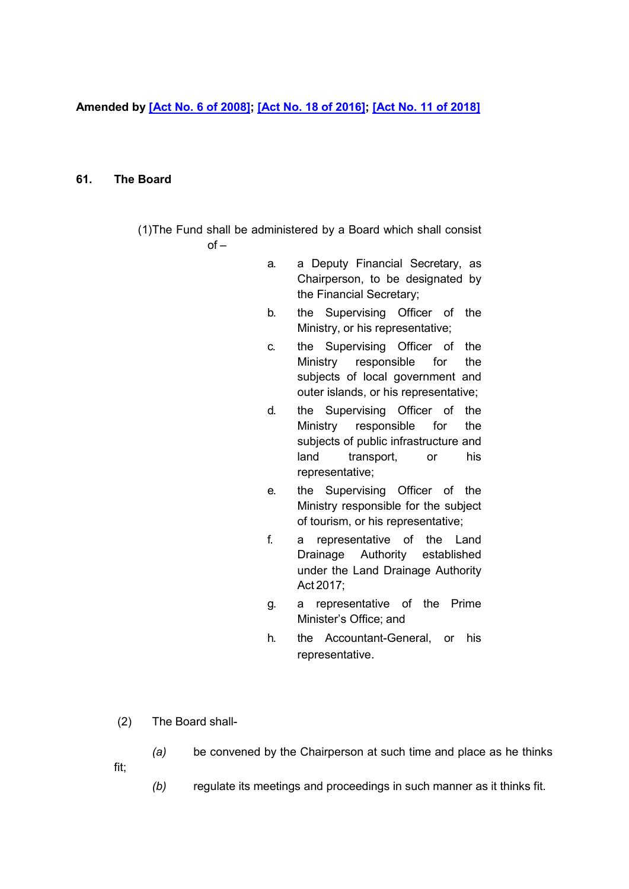**Amended by [\[Act No. 6](https://supremecourt.govmu.org/get-doc-link/Act_No._6_of_2008) of 2008]; [\[Act No. 18 of 2016\];](https://supremecourt.govmu.org/get-doc-link/Act_No._18_of_2016) [\[Act No. 11 of 2018\]](https://supremecourt.govmu.org/get-doc-link/Act_No._11_of_2018)**

### **61. The Board**

- (1)The Fund shall be administered by a Board which shall consist  $of$ 
	- a. a Deputy Financial Secretary, as Chairperson, to be designated by the Financial Secretary;
	- b. the Supervising Officer of the Ministry, or his representative;
	- c. the Supervising Officer of the Ministry responsible for the subjects of local government and outer islands, or his representative;
	- d. the Supervising Officer of the Ministry responsible for the subjects of public infrastructure and land transport, or his representative;
	- e. the Supervising Officer of the Ministry responsible for the subject of tourism, or his representative;
	- f. a representative of the Land Drainage Authority established under the Land Drainage Authority Act 2017;
	- g. a representative of the Prime Minister's Office; and
	- h. the Accountant-General, or his representative.
- (2) The Board shall-
	- *(a)* be convened by the Chairperson at such time and place as he thinks
- fit;
- *(b)* regulate its meetings and proceedings in such manner as it thinks fit.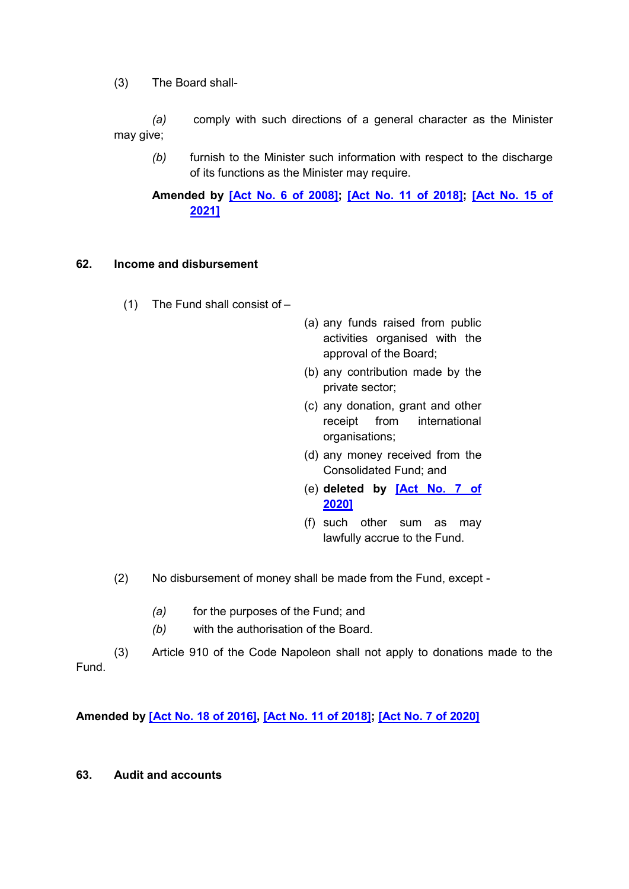(3) The Board shall-

*(a)* comply with such directions of a general character as the Minister may give;

*(b)* furnish to the Minister such information with respect to the discharge of its functions as the Minister may require.

**Amended by [\[Act No. 6 of 2008\];](https://supremecourt.govmu.org/get-doc-link/Act_No._6_of_2008) [\[Act No. 11 of 2018\];](https://supremecourt.govmu.org/get-doc-link/Act_No._11_of_2018) [\[Act No. 15 of](https://supremecourt.govmu.org/get-doc-link/Act_No._15_of_2021)  [2021\]](https://supremecourt.govmu.org/get-doc-link/Act_No._15_of_2021)**

## **62. Income and disbursement**

- (1) The Fund shall consist of –
- (a) any funds raised from public activities organised with the approval of the Board;
- (b) any contribution made by the private sector;
- (c) any donation, grant and other receipt from international organisations;
- (d) any money received from the Consolidated Fund; and
- (e) **deleted by [\[Act No. 7 of](https://supremecourt.govmu.org/get-doc-link/Act_No._7_of_2020)  [2020\]](https://supremecourt.govmu.org/get-doc-link/Act_No._7_of_2020)**
- (f) such other sum as may lawfully accrue to the Fund.
- (2) No disbursement of money shall be made from the Fund, except
	- *(a)* for the purposes of the Fund; and
	- *(b)* with the authorisation of the Board.

(3) Article 910 of the Code Napoleon shall not apply to donations made to the Fund.

**Amended by [\[Act No. 18 of 2016\],](https://supremecourt.govmu.org/get-doc-link/Act_No._18_of_2016) [\[Act No. 11 of 2018\];](https://supremecourt.govmu.org/get-doc-link/Act_No._11_of_2018) [\[Act No. 7 of 2020\]](https://supremecourt.govmu.org/get-doc-link/Act_No._7_of_2020)**

**63. Audit and accounts**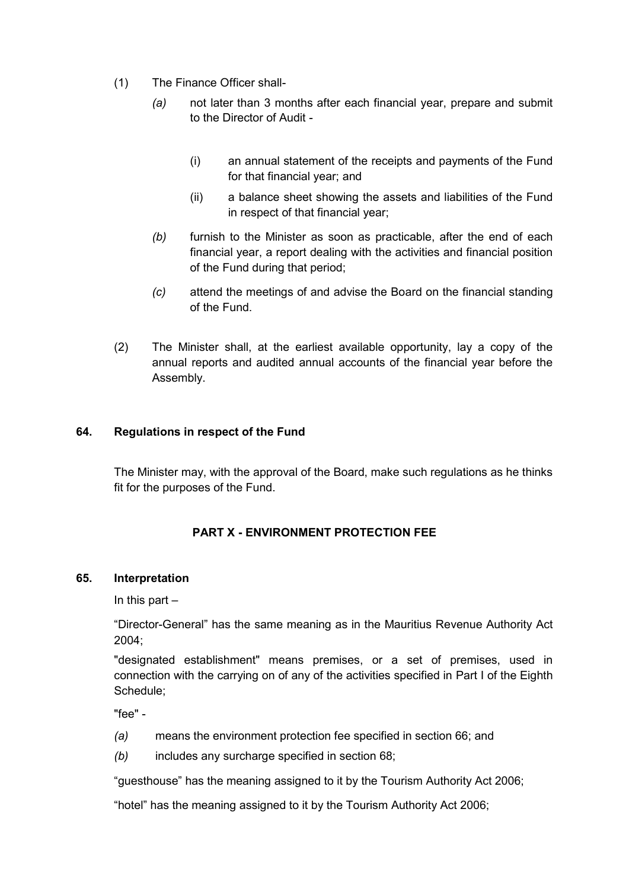- (1) The Finance Officer shall-
	- *(a)* not later than 3 months after each financial year, prepare and submit to the Director of Audit -
		- (i) an annual statement of the receipts and payments of the Fund for that financial year; and
		- (ii) a balance sheet showing the assets and liabilities of the Fund in respect of that financial year;
	- *(b)* furnish to the Minister as soon as practicable, after the end of each financial year, a report dealing with the activities and financial position of the Fund during that period;
	- *(c)* attend the meetings of and advise the Board on the financial standing of the Fund.
- (2) The Minister shall, at the earliest available opportunity, lay a copy of the annual reports and audited annual accounts of the financial year before the Assembly.

## **64. Regulations in respect of the Fund**

The Minister may, with the approval of the Board, make such regulations as he thinks fit for the purposes of the Fund.

# **PART X - ENVIRONMENT PROTECTION FEE**

### **65. Interpretation**

In this part –

"Director-General" has the same meaning as in the Mauritius Revenue Authority Act 2004;

"designated establishment" means premises, or a set of premises, used in connection with the carrying on of any of the activities specified in Part I of the Eighth Schedule;

"fee" -

- *(a)* means the environment protection fee specified in section 66; and
- *(b)* includes any surcharge specified in section 68;

"guesthouse" has the meaning assigned to it by the Tourism Authority Act 2006;

"hotel" has the meaning assigned to it by the Tourism Authority Act 2006;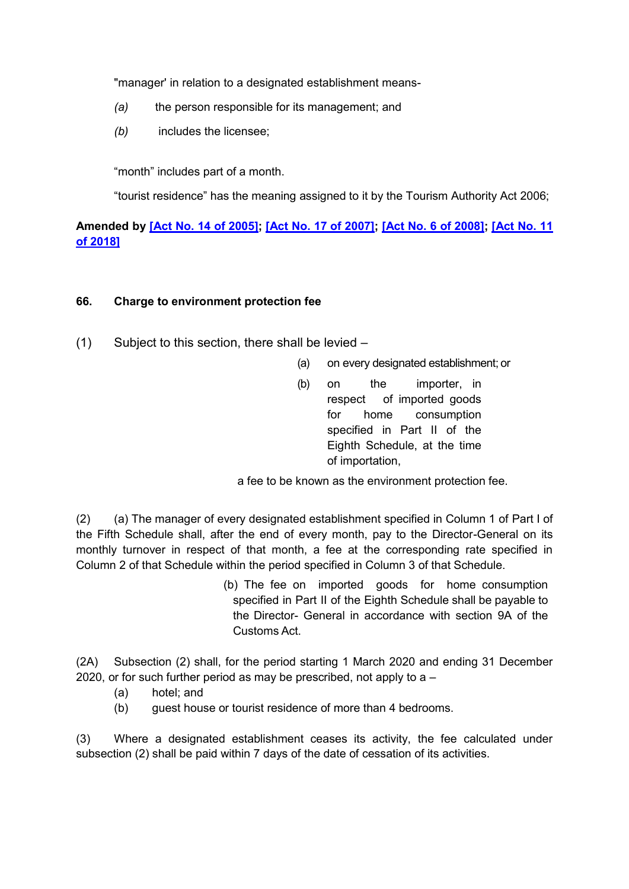"manager' in relation to a designated establishment means-

- *(a)* the person responsible for its management; and
- *(b)* includes the licensee;

"month" includes part of a month.

"tourist residence" has the meaning assigned to it by the Tourism Authority Act 2006;

**Amended by [\[Act No. 14 of 2005\];](https://supremecourt.govmu.org/get-doc-link/Act_No._14_of_2005) [\[Act No. 17 of 2007\];](https://supremecourt.govmu.org/get-doc-link/Act_No._17_of_2007) [\[Act No. 6 of 2008\];](https://supremecourt.govmu.org/get-doc-link/Act_No._6_of_2008) [\[Act No. 11](https://supremecourt.govmu.org/get-doc-link/Act_No._11_of_2018)  [of 2018\]](https://supremecourt.govmu.org/get-doc-link/Act_No._11_of_2018)**

### **66. Charge to environment protection fee**

- (1) Subject to this section, there shall be levied
	- (a) on every designated establishment; or
	- (b) on the importer, in respect of imported goods for home consumption specified in Part II of the Eighth Schedule, at the time of importation,

a fee to be known as the environment protection fee.

(2) (a) The manager of every designated establishment specified in Column 1 of Part I of the Fifth Schedule shall, after the end of every month, pay to the Director-General on its monthly turnover in respect of that month, a fee at the corresponding rate specified in Column 2 of that Schedule within the period specified in Column 3 of that Schedule.

> (b) The fee on imported goods for home consumption specified in Part II of the Eighth Schedule shall be payable to the Director- General in accordance with section 9A of the Customs Act.

(2A) Subsection (2) shall, for the period starting 1 March 2020 and ending 31 December 2020, or for such further period as may be prescribed, not apply to  $a -$ 

- (a) hotel; and
- (b) guest house or tourist residence of more than 4 bedrooms.

(3) Where a designated establishment ceases its activity, the fee calculated under subsection (2) shall be paid within 7 days of the date of cessation of its activities.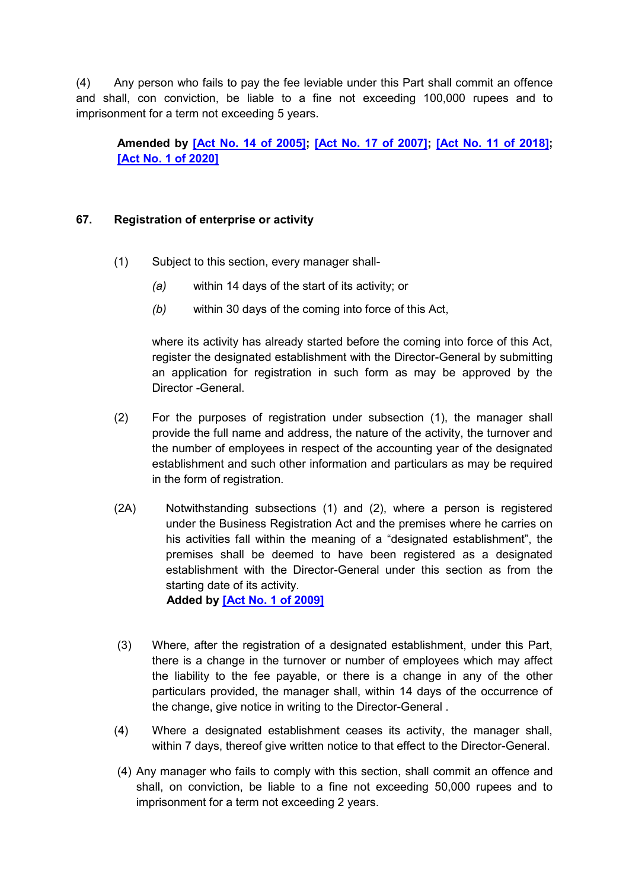(4) Any person who fails to pay the fee leviable under this Part shall commit an offence and shall, con conviction, be liable to a fine not exceeding 100,000 rupees and to imprisonment for a term not exceeding 5 years.

**Amended by [\[Act No. 14 of 2005\];](https://supremecourt.govmu.org/get-doc-link/Act_No._14_of_2005) [\[Act No. 17 of 2007\];](https://supremecourt.govmu.org/get-doc-link/Act_No._17_of_2007) [\[Act No. 11 of 2018\];](https://supremecourt.govmu.org/get-doc-link/Act_No._11_of_2018) [\[Act No. 1 of 2020\]](https://supremecourt.govmu.org/get-doc-link/Act_No._1_of_2020)**

## **67. Registration of enterprise or activity**

- (1) Subject to this section, every manager shall-
	- *(a)* within 14 days of the start of its activity; or
	- *(b)* within 30 days of the coming into force of this Act,

where its activity has already started before the coming into force of this Act, register the designated establishment with the Director-General by submitting an application for registration in such form as may be approved by the Director -General.

- (2) For the purposes of registration under subsection (1), the manager shall provide the full name and address, the nature of the activity, the turnover and the number of employees in respect of the accounting year of the designated establishment and such other information and particulars as may be required in the form of registration.
- (2A) Notwithstanding subsections (1) and (2), where a person is registered under the Business Registration Act and the premises where he carries on his activities fall within the meaning of a "designated establishment", the premises shall be deemed to have been registered as a designated establishment with the Director-General under this section as from the starting date of its activity.  **Added by [\[Act No. 1 of 2009\]](https://supremecourt.govmu.org/get-doc-link/Act_No._1_of_2009)**

(3) Where, after the registration of a designated establishment, under this Part, there is a change in the turnover or number of employees which may affect the liability to the fee payable, or there is a change in any of the other particulars provided, the manager shall, within 14 days of the occurrence of

the change, give notice in writing to the Director-General .

- (4) Where a designated establishment ceases its activity, the manager shall, within 7 days, thereof give written notice to that effect to the Director-General.
- (4) Any manager who fails to comply with this section, shall commit an offence and shall, on conviction, be liable to a fine not exceeding 50,000 rupees and to imprisonment for a term not exceeding 2 years.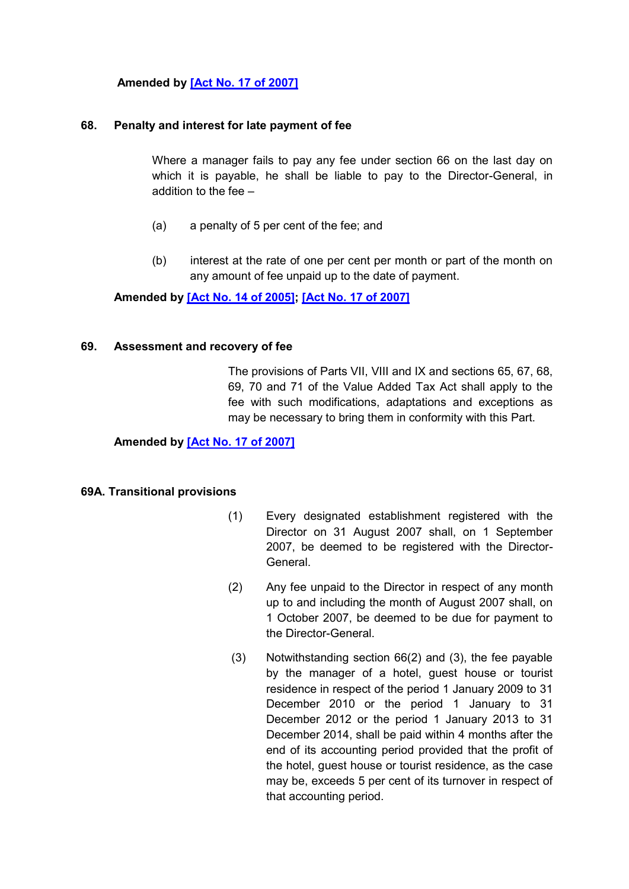## **Amended by [\[Act No. 17 of 2007\]](https://supremecourt.govmu.org/get-doc-link/Act_No._17_of_2007)**

#### **68. Penalty and interest for late payment of fee**

Where a manager fails to pay any fee under section 66 on the last day on which it is payable, he shall be liable to pay to the Director-General, in addition to the fee –

- (a) a penalty of 5 per cent of the fee; and
- (b) interest at the rate of one per cent per month or part of the month on any amount of fee unpaid up to the date of payment.

**Amended by [\[Act No. 14 of 2005\];](https://supremecourt.govmu.org/get-doc-link/Act_No._14_of_2005) [\[Act No. 17 of 2007\]](https://supremecourt.govmu.org/get-doc-link/Act_No._17_of_2007)**

#### **69. Assessment and recovery of fee**

The provisions of Parts VII, VIII and IX and sections 65, 67, 68, 69, 70 and 71 of the Value Added Tax Act shall apply to the fee with such modifications, adaptations and exceptions as may be necessary to bring them in conformity with this Part.

**Amended by [\[Act No. 17 of 2007\]](https://supremecourt.govmu.org/get-doc-link/Act_No._17_of_2007)**

#### **69A. Transitional provisions**

- (1) Every designated establishment registered with the Director on 31 August 2007 shall, on 1 September 2007, be deemed to be registered with the Director-General.
- (2) Any fee unpaid to the Director in respect of any month up to and including the month of August 2007 shall, on 1 October 2007, be deemed to be due for payment to the Director-General.
- (3) Notwithstanding section 66(2) and (3), the fee payable by the manager of a hotel, guest house or tourist residence in respect of the period 1 January 2009 to 31 December 2010 or the period 1 January to 31 December 2012 or the period 1 January 2013 to 31 December 2014, shall be paid within 4 months after the end of its accounting period provided that the profit of the hotel, guest house or tourist residence, as the case may be, exceeds 5 per cent of its turnover in respect of that accounting period.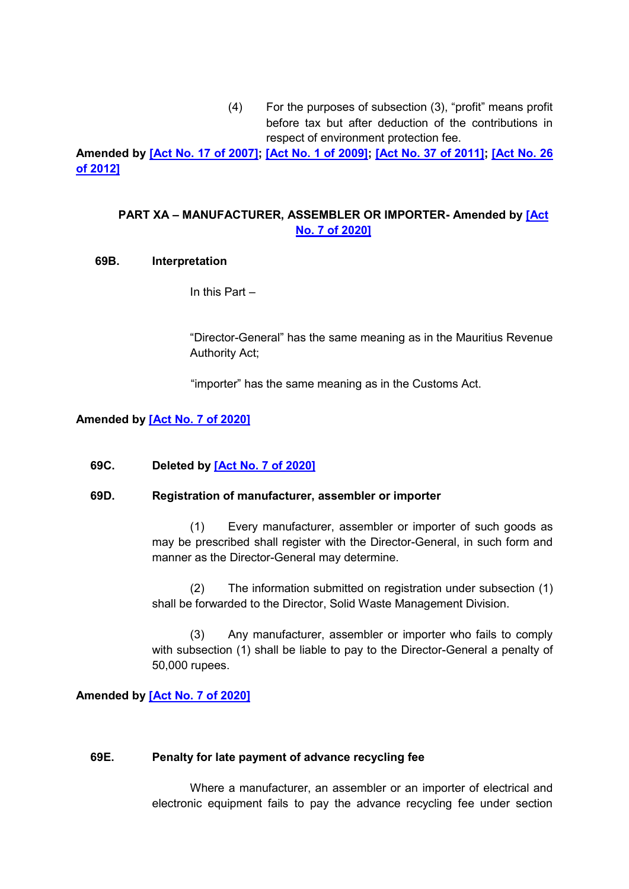(4) For the purposes of subsection (3), "profit" means profit before tax but after deduction of the contributions in respect of environment protection fee.

**Amended by [\[Act No. 17 of 2007\];](https://supremecourt.govmu.org/get-doc-link/Act_No._17_of_2007) [\[Act No. 1 of 2009\];](https://supremecourt.govmu.org/get-doc-link/Act_No._1_of_2009) [\[Act No. 37 of 2011\];](https://supremecourt.govmu.org/get-doc-link/Act_No._37_of_2011) [\[Act No. 26](https://supremecourt.govmu.org/get-doc-link/Act_No._26_of_2012)  [of 2012\]](https://supremecourt.govmu.org/get-doc-link/Act_No._26_of_2012)**

# **PART XA – MANUFACTURER, ASSEMBLER OR IMPORTER- Amended by [\[Act](https://supremecourt.govmu.org/get-doc-link/Act_No._7_of_2020)  [No. 7 of 2020\]](https://supremecourt.govmu.org/get-doc-link/Act_No._7_of_2020)**

### **69B. Interpretation**

In this Part –

"Director-General" has the same meaning as in the Mauritius Revenue Authority Act;

"importer" has the same meaning as in the Customs Act.

## **Amended by [\[Act No. 7 of 2020\]](https://supremecourt.govmu.org/get-doc-link/Act_No._7_of_2020)**

### **69C. Deleted by [\[Act No. 7 of 2020\]](https://supremecourt.govmu.org/get-doc-link/Act_No._7_of_2020)**

### **69D. Registration of manufacturer, assembler or importer**

(1) Every manufacturer, assembler or importer of such goods as may be prescribed shall register with the Director-General, in such form and manner as the Director-General may determine.

(2) The information submitted on registration under subsection (1) shall be forwarded to the Director, Solid Waste Management Division.

(3) Any manufacturer, assembler or importer who fails to comply with subsection (1) shall be liable to pay to the Director-General a penalty of 50,000 rupees.

### **Amended by [\[Act No. 7 of 2020\]](https://supremecourt.govmu.org/get-doc-link/Act_No._7_of_2020)**

#### **69E. Penalty for late payment of advance recycling fee**

Where a manufacturer, an assembler or an importer of electrical and electronic equipment fails to pay the advance recycling fee under section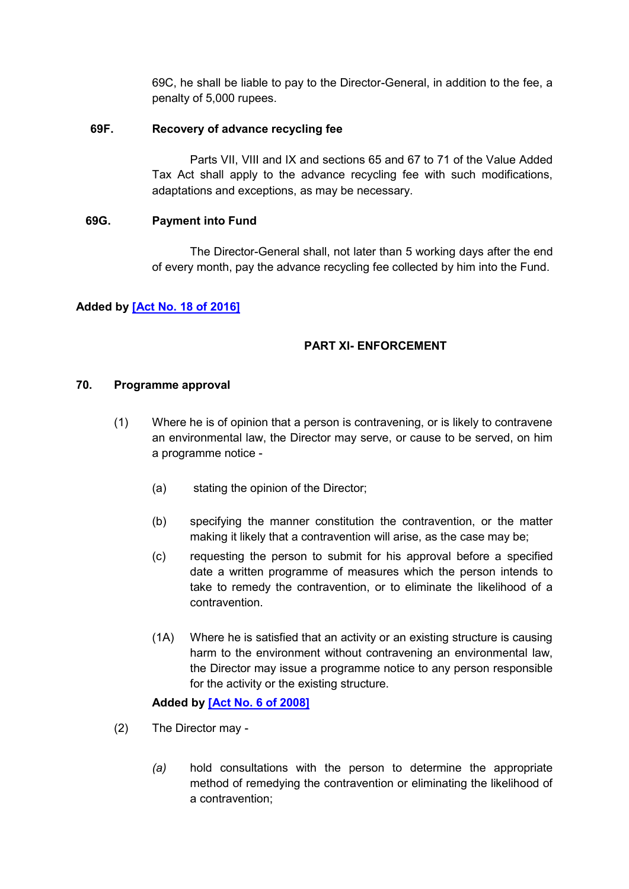69C, he shall be liable to pay to the Director-General, in addition to the fee, a penalty of 5,000 rupees.

### **69F. Recovery of advance recycling fee**

Parts VII, VIII and IX and sections 65 and 67 to 71 of the Value Added Tax Act shall apply to the advance recycling fee with such modifications, adaptations and exceptions, as may be necessary.

### **69G. Payment into Fund**

The Director-General shall, not later than 5 working days after the end of every month, pay the advance recycling fee collected by him into the Fund.

## **Added by [\[Act No. 18 of 2016\]](https://supremecourt.govmu.org/get-doc-link/Act_No._18_of_2016)**

# **PART XI- ENFORCEMENT**

### **70. Programme approval**

- (1) Where he is of opinion that a person is contravening, or is likely to contravene an environmental law, the Director may serve, or cause to be served, on him a programme notice -
	- (a) stating the opinion of the Director;
	- (b) specifying the manner constitution the contravention, or the matter making it likely that a contravention will arise, as the case may be;
	- (c) requesting the person to submit for his approval before a specified date a written programme of measures which the person intends to take to remedy the contravention, or to eliminate the likelihood of a contravention.
	- (1A) Where he is satisfied that an activity or an existing structure is causing harm to the environment without contravening an environmental law, the Director may issue a programme notice to any person responsible for the activity or the existing structure.

# **Added by [\[Act No. 6 of 2008\]](https://supremecourt.govmu.org/get-doc-link/Act_No._6_of_2008)**

- (2) The Director may
	- *(a)* hold consultations with the person to determine the appropriate method of remedying the contravention or eliminating the likelihood of a contravention;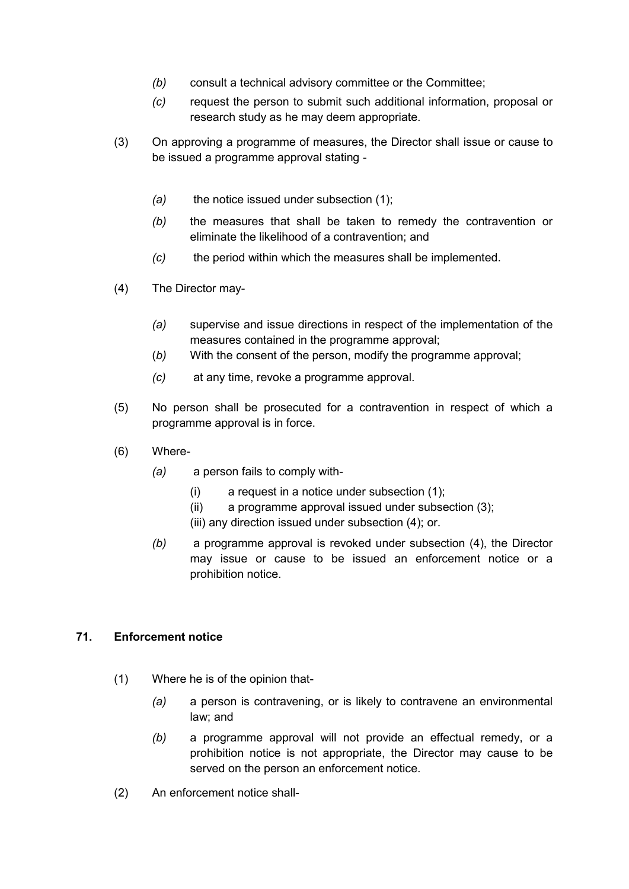- *(b)* consult a technical advisory committee or the Committee;
- *(c)* request the person to submit such additional information, proposal or research study as he may deem appropriate.
- (3) On approving a programme of measures, the Director shall issue or cause to be issued a programme approval stating -
	- *(a)* the notice issued under subsection (1);
	- *(b)* the measures that shall be taken to remedy the contravention or eliminate the likelihood of a contravention; and
	- *(c)* the period within which the measures shall be implemented.
- (4) The Director may-
	- *(a)* supervise and issue directions in respect of the implementation of the measures contained in the programme approval;
	- (*b)* With the consent of the person, modify the programme approval;
	- *(c)* at any time, revoke a programme approval.
- (5) No person shall be prosecuted for a contravention in respect of which a programme approval is in force.
- (6) Where-
	- *(a)* a person fails to comply with-
		- $(i)$  a request in a notice under subsection  $(1)$ ;
		- (ii) a programme approval issued under subsection (3);
		- (iii) any direction issued under subsection (4); or.
	- *(b)* a programme approval is revoked under subsection (4), the Director may issue or cause to be issued an enforcement notice or a prohibition notice.

# **71. Enforcement notice**

- (1) Where he is of the opinion that-
	- *(a)* a person is contravening, or is likely to contravene an environmental law; and
	- *(b)* a programme approval will not provide an effectual remedy, or a prohibition notice is not appropriate, the Director may cause to be served on the person an enforcement notice.
- (2) An enforcement notice shall-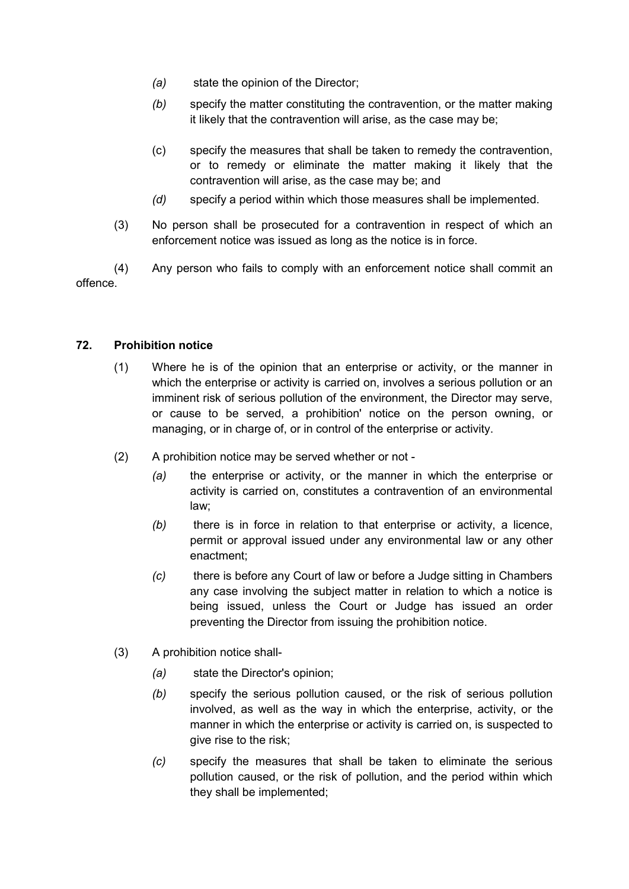- *(a)* state the opinion of the Director;
- *(b)* specify the matter constituting the contravention, or the matter making it likely that the contravention will arise, as the case may be;
- (c) specify the measures that shall be taken to remedy the contravention, or to remedy or eliminate the matter making it likely that the contravention will arise, as the case may be; and
- *(d)* specify a period within which those measures shall be implemented.
- (3) No person shall be prosecuted for a contravention in respect of which an enforcement notice was issued as long as the notice is in force.

(4) Any person who fails to comply with an enforcement notice shall commit an offence.

## **72. Prohibition notice**

- (1) Where he is of the opinion that an enterprise or activity, or the manner in which the enterprise or activity is carried on, involves a serious pollution or an imminent risk of serious pollution of the environment, the Director may serve, or cause to be served, a prohibition' notice on the person owning, or managing, or in charge of, or in control of the enterprise or activity.
- (2) A prohibition notice may be served whether or not
	- *(a)* the enterprise or activity, or the manner in which the enterprise or activity is carried on, constitutes a contravention of an environmental law;
	- *(b)* there is in force in relation to that enterprise or activity, a licence, permit or approval issued under any environmental law or any other enactment;
	- *(c)* there is before any Court of law or before a Judge sitting in Chambers any case involving the subject matter in relation to which a notice is being issued, unless the Court or Judge has issued an order preventing the Director from issuing the prohibition notice.
- (3) A prohibition notice shall-
	- *(a)* state the Director's opinion;
	- *(b)* specify the serious pollution caused, or the risk of serious pollution involved, as well as the way in which the enterprise, activity, or the manner in which the enterprise or activity is carried on, is suspected to give rise to the risk;
	- *(c)* specify the measures that shall be taken to eliminate the serious pollution caused, or the risk of pollution, and the period within which they shall be implemented;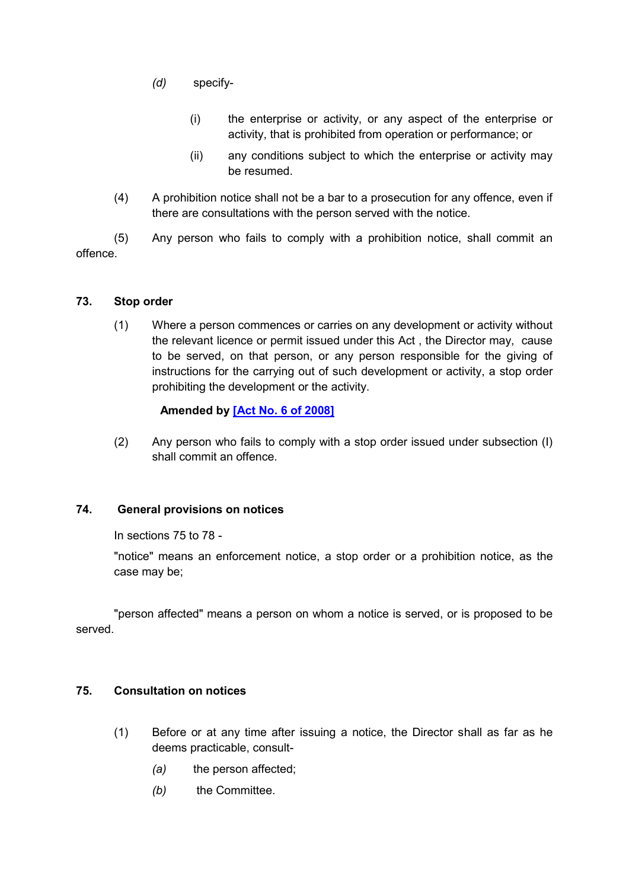- *(d)* specify-
	- (i) the enterprise or activity, or any aspect of the enterprise or activity, that is prohibited from operation or performance; or
	- (ii) any conditions subject to which the enterprise or activity may be resumed.
- (4) A prohibition notice shall not be a bar to a prosecution for any offence, even if there are consultations with the person served with the notice.

(5) Any person who fails to comply with a prohibition notice, shall commit an offence.

### **73. Stop order**

(1) Where a person commences or carries on any development or activity without the relevant licence or permit issued under this Act , the Director may, cause to be served, on that person, or any person responsible for the giving of instructions for the carrying out of such development or activity, a stop order prohibiting the development or the activity.

## **Amended by [\[Act No. 6 of 2008\]](https://supremecourt.govmu.org/get-doc-link/Act_No._6_of_2008)**

(2) Any person who fails to comply with a stop order issued under subsection (I) shall commit an offence.

# **74. General provisions on notices**

In sections 75 to 78 -

"notice" means an enforcement notice, a stop order or a prohibition notice, as the case may be;

"person affected" means a person on whom a notice is served, or is proposed to be served.

### **75. Consultation on notices**

- (1) Before or at any time after issuing a notice, the Director shall as far as he deems practicable, consult-
	- *(a)* the person affected;
	- *(b)* the Committee.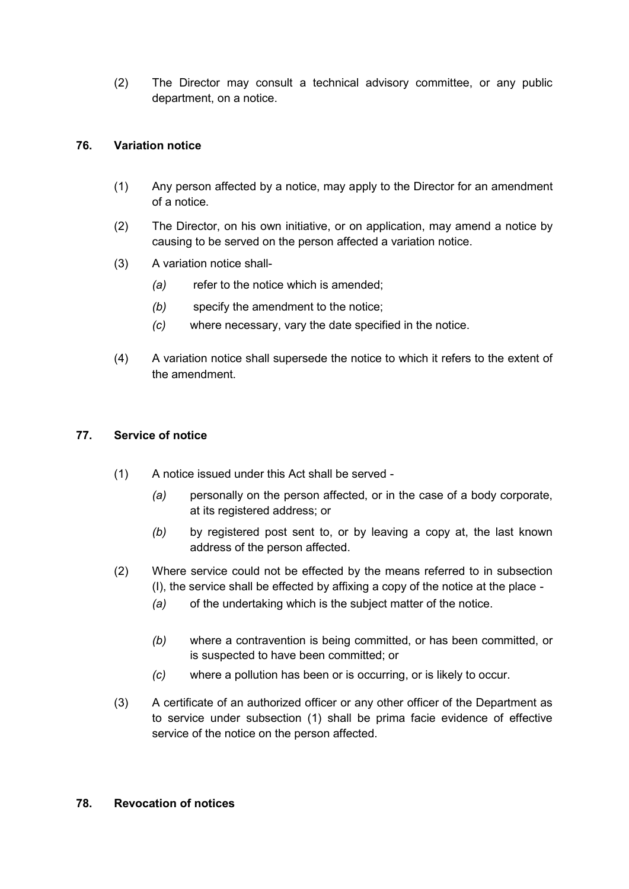(2) The Director may consult a technical advisory committee, or any public department, on a notice.

## **76. Variation notice**

- (1) Any person affected by a notice, may apply to the Director for an amendment of a notice.
- (2) The Director, on his own initiative, or on application, may amend a notice by causing to be served on the person affected a variation notice.
- (3) A variation notice shall-
	- *(a)* refer to the notice which is amended;
	- *(b)* specify the amendment to the notice;
	- *(c)* where necessary, vary the date specified in the notice.
- (4) A variation notice shall supersede the notice to which it refers to the extent of the amendment.

### **77. Service of notice**

- (1) A notice issued under this Act shall be served
	- *(a)* personally on the person affected, or in the case of a body corporate, at its registered address; or
	- *(b)* by registered post sent to, or by leaving a copy at, the last known address of the person affected.
- (2) Where service could not be effected by the means referred to in subsection (I), the service shall be effected by affixing a copy of the notice at the place -
	- *(a)* of the undertaking which is the subject matter of the notice.
	- *(b)* where a contravention is being committed, or has been committed, or is suspected to have been committed; or
	- *(c)* where a pollution has been or is occurring, or is likely to occur.
- (3) A certificate of an authorized officer or any other officer of the Department as to service under subsection (1) shall be prima facie evidence of effective service of the notice on the person affected.

#### **78. Revocation of notices**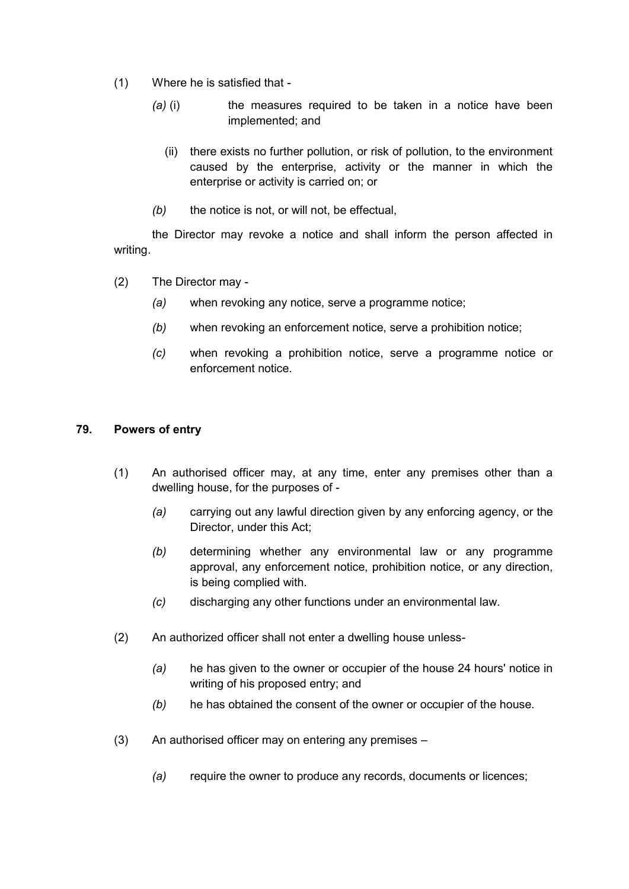- (1) Where he is satisfied that
	- *(a) (i)* the measures required to be taken in a notice have been implemented; and
		- (ii) there exists no further pollution, or risk of pollution, to the environment caused by the enterprise, activity or the manner in which the enterprise or activity is carried on; or
	- *(b)* the notice is not, or will not, be effectual,

the Director may revoke a notice and shall inform the person affected in writing.

- (2) The Director may
	- *(a)* when revoking any notice, serve a programme notice;
	- *(b)* when revoking an enforcement notice, serve a prohibition notice;
	- *(c)* when revoking a prohibition notice, serve a programme notice or enforcement notice.

### **79. Powers of entry**

- (1) An authorised officer may, at any time, enter any premises other than a dwelling house, for the purposes of -
	- *(a)* carrying out any lawful direction given by any enforcing agency, or the Director, under this Act;
	- *(b)* determining whether any environmental law or any programme approval, any enforcement notice, prohibition notice, or any direction, is being complied with.
	- *(c)* discharging any other functions under an environmental law.
- (2) An authorized officer shall not enter a dwelling house unless-
	- *(a)* he has given to the owner or occupier of the house 24 hours' notice in writing of his proposed entry; and
	- *(b)* he has obtained the consent of the owner or occupier of the house.
- (3) An authorised officer may on entering any premises
	- *(a)* require the owner to produce any records, documents or licences;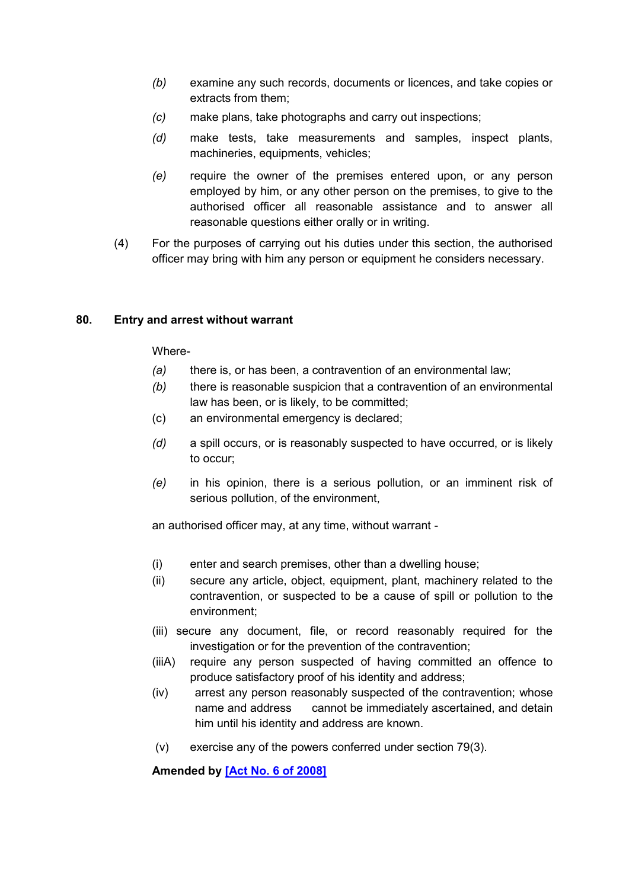- *(b)* examine any such records, documents or licences, and take copies or extracts from them;
- *(c)* make plans, take photographs and carry out inspections;
- *(d)* make tests, take measurements and samples, inspect plants, machineries, equipments, vehicles;
- *(e)* require the owner of the premises entered upon, or any person employed by him, or any other person on the premises, to give to the authorised officer all reasonable assistance and to answer all reasonable questions either orally or in writing.
- (4) For the purposes of carrying out his duties under this section, the authorised officer may bring with him any person or equipment he considers necessary.

### **80. Entry and arrest without warrant**

### Where-

- *(a)* there is, or has been, a contravention of an environmental law;
- *(b)* there is reasonable suspicion that a contravention of an environmental law has been, or is likely, to be committed;
- (c) an environmental emergency is declared;
- *(d)* a spill occurs, or is reasonably suspected to have occurred, or is likely to occur;
- *(e)* in his opinion, there is a serious pollution, or an imminent risk of serious pollution, of the environment,

an authorised officer may, at any time, without warrant -

- (i) enter and search premises, other than a dwelling house;
- (ii) secure any article, object, equipment, plant, machinery related to the contravention, or suspected to be a cause of spill or pollution to the environment;
- (iii) secure any document, file, or record reasonably required for the investigation or for the prevention of the contravention;
- (iiiA) require any person suspected of having committed an offence to produce satisfactory proof of his identity and address;
- (iv) arrest any person reasonably suspected of the contravention; whose name and address cannot be immediately ascertained, and detain him until his identity and address are known.
- (v) exercise any of the powers conferred under section 79(3).

**Amended by [\[Act No. 6 of 2008\]](https://supremecourt.govmu.org/get-doc-link/Act_No._6_of_2008)**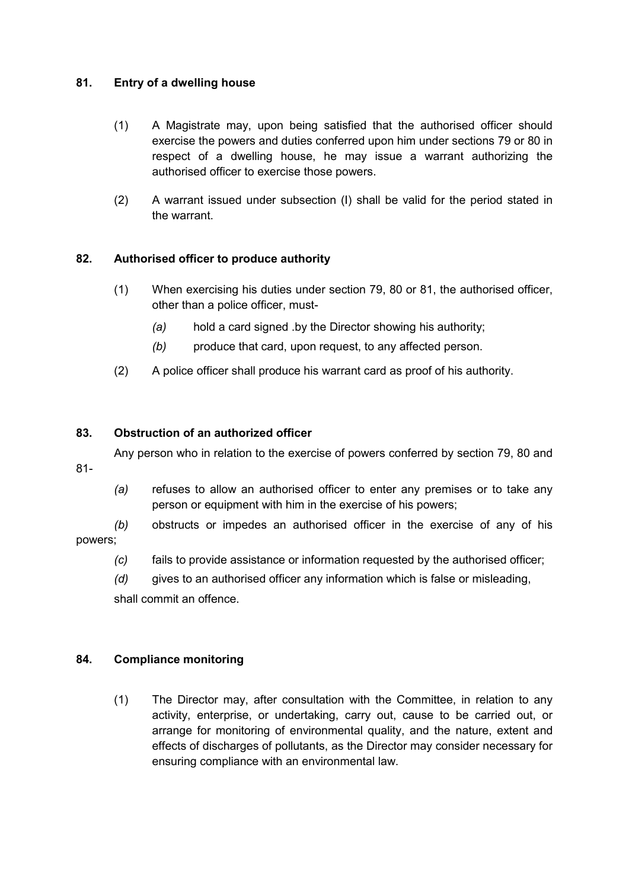## **81. Entry of a dwelling house**

- (1) A Magistrate may, upon being satisfied that the authorised officer should exercise the powers and duties conferred upon him under sections 79 or 80 in respect of a dwelling house, he may issue a warrant authorizing the authorised officer to exercise those powers.
- (2) A warrant issued under subsection (I) shall be valid for the period stated in the warrant.

# **82. Authorised officer to produce authority**

- (1) When exercising his duties under section 79, 80 or 81, the authorised officer, other than a police officer, must-
	- *(a)* hold a card signed .by the Director showing his authority;
	- *(b)* produce that card, upon request, to any affected person.
- (2) A police officer shall produce his warrant card as proof of his authority.

### **83. Obstruction of an authorized officer**

Any person who in relation to the exercise of powers conferred by section 79, 80 and

- 81-
- *(a)* refuses to allow an authorised officer to enter any premises or to take any person or equipment with him in the exercise of his powers;

*(b)* obstructs or impedes an authorised officer in the exercise of any of his powers;

*(c)* fails to provide assistance or information requested by the authorised officer;

*(d)* gives to an authorised officer any information which is false or misleading,

shall commit an offence.

### **84. Compliance monitoring**

(1) The Director may, after consultation with the Committee, in relation to any activity, enterprise, or undertaking, carry out, cause to be carried out, or arrange for monitoring of environmental quality, and the nature, extent and effects of discharges of pollutants, as the Director may consider necessary for ensuring compliance with an environmental law.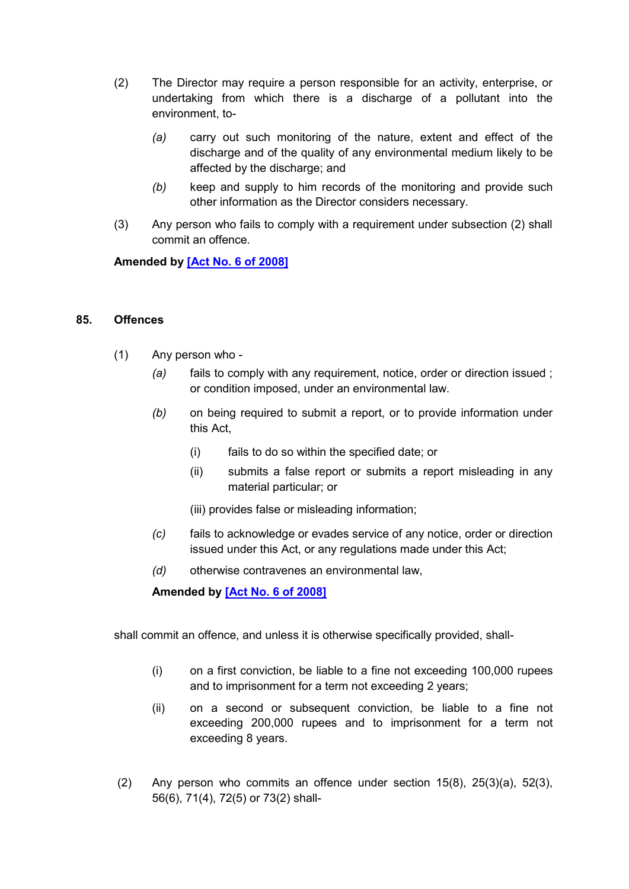- (2) The Director may require a person responsible for an activity, enterprise, or undertaking from which there is a discharge of a pollutant into the environment, to-
	- *(a)* carry out such monitoring of the nature, extent and effect of the discharge and of the quality of any environmental medium likely to be affected by the discharge; and
	- *(b)* keep and supply to him records of the monitoring and provide such other information as the Director considers necessary.
- (3) Any person who fails to comply with a requirement under subsection (2) shall commit an offence.

**Amended by [\[Act No. 6 of 2008\]](https://supremecourt.govmu.org/get-doc-link/Act_No._6_of_2008)**

#### **85. Offences**

- (1) Any person who
	- *(a)* fails to comply with any requirement, notice, order or direction issued ; or condition imposed, under an environmental law.
	- *(b)* on being required to submit a report, or to provide information under this Act,
		- (i) fails to do so within the specified date; or
		- (ii) submits a false report or submits a report misleading in any material particular; or
		- (iii) provides false or misleading information;
	- *(c)* fails to acknowledge or evades service of any notice, order or direction issued under this Act, or any regulations made under this Act;
	- *(d)* otherwise contravenes an environmental law,

**Amended by [\[Act No. 6 of 2008\]](https://supremecourt.govmu.org/get-doc-link/Act_No._6_of_2008)**

shall commit an offence, and unless it is otherwise specifically provided, shall-

- (i) on a first conviction, be liable to a fine not exceeding 100,000 rupees and to imprisonment for a term not exceeding 2 years;
- (ii) on a second or subsequent conviction, be liable to a fine not exceeding 200,000 rupees and to imprisonment for a term not exceeding 8 years.
- (2) Any person who commits an offence under section 15(8), 25(3)(a), 52(3), 56(6), 71(4), 72(5) or 73(2) shall-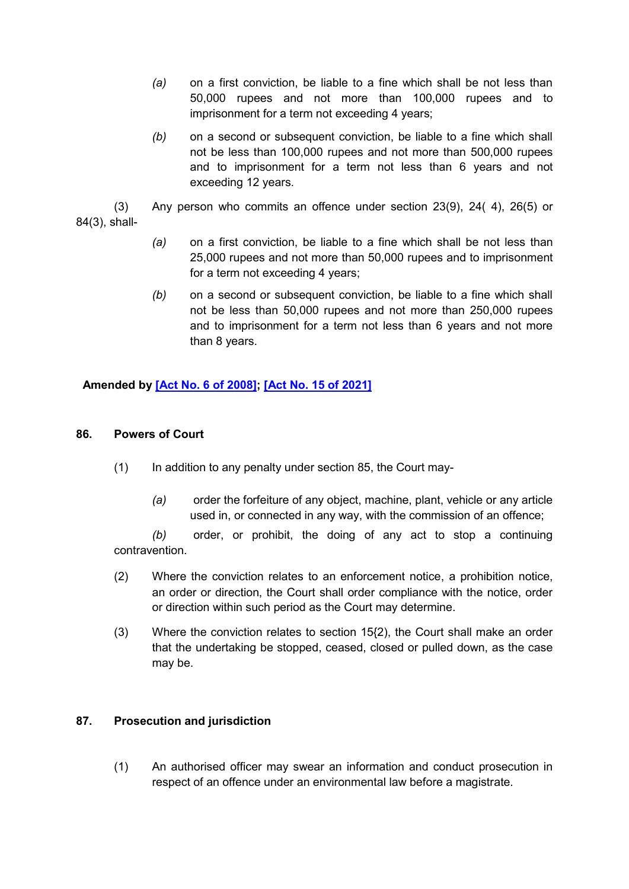- *(a)* on a first conviction, be liable to a fine which shall be not less than 50,000 rupees and not more than 100,000 rupees and to imprisonment for a term not exceeding 4 years;
- *(b)* on a second or subsequent conviction, be liable to a fine which shall not be less than 100,000 rupees and not more than 500,000 rupees and to imprisonment for a term not less than 6 years and not exceeding 12 years.
- (3) Any person who commits an offence under section 23(9), 24( 4), 26(5) or 84(3), shall-
	- *(a)* on a first conviction, be liable to a fine which shall be not less than 25,000 rupees and not more than 50,000 rupees and to imprisonment for a term not exceeding 4 years;
	- *(b)* on a second or subsequent conviction, be liable to a fine which shall not be less than 50,000 rupees and not more than 250,000 rupees and to imprisonment for a term not less than 6 years and not more than 8 years.

**Amended by [\[Act No. 6 of 2008\];](https://supremecourt.govmu.org/get-doc-link/Act_No._6_of_2008) [\[Act No. 15 of 2021\]](https://supremecourt.govmu.org/get-doc-link/Act_No._15_of_2021)**

### **86. Powers of Court**

- (1) In addition to any penalty under section 85, the Court may-
	- *(a)* order the forfeiture of any object, machine, plant, vehicle or any article used in, or connected in any way, with the commission of an offence;

*(b)* order, or prohibit, the doing of any act to stop a continuing contravention.

- (2) Where the conviction relates to an enforcement notice, a prohibition notice, an order or direction, the Court shall order compliance with the notice, order or direction within such period as the Court may determine.
- (3) Where the conviction relates to section 15{2), the Court shall make an order that the undertaking be stopped, ceased, closed or pulled down, as the case may be.

### **87. Prosecution and jurisdiction**

(1) An authorised officer may swear an information and conduct prosecution in respect of an offence under an environmental law before a magistrate.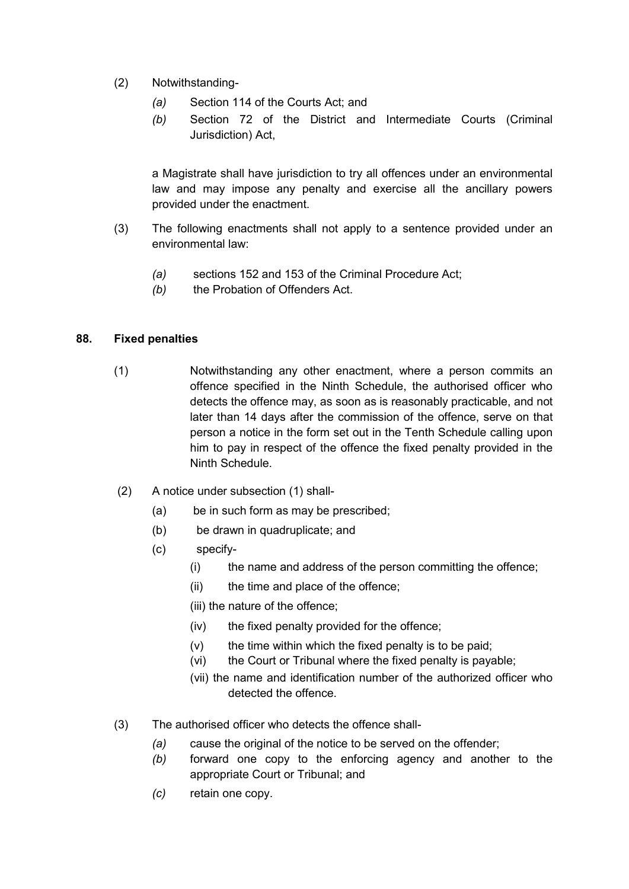- (2) Notwithstanding-
	- *(a)* Section 114 of the Courts Act; and
	- *(b)* Section 72 of the District and Intermediate Courts (Criminal Jurisdiction) Act,

a Magistrate shall have jurisdiction to try all offences under an environmental law and may impose any penalty and exercise all the ancillary powers provided under the enactment.

- (3) The following enactments shall not apply to a sentence provided under an environmental law:
	- *(a)* sections 152 and 153 of the Criminal Procedure Act;
	- *(b)* the Probation of Offenders Act.

### **88. Fixed penalties**

- (1) Notwithstanding any other enactment, where a person commits an offence specified in the Ninth Schedule, the authorised officer who detects the offence may, as soon as is reasonably practicable, and not later than 14 days after the commission of the offence, serve on that person a notice in the form set out in the Tenth Schedule calling upon him to pay in respect of the offence the fixed penalty provided in the Ninth Schedule.
- (2) A notice under subsection (1) shall-
	- (a) be in such form as may be prescribed;
	- (b) be drawn in quadruplicate; and
	- (c) specify-
		- (i) the name and address of the person committing the offence;
		- (ii) the time and place of the offence;
		- (iii) the nature of the offence;
		- (iv) the fixed penalty provided for the offence;
		- $(v)$  the time within which the fixed penalty is to be paid;
		- (vi) the Court or Tribunal where the fixed penalty is payable;
		- (vii) the name and identification number of the authorized officer who detected the offence.
- (3) The authorised officer who detects the offence shall-
	- *(a)* cause the original of the notice to be served on the offender;
	- *(b)* forward one copy to the enforcing agency and another to the appropriate Court or Tribunal; and
	- *(c)* retain one copy.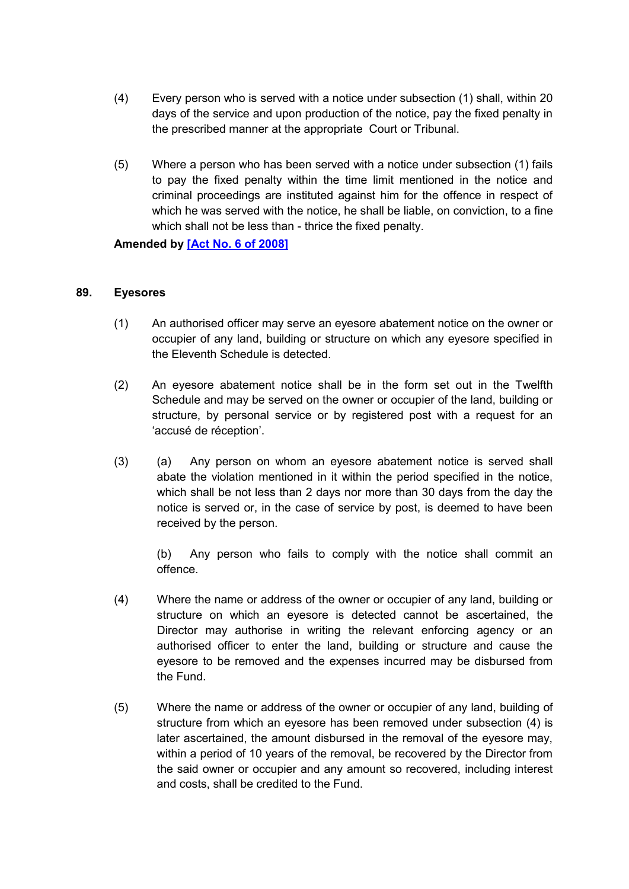- (4) Every person who is served with a notice under subsection (1) shall, within 20 days of the service and upon production of the notice, pay the fixed penalty in the prescribed manner at the appropriate Court or Tribunal.
- (5) Where a person who has been served with a notice under subsection (1) fails to pay the fixed penalty within the time limit mentioned in the notice and criminal proceedings are instituted against him for the offence in respect of which he was served with the notice, he shall be liable, on conviction, to a fine which shall not be less than - thrice the fixed penalty.

**Amended by [\[Act No. 6 of 2008\]](https://supremecourt.govmu.org/get-doc-link/Act_No._6_of_2008)**

#### **89. Eyesores**

- (1) An authorised officer may serve an eyesore abatement notice on the owner or occupier of any land, building or structure on which any eyesore specified in the Eleventh Schedule is detected.
- (2) An eyesore abatement notice shall be in the form set out in the Twelfth Schedule and may be served on the owner or occupier of the land, building or structure, by personal service or by registered post with a request for an 'accusé de réception'.
- (3) (a) Any person on whom an eyesore abatement notice is served shall abate the violation mentioned in it within the period specified in the notice, which shall be not less than 2 days nor more than 30 days from the day the notice is served or, in the case of service by post, is deemed to have been received by the person.

(b) Any person who fails to comply with the notice shall commit an offence.

- (4) Where the name or address of the owner or occupier of any land, building or structure on which an eyesore is detected cannot be ascertained, the Director may authorise in writing the relevant enforcing agency or an authorised officer to enter the land, building or structure and cause the eyesore to be removed and the expenses incurred may be disbursed from the Fund.
- (5) Where the name or address of the owner or occupier of any land, building of structure from which an eyesore has been removed under subsection (4) is later ascertained, the amount disbursed in the removal of the eyesore may, within a period of 10 years of the removal, be recovered by the Director from the said owner or occupier and any amount so recovered, including interest and costs, shall be credited to the Fund.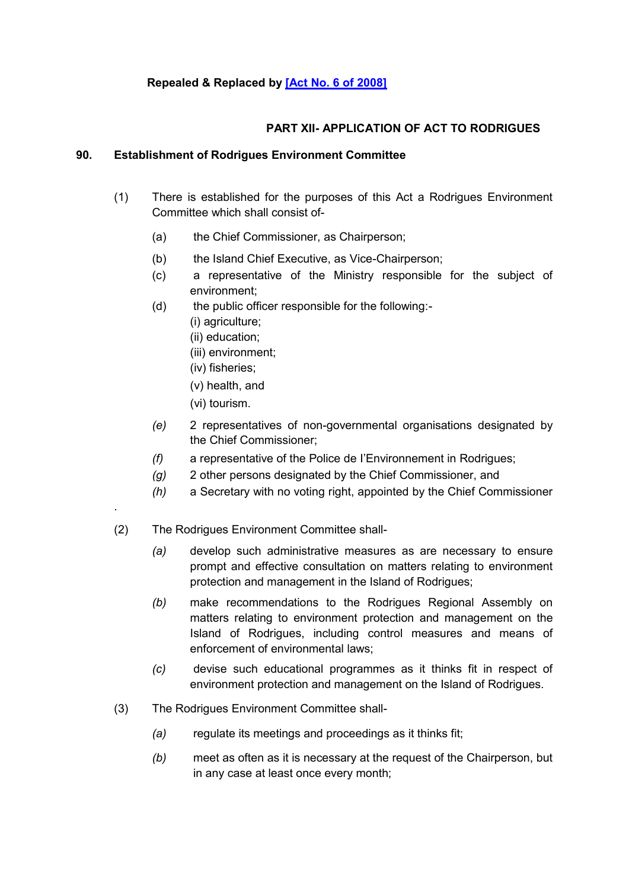# **PART XII- APPLICATION OF ACT TO RODRIGUES**

## **90. Establishment of Rodrigues Environment Committee**

- (1) There is established for the purposes of this Act a Rodrigues Environment Committee which shall consist of-
	- (a) the Chief Commissioner, as Chairperson;
	- (b) the Island Chief Executive, as Vice-Chairperson;
	- (c) a representative of the Ministry responsible for the subject of environment;
	- (d) the public officer responsible for the following:-
		- (i) agriculture;
		- (ii) education;
		- (iii) environment;
		- (iv) fisheries;
		- (v) health, and
		- (vi) tourism.

.

- *(e)* 2 representatives of non-governmental organisations designated by the Chief Commissioner;
- *(f)* a representative of the Police de I'Environnement in Rodrigues;
- *(g)* 2 other persons designated by the Chief Commissioner, and
- *(h)* a Secretary with no voting right, appointed by the Chief Commissioner
- (2) The Rodrigues Environment Committee shall-
	- *(a)* develop such administrative measures as are necessary to ensure prompt and effective consultation on matters relating to environment protection and management in the Island of Rodrigues;
	- *(b)* make recommendations to the Rodrigues Regional Assembly on matters relating to environment protection and management on the Island of Rodrigues, including control measures and means of enforcement of environmental laws;
	- *(c)* devise such educational programmes as it thinks fit in respect of environment protection and management on the Island of Rodrigues.
- (3) The Rodrigues Environment Committee shall-
	- *(a)* regulate its meetings and proceedings as it thinks fit;
	- *(b)* meet as often as it is necessary at the request of the Chairperson, but in any case at least once every month;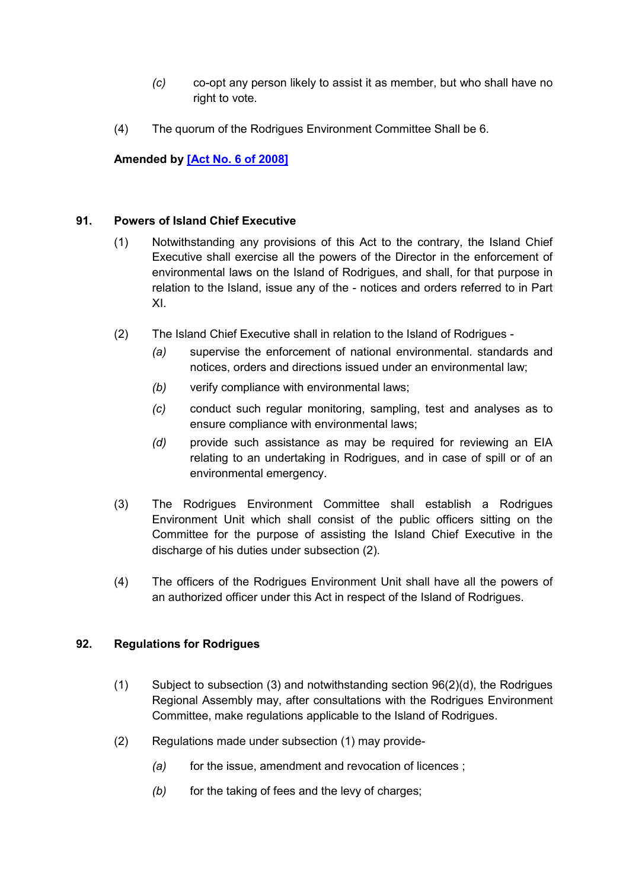- *(c)* co-opt any person likely to assist it as member, but who shall have no right to vote.
- (4) The quorum of the Rodrigues Environment Committee Shall be 6.

**Amended by [\[Act No. 6 of 2008\]](https://supremecourt.govmu.org/get-doc-link/Act_No._6_of_2008)**

### **91. Powers of Island Chief Executive**

- (1) Notwithstanding any provisions of this Act to the contrary, the Island Chief Executive shall exercise all the powers of the Director in the enforcement of environmental laws on the Island of Rodrigues, and shall, for that purpose in relation to the Island, issue any of the - notices and orders referred to in Part XI.
- (2) The Island Chief Executive shall in relation to the Island of Rodrigues
	- *(a)* supervise the enforcement of national environmental. standards and notices, orders and directions issued under an environmental law;
	- *(b)* verify compliance with environmental laws;
	- *(c)* conduct such regular monitoring, sampling, test and analyses as to ensure compliance with environmental laws;
	- *(d)* provide such assistance as may be required for reviewing an EIA relating to an undertaking in Rodrigues, and in case of spill or of an environmental emergency.
- (3) The Rodrigues Environment Committee shall establish a Rodrigues Environment Unit which shall consist of the public officers sitting on the Committee for the purpose of assisting the Island Chief Executive in the discharge of his duties under subsection (2).
- (4) The officers of the Rodrigues Environment Unit shall have all the powers of an authorized officer under this Act in respect of the Island of Rodrigues.

### **92. Regulations for Rodrigues**

- (1) Subject to subsection (3) and notwithstanding section 96(2)(d), the Rodrigues Regional Assembly may, after consultations with the Rodrigues Environment Committee, make regulations applicable to the Island of Rodrigues.
- (2) Regulations made under subsection (1) may provide-
	- *(a)* for the issue, amendment and revocation of licences ;
	- *(b)* for the taking of fees and the levy of charges;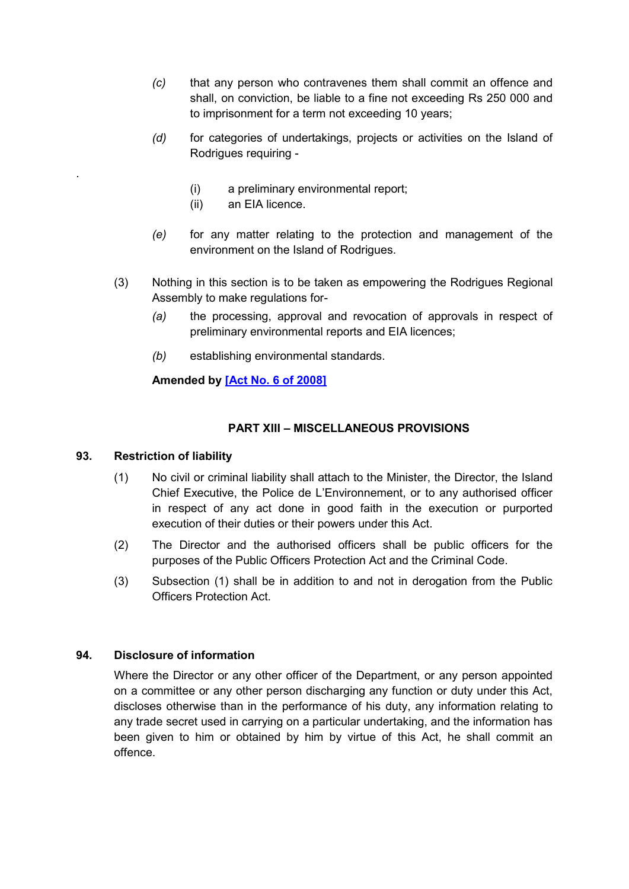- *(c)* that any person who contravenes them shall commit an offence and shall, on conviction, be liable to a fine not exceeding Rs 250 000 and to imprisonment for a term not exceeding 10 years;
- *(d)* for categories of undertakings, projects or activities on the Island of Rodrigues requiring -
	- (i) a preliminary environmental report;
	- (ii) an EIA licence.
- *(e)* for any matter relating to the protection and management of the environment on the Island of Rodrigues.
- (3) Nothing in this section is to be taken as empowering the Rodrigues Regional Assembly to make regulations for-
	- *(a)* the processing, approval and revocation of approvals in respect of preliminary environmental reports and EIA licences;
	- *(b)* establishing environmental standards.

# **Amended by [\[Act No. 6 of 2008\]](https://supremecourt.govmu.org/get-doc-link/Act_No._6_of_2008)**

## **PART XIII – MISCELLANEOUS PROVISIONS**

### **93. Restriction of liability**

.

- (1) No civil or criminal liability shall attach to the Minister, the Director, the Island Chief Executive, the Police de L'Environnement, or to any authorised officer in respect of any act done in good faith in the execution or purported execution of their duties or their powers under this Act.
- (2) The Director and the authorised officers shall be public officers for the purposes of the Public Officers Protection Act and the Criminal Code.
- (3) Subsection (1) shall be in addition to and not in derogation from the Public Officers Protection Act.

### **94. Disclosure of information**

Where the Director or any other officer of the Department, or any person appointed on a committee or any other person discharging any function or duty under this Act, discloses otherwise than in the performance of his duty, any information relating to any trade secret used in carrying on a particular undertaking, and the information has been given to him or obtained by him by virtue of this Act, he shall commit an offence.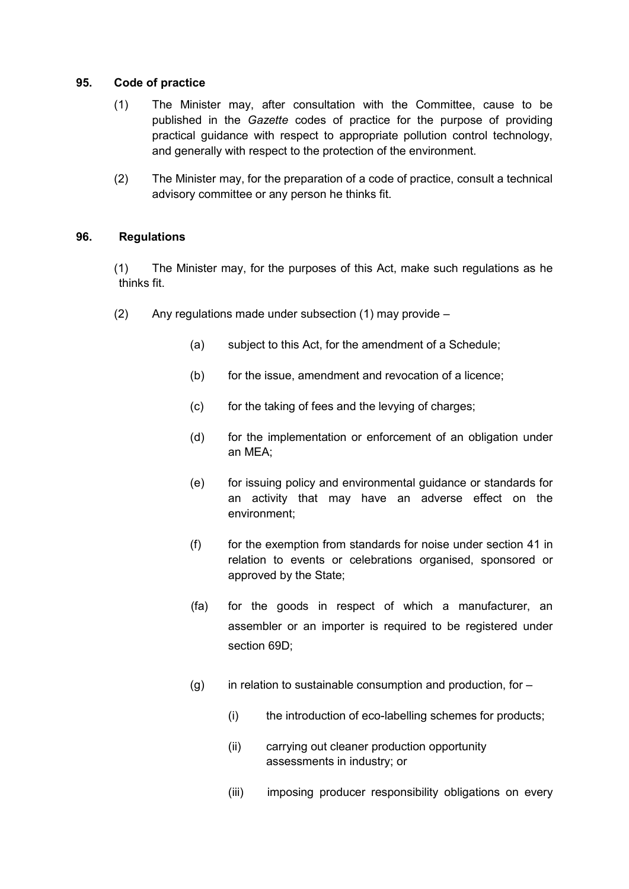### **95. Code of practice**

- (1) The Minister may, after consultation with the Committee, cause to be published in the *Gazette* codes of practice for the purpose of providing practical guidance with respect to appropriate pollution control technology, and generally with respect to the protection of the environment.
- (2) The Minister may, for the preparation of a code of practice, consult a technical advisory committee or any person he thinks fit.

## **96. Regulations**

(1) The Minister may, for the purposes of this Act, make such regulations as he thinks fit.

- (2) Any regulations made under subsection (1) may provide
	- (a) subject to this Act, for the amendment of a Schedule;
	- (b) for the issue, amendment and revocation of a licence;
	- (c) for the taking of fees and the levying of charges:
	- (d) for the implementation or enforcement of an obligation under an MEA;
	- (e) for issuing policy and environmental guidance or standards for an activity that may have an adverse effect on the environment;
	- $(f)$  for the exemption from standards for noise under section 41 in relation to events or celebrations organised, sponsored or approved by the State;
	- (fa) for the goods in respect of which a manufacturer, an assembler or an importer is required to be registered under section 69D;
	- $(g)$  in relation to sustainable consumption and production, for  $-$ 
		- (i) the introduction of eco-labelling schemes for products;
		- (ii) carrying out cleaner production opportunity assessments in industry; or
		- (iii) imposing producer responsibility obligations on every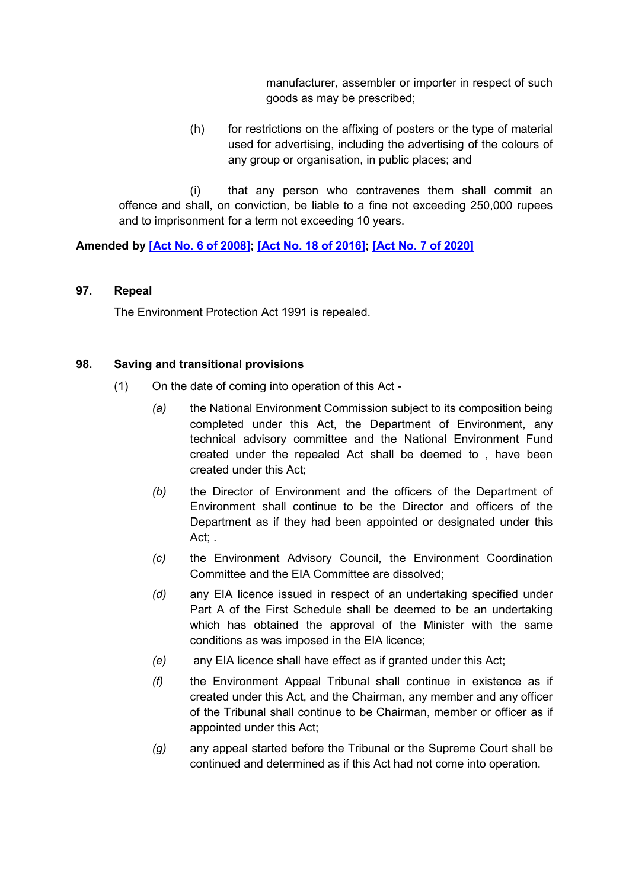manufacturer, assembler or importer in respect of such goods as may be prescribed;

(h) for restrictions on the affixing of posters or the type of material used for advertising, including the advertising of the colours of any group or organisation, in public places; and

(i) that any person who contravenes them shall commit an offence and shall, on conviction, be liable to a fine not exceeding 250,000 rupees and to imprisonment for a term not exceeding 10 years.

**Amended by [\[Act No. 6 of 2008\];](https://supremecourt.govmu.org/get-doc-link/Act_No._6_of_2008) [\[Act No. 18 of 2016\];](https://supremecourt.govmu.org/get-doc-link/Act_No._18_of_2016) [\[Act No. 7 of 2020\]](https://supremecourt.govmu.org/get-doc-link/Act_No._7_of_2020)**

### **97. Repeal**

The Environment Protection Act 1991 is repealed.

### **98. Saving and transitional provisions**

- (1) On the date of coming into operation of this Act
	- *(a)* the National Environment Commission subject to its composition being completed under this Act, the Department of Environment, any technical advisory committee and the National Environment Fund created under the repealed Act shall be deemed to , have been created under this Act;
	- *(b)* the Director of Environment and the officers of the Department of Environment shall continue to be the Director and officers of the Department as if they had been appointed or designated under this Act; .
	- *(c)* the Environment Advisory Council, the Environment Coordination Committee and the EIA Committee are dissolved;
	- *(d)* any EIA licence issued in respect of an undertaking specified under Part A of the First Schedule shall be deemed to be an undertaking which has obtained the approval of the Minister with the same conditions as was imposed in the EIA licence;
	- *(e)* any EIA licence shall have effect as if granted under this Act;
	- *(f)* the Environment Appeal Tribunal shall continue in existence as if created under this Act, and the Chairman, any member and any officer of the Tribunal shall continue to be Chairman, member or officer as if appointed under this Act;
	- *(g)* any appeal started before the Tribunal or the Supreme Court shall be continued and determined as if this Act had not come into operation.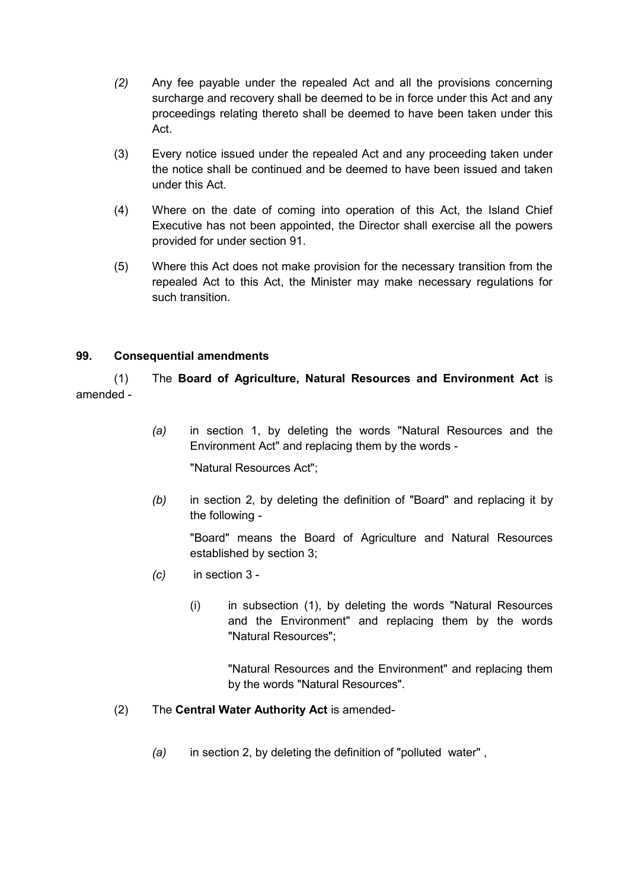- *(2)* Any fee payable under the repealed Act and all the provisions concerning surcharge and recovery shall be deemed to be in force under this Act and any proceedings relating thereto shall be deemed to have been taken under this Act.
- (3) Every notice issued under the repealed Act and any proceeding taken under the notice shall be continued and be deemed to have been issued and taken under this Act.
- (4) Where on the date of coming into operation of this Act, the Island Chief Executive has not been appointed, the Director shall exercise all the powers provided for under section 91.
- (5) Where this Act does not make provision for the necessary transition from the repealed Act to this Act, the Minister may make necessary regulations for such transition.

## **99. Consequential amendments**

(1) The **Board of Agriculture, Natural Resources and Environment Act** is amended -

> *(a)* in section 1, by deleting the words "Natural Resources and the Environment Act" and replacing them by the words -

"Natural Resources Act";

*(b)* in section 2, by deleting the definition of "Board" and replacing it by the following -

"Board" means the Board of Agriculture and Natural Resources established by section 3;

- *(c)* in section 3
	- (i) in subsection (1), by deleting the words "Natural Resources and the Environment" and replacing them by the words "Natural Resources";

"Natural Resources and the Environment" and replacing them by the words "Natural Resources".

# (2) The **Central Water Authority Act** is amended-

*(a)* in section 2, by deleting the definition of "polluted water" ,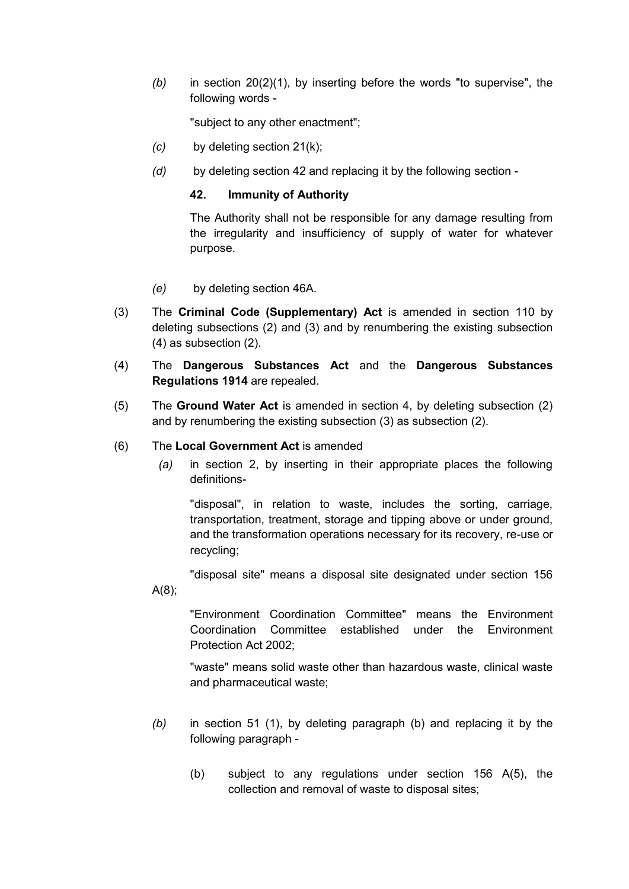*(b)* in section 20(2)(1), by inserting before the words "to supervise", the following words -

"subject to any other enactment";

- *(c)* by deleting section 21(k);
- *(d)* by deleting section 42 and replacing it by the following section -

#### **42. Immunity of Authority**

The Authority shall not be responsible for any damage resulting from the irregularity and insufficiency of supply of water for whatever purpose.

- *(e)* by deleting section 46A.
- (3) The **Criminal Code (Supplementary) Act** is amended in section 110 by deleting subsections (2) and (3) and by renumbering the existing subsection (4) as subsection (2).
- (4) The **Dangerous Substances Act** and the **Dangerous Substances Regulations 1914** are repealed.
- (5) The **Ground Water Act** is amended in section 4, by deleting subsection (2) and by renumbering the existing subsection (3) as subsection (2).
- (6) The **Local Government Act** is amended
	- *(a)* in section 2, by inserting in their appropriate places the following definitions-

"disposal", in relation to waste, includes the sorting, carriage, transportation, treatment, storage and tipping above or under ground, and the transformation operations necessary for its recovery, re-use or recycling;

"disposal site" means a disposal site designated under section 156 A(8);

"Environment Coordination Committee" means the Environment Coordination Committee established under the Environment Protection Act 2002;

"waste" means solid waste other than hazardous waste, clinical waste and pharmaceutical waste;

- *(b)* in section 51 (1), by deleting paragraph (b) and replacing it by the following paragraph -
	- (b) subject to any regulations under section 156 A(5), the collection and removal of waste to disposal sites;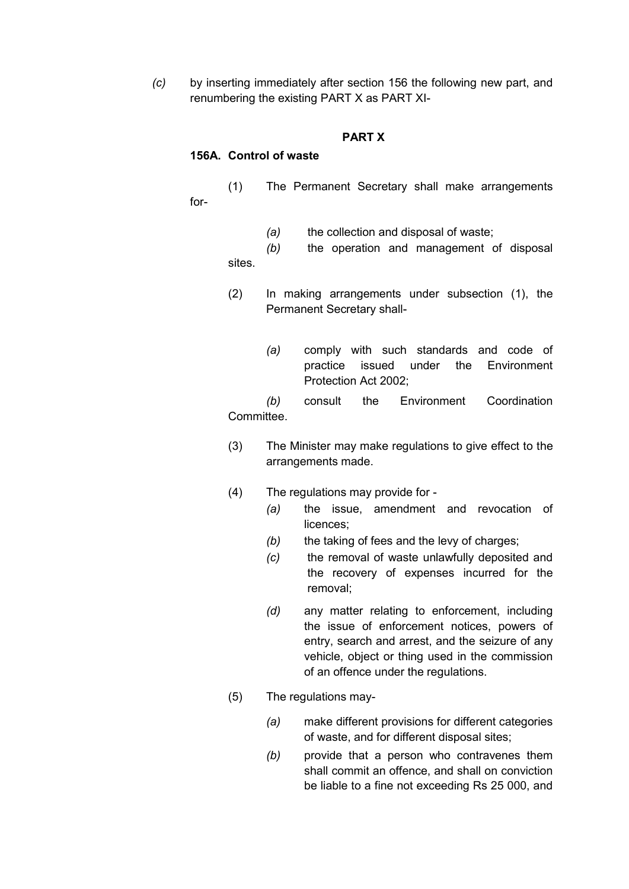*(c)* by inserting immediately after section 156 the following new part, and renumbering the existing PART X as PART XI-

### **PART X**

#### **156A. Control of waste**

(1) The Permanent Secretary shall make arrangements for-

*(a)* the collection and disposal of waste;

*(b)* the operation and management of disposal sites.

- (2) In making arrangements under subsection (1), the Permanent Secretary shall-
	- *(a)* comply with such standards and code of practice issued under the Environment Protection Act 2002;

*(b)* consult the Environment Coordination Committee.

- (3) The Minister may make regulations to give effect to the arrangements made.
- (4) The regulations may provide for
	- *(a)* the issue, amendment and revocation of licences;
	- *(b)* the taking of fees and the levy of charges;
	- *(c)* the removal of waste unlawfully deposited and the recovery of expenses incurred for the removal;
	- *(d)* any matter relating to enforcement, including the issue of enforcement notices, powers of entry, search and arrest, and the seizure of any vehicle, object or thing used in the commission of an offence under the regulations.
- (5) The regulations may-
	- *(a)* make different provisions for different categories of waste, and for different disposal sites;
	- *(b)* provide that a person who contravenes them shall commit an offence, and shall on conviction be liable to a fine not exceeding Rs 25 000, and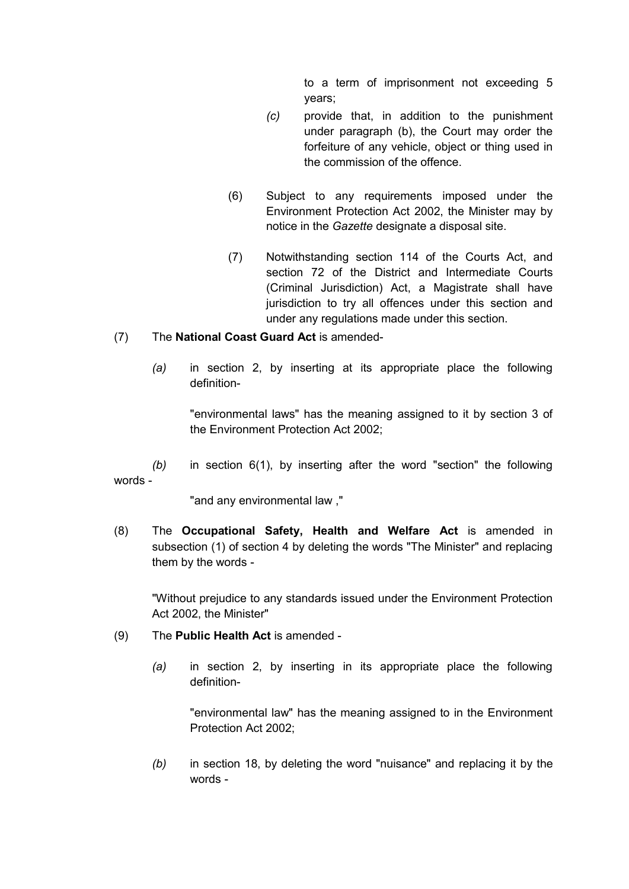to a term of imprisonment not exceeding 5 years;

- *(c)* provide that, in addition to the punishment under paragraph (b), the Court may order the forfeiture of any vehicle, object or thing used in the commission of the offence.
- (6) Subject to any requirements imposed under the Environment Protection Act 2002, the Minister may by notice in the *Gazette* designate a disposal site.
- (7) Notwithstanding section 114 of the Courts Act, and section 72 of the District and Intermediate Courts (Criminal Jurisdiction) Act, a Magistrate shall have jurisdiction to try all offences under this section and under any regulations made under this section.

### (7) The **National Coast Guard Act** is amended-

*(a)* in section 2, by inserting at its appropriate place the following definition-

"environmental laws" has the meaning assigned to it by section 3 of the Environment Protection Act 2002;

*(b)* in section 6(1), by inserting after the word "section" the following words -

"and any environmental law ,"

(8) The **Occupational Safety, Health and Welfare Act** is amended in subsection (1) of section 4 by deleting the words "The Minister" and replacing them by the words -

"Without prejudice to any standards issued under the Environment Protection Act 2002, the Minister"

- (9) The **Public Health Act** is amended
	- *(a)* in section 2, by inserting in its appropriate place the following definition-

"environmental law" has the meaning assigned to in the Environment Protection Act 2002;

*(b)* in section 18, by deleting the word "nuisance" and replacing it by the words -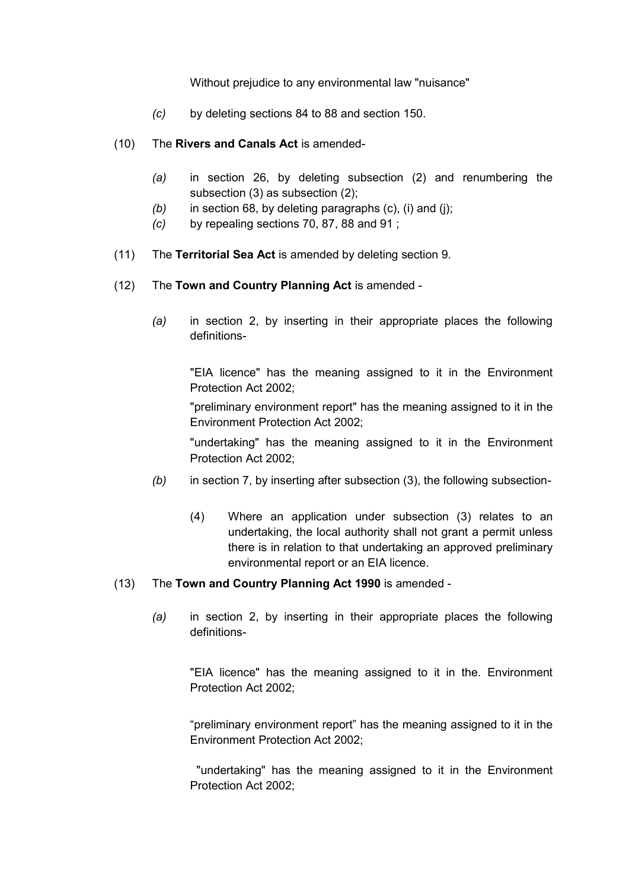Without prejudice to any environmental law "nuisance"

- *(c)* by deleting sections 84 to 88 and section 150.
- (10) The **Rivers and Canals Act** is amended-
	- *(a)* in section 26, by deleting subsection (2) and renumbering the subsection (3) as subsection (2);
	- *(b)* in section 68, by deleting paragraphs (c), (i) and (j);
	- *(c)* by repealing sections 70, 87, 88 and 91 ;
- (11) The **Territorial Sea Act** is amended by deleting section 9.
- (12) The **Town and Country Planning Act** is amended
	- *(a)* in section 2, by inserting in their appropriate places the following definitions-

"EIA licence" has the meaning assigned to it in the Environment Protection Act 2002;

"preliminary environment report" has the meaning assigned to it in the Environment Protection Act 2002;

"undertaking" has the meaning assigned to it in the Environment Protection Act 2002;

- *(b)* in section 7, by inserting after subsection (3), the following subsection-
	- (4) Where an application under subsection (3) relates to an undertaking, the local authority shall not grant a permit unless there is in relation to that undertaking an approved preliminary environmental report or an EIA licence.

#### (13) The **Town and Country Planning Act 1990** is amended -

*(a)* in section 2, by inserting in their appropriate places the following definitions-

"EIA licence" has the meaning assigned to it in the. Environment Protection Act 2002;

"preliminary environment report" has the meaning assigned to it in the Environment Protection Act 2002;

"undertaking" has the meaning assigned to it in the Environment Protection Act 2002;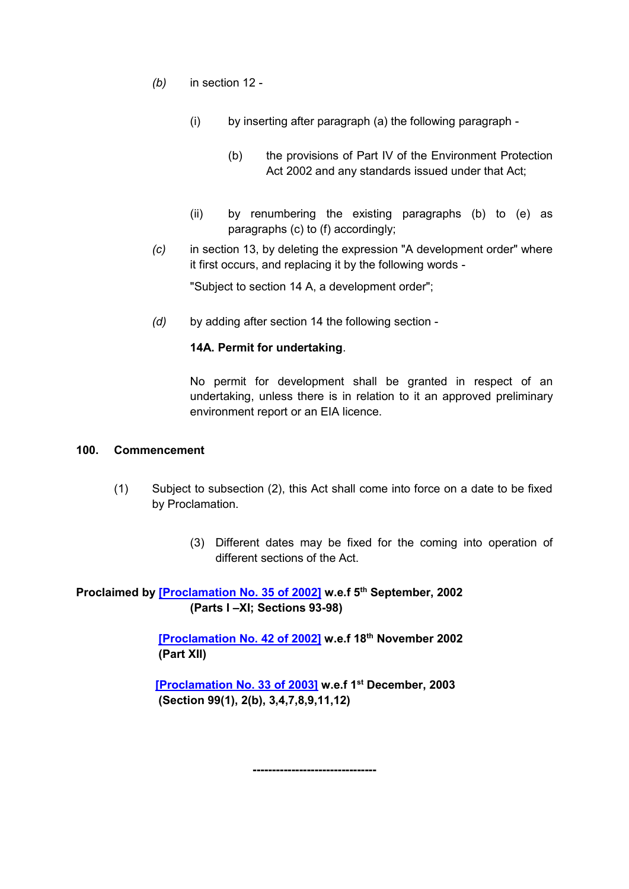- *(b)* in section 12
	- (i) by inserting after paragraph (a) the following paragraph
		- (b) the provisions of Part IV of the Environment Protection Act 2002 and any standards issued under that Act;
	- (ii) by renumbering the existing paragraphs (b) to (e) as paragraphs (c) to (f) accordingly;
- *(c)* in section 13, by deleting the expression "A development order" where it first occurs, and replacing it by the following words -

"Subject to section 14 A, a development order";

*(d)* by adding after section 14 the following section -

#### **14A. Permit for undertaking**.

No permit for development shall be granted in respect of an undertaking, unless there is in relation to it an approved preliminary environment report or an EIA licence.

#### **100. Commencement**

- (1) Subject to subsection (2), this Act shall come into force on a date to be fixed by Proclamation.
	- (3) Different dates may be fixed for the coming into operation of different sections of the Act.

**Proclaimed by [\[Proclamation No. 35 of 2002\]](https://supremecourt.govmu.org/get-doc-link/Proclamation_No._35_of_2002) w.e.f 5th September, 2002 (Parts I –XI; Sections 93-98)**

> **[\[Proclamation No. 42 of 2002\]](https://supremecourt.govmu.org/get-doc-link/Proclamation_No._42_of_2002) w.e.f 18th November 2002 (Part XII)**

 **[\[Proclamation No. 33 of 2003\]](https://supremecourt.govmu.org/get-doc-link/Proclamation_No._33_of_2003) w.e.f 1st December, 2003 (Section 99(1), 2(b), 3,4,7,8,9,11,12)**

**--------------------------------**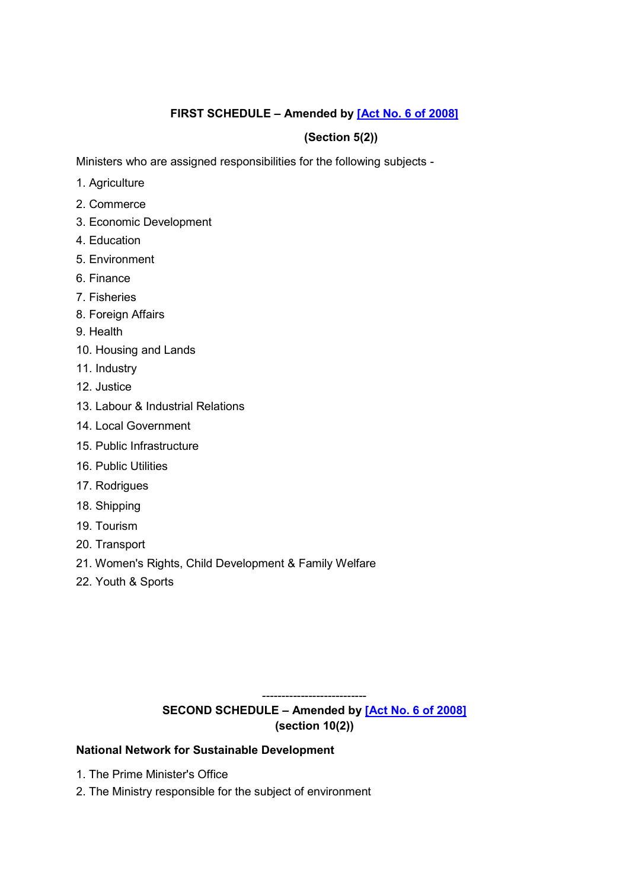# **FIRST SCHEDULE – Amended by [\[Act No. 6 of 2008\]](https://supremecourt.govmu.org/get-doc-link/Act_No._6_of_2008)**

# **(Section 5(2))**

Ministers who are assigned responsibilities for the following subjects -

- 1. Agriculture
- 2. Commerce
- 3. Economic Development
- 4. Education
- 5. Environment
- 6. Finance
- 7. Fisheries
- 8. Foreign Affairs
- 9. Health
- 10. Housing and Lands
- 11. Industry
- 12. Justice
- 13. Labour & Industrial Relations
- 14. Local Government
- 15. Public Infrastructure
- 16. Public Utilities
- 17. Rodrigues
- 18. Shipping
- 19. Tourism
- 20. Transport
- 21. Women's Rights, Child Development & Family Welfare
- 22. Youth & Sports

---------------------------

# **SECOND SCHEDULE – Amended by [Act No. [6 of 2008\]](https://supremecourt.govmu.org/get-doc-link/Act_No._6_of_2008) (section 10(2))**

### **National Network for Sustainable Development**

- 1. The Prime Minister's Office
- 2. The Ministry responsible for the subject of environment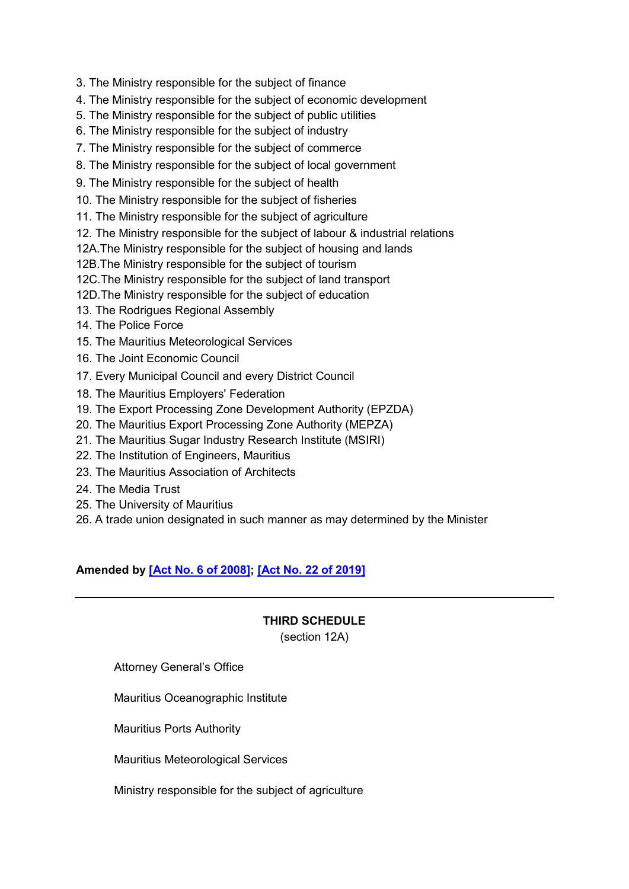- 3. The Ministry responsible for the subject of finance
- 4. The Ministry responsible for the subject of economic development
- 5. The Ministry responsible for the subject of public utilities
- 6. The Ministry responsible for the subject of industry
- 7. The Ministry responsible for the subject of commerce
- 8. The Ministry responsible for the subject of local government
- 9. The Ministry responsible for the subject of health
- 10. The Ministry responsible for the subject of fisheries
- 11. The Ministry responsible for the subject of agriculture
- 12. The Ministry responsible for the subject of labour & industrial relations
- 12A.The Ministry responsible for the subject of housing and lands
- 12B.The Ministry responsible for the subject of tourism
- 12C.The Ministry responsible for the subject of land transport
- 12D.The Ministry responsible for the subject of education
- 13. The Rodrigues Regional Assembly
- 14. The Police Force
- 15. The Mauritius Meteorological Services
- 16. The Joint Economic Council
- 17. Every Municipal Council and every District Council
- 18. The Mauritius Employers' Federation
- 19. The Export Processing Zone Development Authority (EPZDA)
- 20. The Mauritius Export Processing Zone Authority (MEPZA)
- 21. The Mauritius Sugar Industry Research Institute (MSIRI)
- 22. The Institution of Engineers, Mauritius
- 23. The Mauritius Association of Architects
- 24. The Media Trust
- 25. The University of Mauritius
- 26. A trade union designated in such manner as may determined by the Minister

# **Amended by [\[Act No. 6 of 2008\];](https://supremecourt.govmu.org/get-doc-link/Act_No._6_of_2008) [\[Act No. 22 of 2019\]](https://supremecourt.govmu.org/get-doc-link/Act_No._22_of_2019)**

### **THIRD SCHEDULE**

(section 12A)

Attorney General's Office

- Mauritius Oceanographic Institute
- Mauritius Ports Authority
- Mauritius Meteorological Services
- Ministry responsible for the subject of agriculture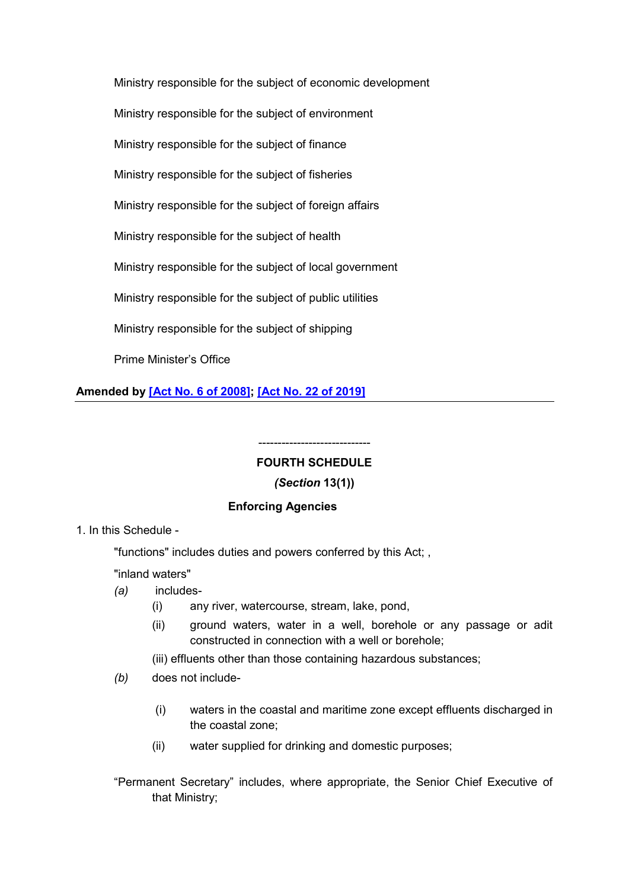Ministry responsible for the subject of economic development Ministry responsible for the subject of environment Ministry responsible for the subject of finance Ministry responsible for the subject of fisheries Ministry responsible for the subject of foreign affairs Ministry responsible for the subject of health Ministry responsible for the subject of local government Ministry responsible for the subject of public utilities Ministry responsible for the subject of shipping Prime Minister's Office

**Amended by [\[Act No. 6 of 2008\];](https://supremecourt.govmu.org/get-doc-link/Act_No._6_of_2008) [\[Act No. 22 of 2019\]](https://supremecourt.govmu.org/get-doc-link/Act_No._22_of_2019)**

# ----------------------------- **FOURTH SCHEDULE**

### *(Section* **13(1))**

### **Enforcing Agencies**

1. In this Schedule -

"functions" includes duties and powers conferred by this Act; ,

"inland waters"

- *(a)* includes-
	- (i) any river, watercourse, stream, lake, pond,
	- (ii) ground waters, water in a well, borehole or any passage or adit constructed in connection with a well or borehole;
	- (iii) effluents other than those containing hazardous substances;
- *(b)* does not include-
	- (i) waters in the coastal and maritime zone except effluents discharged in the coastal zone;
	- (ii) water supplied for drinking and domestic purposes;
- "Permanent Secretary" includes, where appropriate, the Senior Chief Executive of that Ministry;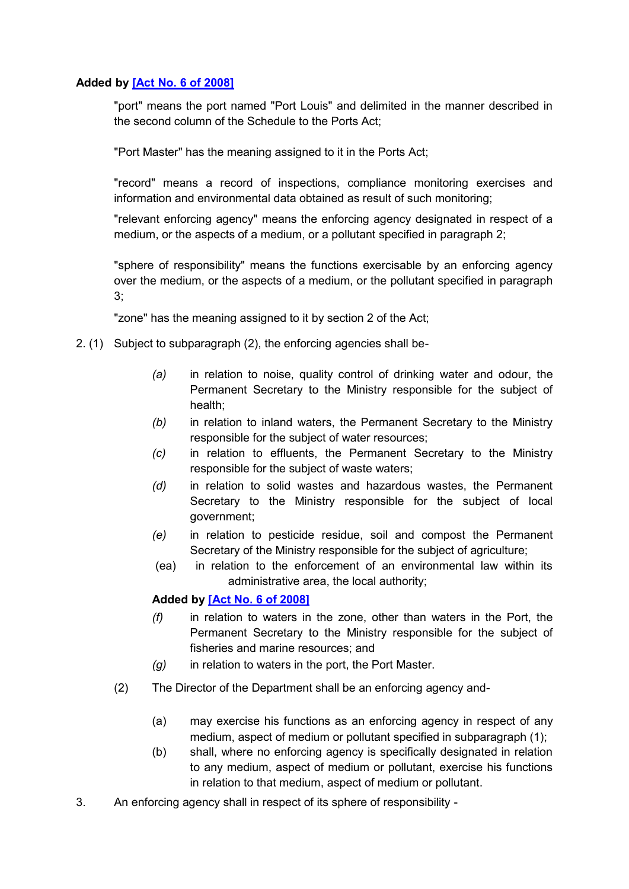## **Added by [\[Act No. 6 of 2008\]](https://supremecourt.govmu.org/get-doc-link/Act_No._6_of_2008)**

"port" means the port named "Port Louis" and delimited in the manner described in the second column of the Schedule to the Ports Act;

"Port Master" has the meaning assigned to it in the Ports Act;

"record" means a record of inspections, compliance monitoring exercises and information and environmental data obtained as result of such monitoring;

"relevant enforcing agency" means the enforcing agency designated in respect of a medium, or the aspects of a medium, or a pollutant specified in paragraph 2;

"sphere of responsibility" means the functions exercisable by an enforcing agency over the medium, or the aspects of a medium, or the pollutant specified in paragraph 3;

"zone" has the meaning assigned to it by section 2 of the Act;

- 2. (1) Subject to subparagraph (2), the enforcing agencies shall be-
	- *(a)* in relation to noise, quality control of drinking water and odour, the Permanent Secretary to the Ministry responsible for the subject of health;
	- *(b)* in relation to inland waters, the Permanent Secretary to the Ministry responsible for the subject of water resources;
	- *(c)* in relation to effluents, the Permanent Secretary to the Ministry responsible for the subject of waste waters;
	- *(d)* in relation to solid wastes and hazardous wastes, the Permanent Secretary to the Ministry responsible for the subject of local government;
	- *(e)* in relation to pesticide residue, soil and compost the Permanent Secretary of the Ministry responsible for the subject of agriculture;
	- (ea) in relation to the enforcement of an environmental law within its administrative area, the local authority;

### **Added by [\[Act No. 6 of 2008\]](https://supremecourt.govmu.org/get-doc-link/Act_No._6_of_2008)**

- *(f)* in relation to waters in the zone, other than waters in the Port, the Permanent Secretary to the Ministry responsible for the subject of fisheries and marine resources; and
- *(g)* in relation to waters in the port, the Port Master.
- (2) The Director of the Department shall be an enforcing agency and-
	- (a) may exercise his functions as an enforcing agency in respect of any medium, aspect of medium or pollutant specified in subparagraph (1);
	- (b) shall, where no enforcing agency is specifically designated in relation to any medium, aspect of medium or pollutant, exercise his functions in relation to that medium, aspect of medium or pollutant.
- 3. An enforcing agency shall in respect of its sphere of responsibility -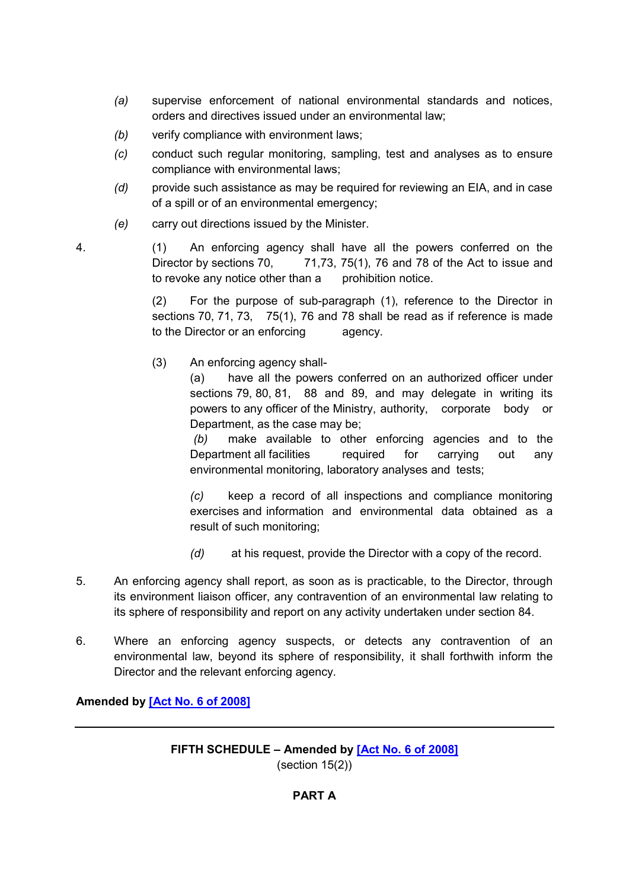- *(a)* supervise enforcement of national environmental standards and notices, orders and directives issued under an environmental law;
- *(b)* verify compliance with environment laws;
- *(c)* conduct such regular monitoring, sampling, test and analyses as to ensure compliance with environmental laws;
- *(d)* provide such assistance as may be required for reviewing an EIA, and in case of a spill or of an environmental emergency;
- *(e)* carry out directions issued by the Minister.

4. (1) An enforcing agency shall have all the powers conferred on the Director by sections 70,  $\qquad$  71,73, 75(1), 76 and 78 of the Act to issue and to revoke any notice other than a prohibition notice.

> (2) For the purpose of sub-paragraph (1), reference to the Director in sections 70, 71, 73, 75(1), 76 and 78 shall be read as if reference is made to the Director or an enforcing agency.

(3) An enforcing agency shall-

(a) have all the powers conferred on an authorized officer under sections 79, 80, 81, 88 and 89, and may delegate in writing its powers to any officer of the Ministry, authority, corporate body or Department, as the case may be;

*(b)* make available to other enforcing agencies and to the Department all facilities required for carrying out any environmental monitoring, laboratory analyses and tests;

*(c)* keep a record of all inspections and compliance monitoring exercises and information and environmental data obtained as a result of such monitoring;

- *(d)* at his request, provide the Director with a copy of the record.
- 5. An enforcing agency shall report, as soon as is practicable, to the Director, through its environment liaison officer, any contravention of an environmental law relating to its sphere of responsibility and report on any activity undertaken under section 84.
- 6. Where an enforcing agency suspects, or detects any contravention of an environmental law, beyond its sphere of responsibility, it shall forthwith inform the Director and the relevant enforcing agency.

**Amended by [\[Act No. 6 of 2008\]](https://supremecourt.govmu.org/get-doc-link/Act_No._6_of_2008)**

## **FIFTH SCHEDULE – Amended by [\[Act No. 6 of 2008\]](https://supremecourt.govmu.org/get-doc-link/Act_No._6_of_2008)** (section 15(2))

# **PART A**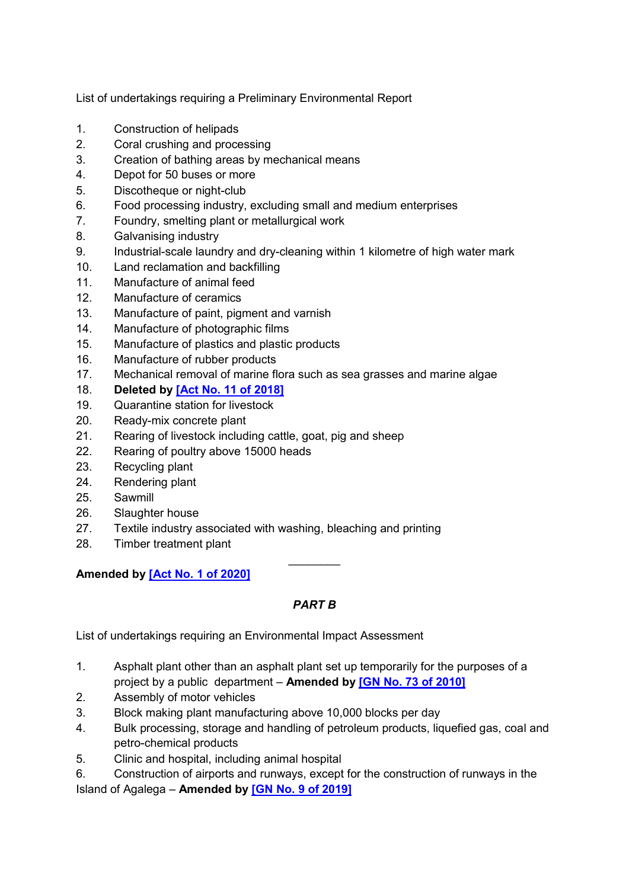List of undertakings requiring a Preliminary Environmental Report

- 1. Construction of helipads
- 2. Coral crushing and processing
- 3. Creation of bathing areas by mechanical means
- 4. Depot for 50 buses or more
- 5. Discotheque or night-club
- 6. Food processing industry, excluding small and medium enterprises
- 7. Foundry, smelting plant or metallurgical work
- 8. Galvanising industry
- 9. Industrial-scale laundry and dry-cleaning within 1 kilometre of high water mark
- 10. Land reclamation and backfilling
- 11. Manufacture of animal feed
- 12. Manufacture of ceramics
- 13. Manufacture of paint, pigment and varnish
- 14. Manufacture of photographic films
- 15. Manufacture of plastics and plastic products
- 16. Manufacture of rubber products
- 17. Mechanical removal of marine flora such as sea grasses and marine algae
- 18. **Deleted by [\[Act No. 11 of 2018\]](https://supremecourt.govmu.org/get-doc-link/Act_No._11_of_2018)**
- 19. Quarantine station for livestock
- 20. Ready-mix concrete plant
- 21. Rearing of livestock including cattle, goat, pig and sheep
- 22. Rearing of poultry above 15000 heads
- 23. Recycling plant
- 24. Rendering plant
- 25. Sawmill
- 26. Slaughter house
- 27. Textile industry associated with washing, bleaching and printing
- 28. Timber treatment plant

**Amended by [\[Act No. 1 of 2020\]](https://supremecourt.govmu.org/get-doc-link/Act_No._1_of_2020)**

# *PART B*

 $\frac{1}{2}$ 

List of undertakings requiring an Environmental Impact Assessment

- 1. Asphalt plant other than an asphalt plant set up temporarily for the purposes of a project by a public department – **Amended by [\[GN No. 73 of 2010\]](https://supremecourt.govmu.org/get-doc-link/GN_No._73_of_2010)**
- 2. Assembly of motor vehicles
- 3. Block making plant manufacturing above 10,000 blocks per day
- 4. Bulk processing, storage and handling of petroleum products, liquefied gas, coal and petro-chemical products
- 5. Clinic and hospital, including animal hospital
- 6. Construction of airports and runways, except for the construction of runways in the

Island of Agalega – **Amended by [\[GN No. 9 of 2019\]](https://supremecourt.govmu.org/get-doc-link/GN_No._9_of_2019)**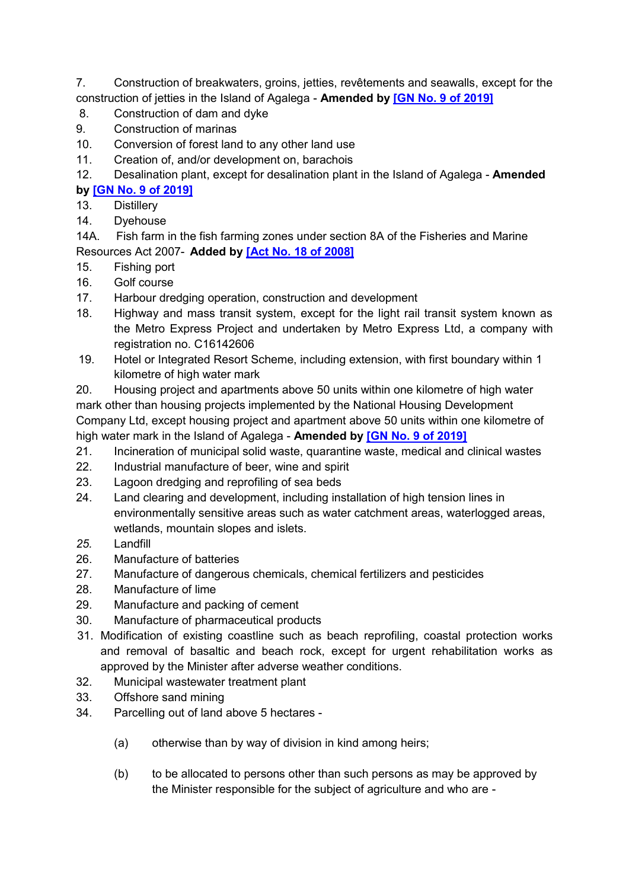7. Construction of breakwaters, groins, jetties, revêtements and seawalls, except for the construction of jetties in the Island of Agalega - **Amended by [\[GN No. 9 of 2019\]](https://supremecourt.govmu.org/get-doc-link/GN_No._9_of_2019)**

- 8. Construction of dam and dyke
- 9. Construction of marinas
- 10. Conversion of forest land to any other land use
- 11. Creation of, and/or development on, barachois
- 12. Desalination plant, except for desalination plant in the Island of Agalega **Amended by [\[GN No. 9 of 2019\]](https://supremecourt.govmu.org/get-doc-link/GN_No._9_of_2019)**
- 13. Distillery
- 14. Dyehouse

14A. Fish farm in the fish farming zones under section 8A of the Fisheries and Marine Resources Act 2007- **Added by [\[Act No. 18 of 2008\]](https://supremecourt.govmu.org/get-doc-link/Act_No._18_of_2008)**

- 15. Fishing port
- 16. Golf course
- 17. Harbour dredging operation, construction and development
- 18. Highway and mass transit system, except for the light rail transit system known as the Metro Express Project and undertaken by Metro Express Ltd, a company with registration no. C16142606
- 19. Hotel or Integrated Resort Scheme, including extension, with first boundary within 1 kilometre of high water mark

20. Housing project and apartments above 50 units within one kilometre of high water mark other than housing projects implemented by the National Housing Development Company Ltd, except housing project and apartment above 50 units within one kilometre of high water mark in the Island of Agalega - **Amended by [\[GN No. 9 of 2019\]](https://supremecourt.govmu.org/get-doc-link/GN_No._9_of_2019)**

- 21. Incineration of municipal solid waste, quarantine waste, medical and clinical wastes
- 22. Industrial manufacture of beer, wine and spirit
- 23. Lagoon dredging and reprofiling of sea beds
- 24. Land clearing and development, including installation of high tension lines in environmentally sensitive areas such as water catchment areas, waterlogged areas, wetlands, mountain slopes and islets.
- *25.* Landfill
- 26. Manufacture of batteries
- 27. Manufacture of dangerous chemicals, chemical fertilizers and pesticides
- 28. Manufacture of lime
- 29. Manufacture and packing of cement
- 30. Manufacture of pharmaceutical products
- 31. Modification of existing coastline such as beach reprofiling, coastal protection works and removal of basaltic and beach rock, except for urgent rehabilitation works as approved by the Minister after adverse weather conditions.
- 32. Municipal wastewater treatment plant
- 33. Offshore sand mining
- 34. Parcelling out of land above 5 hectares
	- (a) otherwise than by way of division in kind among heirs;
	- (b) to be allocated to persons other than such persons as may be approved by the Minister responsible for the subject of agriculture and who are -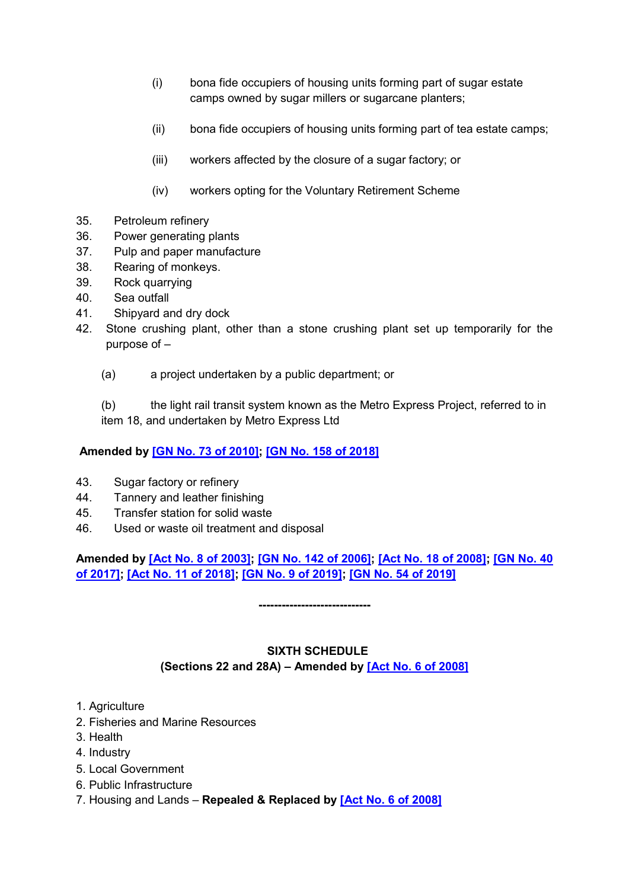- (i) bona fide occupiers of housing units forming part of sugar estate camps owned by sugar millers or sugarcane planters;
- (ii) bona fide occupiers of housing units forming part of tea estate camps;
- (iii) workers affected by the closure of a sugar factory; or
- (iv) workers opting for the Voluntary Retirement Scheme
- 35. Petroleum refinery
- 36. Power generating plants
- 37. Pulp and paper manufacture
- 38. Rearing of monkeys.
- 39. Rock quarrying
- 40. Sea outfall
- 41. Shipyard and dry dock
- 42. Stone crushing plant, other than a stone crushing plant set up temporarily for the purpose of –
	- (a) a project undertaken by a public department; or

(b) the light rail transit system known as the Metro Express Project, referred to in item 18, and undertaken by Metro Express Ltd

# **Amended by [\[GN No. 73 of 2010\];](https://supremecourt.govmu.org/get-doc-link/GN_No._73_of_2010) [\[GN No. 158 of 2018\]](https://supremecourt.govmu.org/get-doc-link/GN_No._158_of_2018)**

- 43. Sugar factory or refinery
- 44. Tannery and leather finishing
- 45. Transfer station for solid waste
- 46. Used or waste oil treatment and disposal

# **Amended by [\[Act No. 8 of 2003\];](https://supremecourt.govmu.org/get-doc-link/Act_No._8_of_2003) [\[GN No. 142 of 2006\];](https://supremecourt.govmu.org/get-doc-link/GN_No._142_of_2006) [\[Act No. 18 of 2008\];](https://supremecourt.govmu.org/get-doc-link/Act_No._18_of_2008) [\[GN No. 40](https://supremecourt.govmu.org/get-doc-link/GN_No._40_of_2017)  [of 2017\];](https://supremecourt.govmu.org/get-doc-link/GN_No._40_of_2017) [\[Act No. 11 of 2018\];](https://supremecourt.govmu.org/get-doc-link/Act_No._11_of_2018) [\[GN No. 9 of 2019\];](https://supremecourt.govmu.org/get-doc-link/GN_No._9_of_2019) [\[GN No. 54 of 2019\]](https://supremecourt.govmu.org/get-doc-link/GN_No._54_of_2019)**

**-----------------------------**

# **SIXTH SCHEDULE (Sections 22 and 28A) – Amended by [\[Act No. 6 of 2008\]](https://supremecourt.govmu.org/get-doc-link/Act_No._6_of_2008)**

- 1. Agriculture
- 2. Fisheries and Marine Resources
- 3. Health
- 4. Industry
- 5. Local Government
- 6. Public Infrastructure
- 7. Housing and Lands **Repealed & Replaced by [\[Act No. 6 of 2008\]](https://supremecourt.govmu.org/get-doc-link/Act_No._6_of_2008)**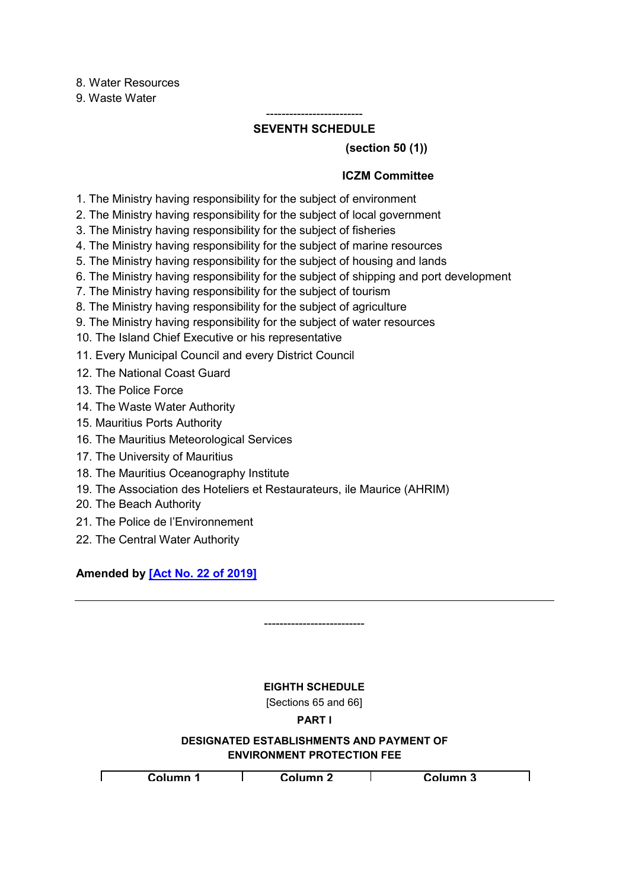8. Water Resources

9. Waste Water

#### ------------------------- **SEVENTH SCHEDULE**

## **(section 50 (1))**

## **ICZM Committee**

- 1. The Ministry having responsibility for the subject of environment
- 2. The Ministry having responsibility for the subject of local government
- 3. The Ministry having responsibility for the subject of fisheries
- 4. The Ministry having responsibility for the subject of marine resources
- 5. The Ministry having responsibility for the subject of housing and lands
- 6. The Ministry having responsibility for the subject of shipping and port development
- 7. The Ministry having responsibility for the subject of tourism
- 8. The Ministry having responsibility for the subject of agriculture
- 9. The Ministry having responsibility for the subject of water resources
- 10. The Island Chief Executive or his representative
- 11. Every Municipal Council and every District Council
- 12. The National Coast Guard
- 13. The Police Force
- 14. The Waste Water Authority
- 15. Mauritius Ports Authority
- 16. The Mauritius Meteorological Services
- 17. The University of Mauritius
- 18. The Mauritius Oceanography Institute
- 19. The Association des Hoteliers et Restaurateurs, ile Maurice (AHRIM)
- 20. The Beach Authority
- 21. The Police de l'Environnement
- 22. The Central Water Authority

**Amended by [\[Act No. 22 of 2019\]](https://supremecourt.govmu.org/get-doc-link/Act_No._22_of_2019)**

-------------------------- **EIGHTH SCHEDULE** [Sections 65 and 66] **PART I DESIGNATED ESTABLISHMENTS AND PAYMENT OF ENVIRONMENT PROTECTION FEE** Г **Column 1 Column 2 Column 3**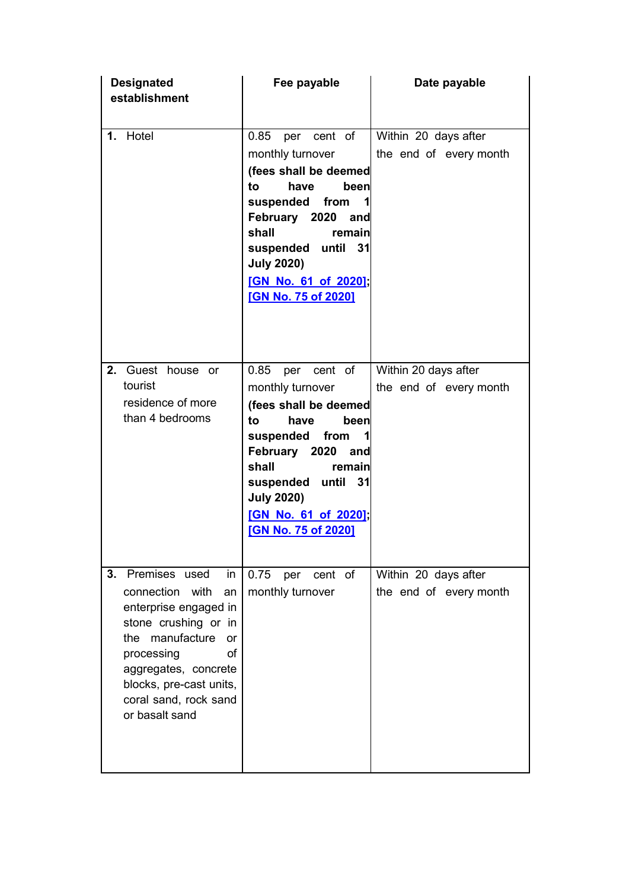| <b>Designated</b><br>establishment                                                                                                                                                                                                             | Fee payable                                                                                                                                                                                                                                                  | Date payable                                   |  |  |  |
|------------------------------------------------------------------------------------------------------------------------------------------------------------------------------------------------------------------------------------------------|--------------------------------------------------------------------------------------------------------------------------------------------------------------------------------------------------------------------------------------------------------------|------------------------------------------------|--|--|--|
| 1. Hotel                                                                                                                                                                                                                                       | 0.85<br>cent of<br>per<br>monthly turnover<br>(fees shall be deemed<br>to<br>have<br>been<br>suspended<br>from<br>1<br>February 2020 and<br>shall<br>remain<br>suspended until 31<br><b>July 2020)</b><br>[GN No. 61 of 2020];<br><b>[GN No. 75 of 2020]</b> | Within 20 days after<br>the end of every month |  |  |  |
| 2. Guest house or<br>tourist<br>residence of more<br>than 4 bedrooms                                                                                                                                                                           | 0.85 per cent of<br>monthly turnover<br>(fees shall be deemed<br>to<br>been<br>have<br>suspended<br>from<br>1<br>February 2020 and<br>shall<br>remain<br>suspended until 31<br><b>July 2020)</b><br>[GN No. 61 of 2020];<br><b>[GN No. 75 of 2020]</b>       | Within 20 days after<br>the end of every month |  |  |  |
| Premises used<br>3.<br>in<br>connection with<br>an<br>enterprise engaged in<br>stone crushing or in<br>the manufacture<br>or<br>processing<br>οf<br>aggregates, concrete<br>blocks, pre-cast units,<br>coral sand, rock sand<br>or basalt sand | 0.75<br>cent of<br>per<br>monthly turnover                                                                                                                                                                                                                   | Within 20 days after<br>the end of every month |  |  |  |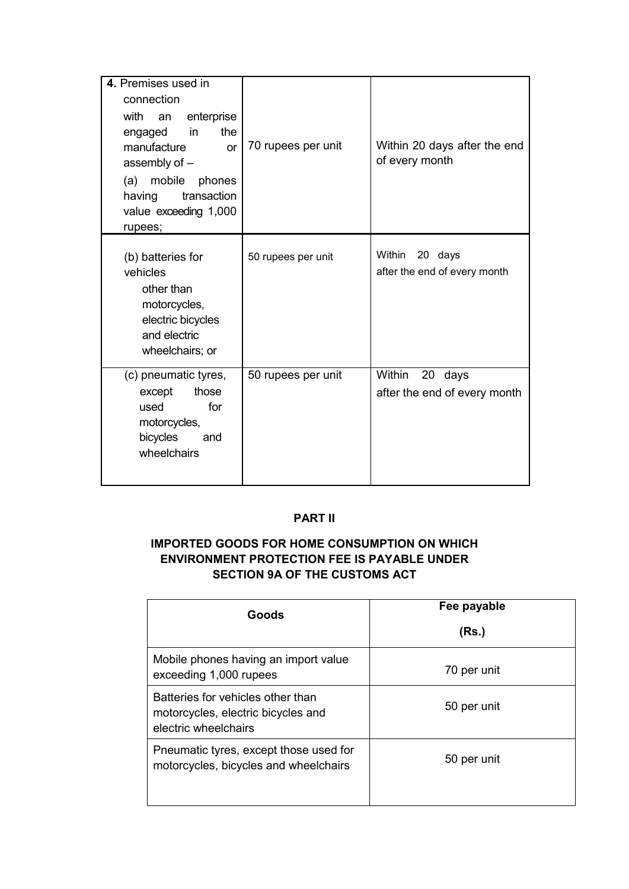| 4. Premises used in<br>connection<br>with<br>enterprise<br>an<br>the<br>in<br>engaged<br>manufacture<br><b>or</b><br>assembly of -<br>mobile<br>(a)<br>phones<br>transaction<br>having<br>value exceeding 1,000<br>rupees; | 70 rupees per unit | Within 20 days after the end<br>of every month    |
|----------------------------------------------------------------------------------------------------------------------------------------------------------------------------------------------------------------------------|--------------------|---------------------------------------------------|
| (b) batteries for<br>vehicles<br>other than<br>motorcycles,<br>electric bicycles<br>and electric<br>wheelchairs; or                                                                                                        | 50 rupees per unit | Within 20 days<br>after the end of every month    |
| (c) pneumatic tyres,<br>those<br>except<br>for<br>used<br>motorcycles,<br>bicycles<br>and<br>wheelchairs                                                                                                                   | 50 rupees per unit | Within<br>20 days<br>after the end of every month |

# **PART II**

# **IMPORTED GOODS FOR HOME CONSUMPTION ON WHICH ENVIRONMENT PROTECTION FEE IS PAYABLE UNDER SECTION 9A OF THE CUSTOMS ACT**

| Goods                                                                                           | Fee payable<br>(Rs.) |
|-------------------------------------------------------------------------------------------------|----------------------|
| Mobile phones having an import value<br>exceeding 1,000 rupees                                  | 70 per unit          |
| Batteries for vehicles other than<br>motorcycles, electric bicycles and<br>electric wheelchairs | 50 per unit          |
| Pneumatic tyres, except those used for<br>motorcycles, bicycles and wheelchairs                 | 50 per unit          |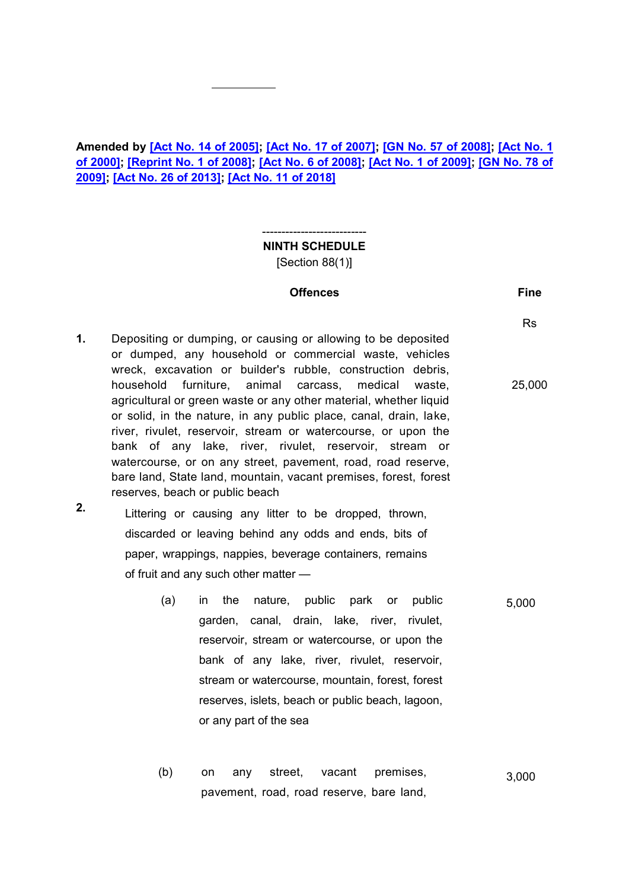# **Amended by [\[Act No. 14 of 2005\];](https://supremecourt.govmu.org/get-doc-link/Act_No._14_of_2005) [\[Act No. 17 of 2007\];](https://supremecourt.govmu.org/get-doc-link/Act_No._17_of_2007) [\[GN No. 57 of 2008\];](https://supremecourt.govmu.org/get-doc-link/GN_No._57_of_2008) [\[Act No. 1](https://supremecourt.govmu.org/get-doc-link/Act_No._1_of_2000)  [of 2000\];](https://supremecourt.govmu.org/get-doc-link/Act_No._1_of_2000) [\[Reprint No. 1 of 2008\];](https://supremecourt.govmu.org/get-doc-link/Reprint_No._1_of_2008) [\[Act No. 6 of 2008\];](https://supremecourt.govmu.org/get-doc-link/Act_No._6_of_2008) [\[Act No. 1 of 2009\];](https://supremecourt.govmu.org/get-doc-link/Act_No._1_of_2009) [\[GN No. 78 of](https://supremecourt.govmu.org/get-doc-link/GN_No._78_of_2009)  [2009\];](https://supremecourt.govmu.org/get-doc-link/GN_No._78_of_2009) [\[Act No. 26 of 2013\];](https://supremecourt.govmu.org/get-doc-link/Act_No._26_of_2013) [\[Act No. 11 of 2018\]](https://supremecourt.govmu.org/get-doc-link/Act_No._11_of_2018)**

**NINTH SCHEDULE** [Section 88(1)]

---------------------------

#### **Offences Fine**

Rs

25,000

- **1.** Depositing or dumping, or causing or allowing to be deposited or dumped, any household or commercial waste, vehicles wreck, excavation or builder's rubble, construction debris, household furniture, animal carcass, medical waste, agricultural or green waste or any other material, whether liquid or solid, in the nature, in any public place, canal, drain, lake, river, rivulet, reservoir, stream or watercourse, or upon the bank of any lake, river, rivulet, reservoir, stream or watercourse, or on any street, pavement, road, road reserve, bare land, State land, mountain, vacant premises, forest, forest reserves, beach or public beach
- **2.** Littering or causing any litter to be dropped, thrown, discarded or leaving behind any odds and ends, bits of paper, wrappings, nappies, beverage containers, remains of fruit and any such other matter —
	- (a) in the nature, public park or public garden, canal, drain, lake, river, rivulet, reservoir, stream or watercourse, or upon the bank of any lake, river, rivulet, reservoir, stream or watercourse, mountain, forest, forest reserves, islets, beach or public beach, lagoon, or any part of the sea 5,000
	- (b) on any street, vacant premises, pavement, road, road reserve, bare land, 3,000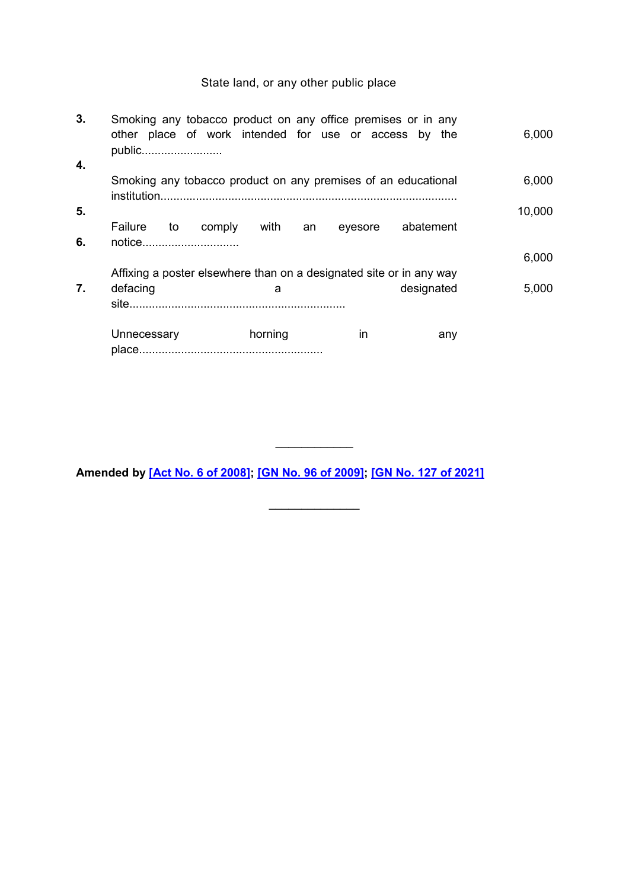# State land, or any other public place

| 3. | Smoking any tobacco product on any office premises or in any<br>other place of work intended for use or access by the<br>public |            |         |            | 6,000  |
|----|---------------------------------------------------------------------------------------------------------------------------------|------------|---------|------------|--------|
| 4. |                                                                                                                                 |            |         |            |        |
|    | Smoking any tobacco product on any premises of an educational                                                                   |            |         |            | 6,000  |
| 5. |                                                                                                                                 |            |         |            | 10,000 |
| 6. | Failure<br>to comply<br>notice                                                                                                  | with<br>an | eyesore | abatement  |        |
|    |                                                                                                                                 |            |         |            | 6,000  |
|    | Affixing a poster elsewhere than on a designated site or in any way                                                             |            |         |            |        |
| 7. | defacing                                                                                                                        | a          |         | designated | 5,000  |
|    |                                                                                                                                 |            |         |            |        |
|    | Unnecessary                                                                                                                     | horning    | in      | any        |        |

**Amended by [\[Act No. 6 of 2008\];](https://supremecourt.govmu.org/get-doc-link/Act_No._6_of_2008) [\[GN No. 96 of 2009\];](https://supremecourt.govmu.org/get-doc-link/GN_No._96_of_2009) [\[GN No. 127 of 2021\]](https://supremecourt.govmu.org/get-doc-link/GN_No._127_of_2021)**

 $\frac{1}{2}$ 

 $\frac{1}{2}$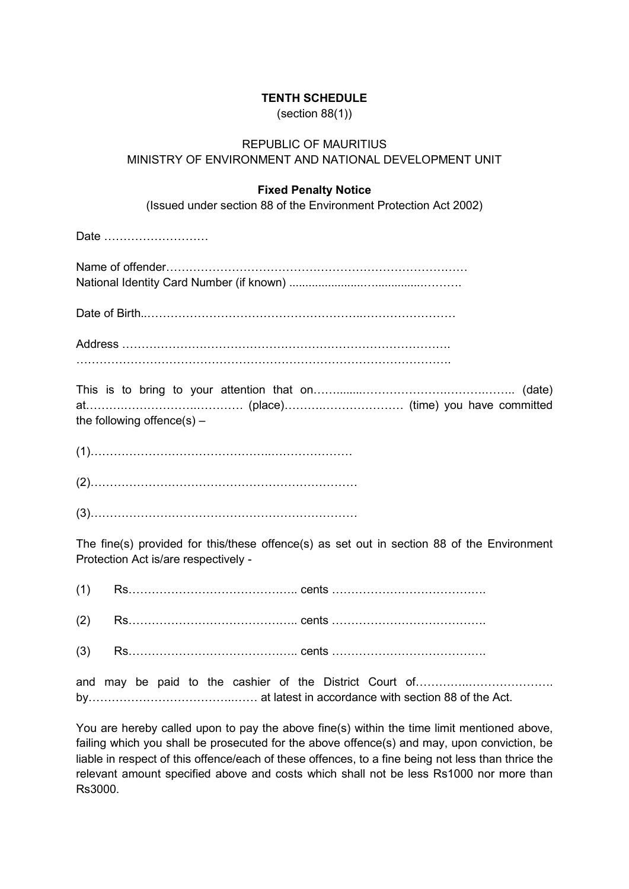## **TENTH SCHEDULE**

(section 88(1))

# REPUBLIC OF MAURITIUS MINISTRY OF ENVIRONMENT AND NATIONAL DEVELOPMENT UNIT

## **Fixed Penalty Notice**

(Issued under section 88 of the Environment Protection Act 2002)

Date ………………………

Date of Birth..………………………………………………..……………………

|  | the following offence(s) $-$ |  |  |  |  |  |
|--|------------------------------|--|--|--|--|--|

(1)………………………………………..…………………

(2)……………………………………………………………

(3)……………………………………………………………

The fine(s) provided for this/these offence(s) as set out in section 88 of the Environment Protection Act is/are respectively -

(1) Rs…………………………………….. cents ………………………………….

(2) Rs…………………………………….. cents ………………………………….

(3) Rs…………………………………….. cents ………………………………….

and may be paid to the cashier of the District Court of…………..…………………. by………………………………..…… at latest in accordance with section 88 of the Act.

You are hereby called upon to pay the above fine(s) within the time limit mentioned above, failing which you shall be prosecuted for the above offence(s) and may, upon conviction, be liable in respect of this offence/each of these offences, to a fine being not less than thrice the relevant amount specified above and costs which shall not be less Rs1000 nor more than Rs3000.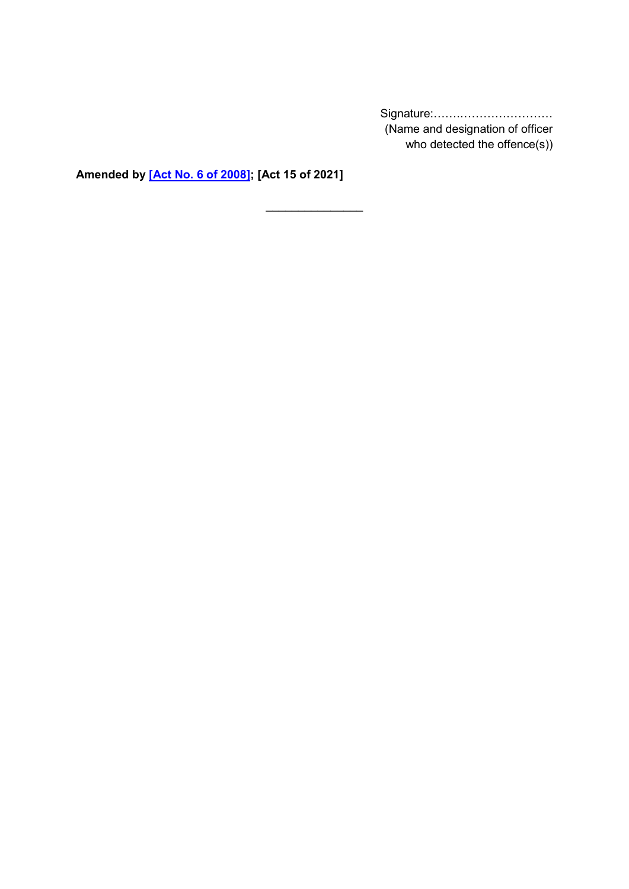Signature:…….…………………… (Name and designation of officer who detected the offence(s))

**Amended by [\[Act No. 6 of 2008\];](https://supremecourt.govmu.org/get-doc-link/Act_No._6_of_2008) [Act 15 of 2021]**

 $\frac{1}{2}$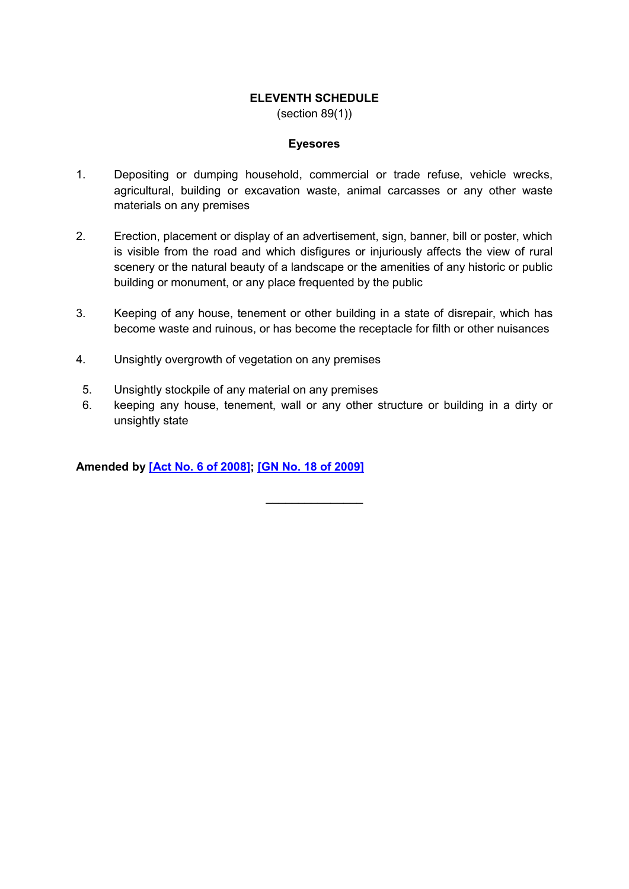## **ELEVENTH SCHEDULE**

(section 89(1))

#### **Eyesores**

- 1. Depositing or dumping household, commercial or trade refuse, vehicle wrecks, agricultural, building or excavation waste, animal carcasses or any other waste materials on any premises
- 2. Erection, placement or display of an advertisement, sign, banner, bill or poster, which is visible from the road and which disfigures or injuriously affects the view of rural scenery or the natural beauty of a landscape or the amenities of any historic or public building or monument, or any place frequented by the public
- 3. Keeping of any house, tenement or other building in a state of disrepair, which has become waste and ruinous, or has become the receptacle for filth or other nuisances
- 4. Unsightly overgrowth of vegetation on any premises
- 5. Unsightly stockpile of any material on any premises
- 6. keeping any house, tenement, wall or any other structure or building in a dirty or unsightly state

**Amended by [\[Act No. 6 of 2008\];](https://supremecourt.govmu.org/get-doc-link/Act_No._6_of_2008) [\[GN No. 18 of 2009\]](https://supremecourt.govmu.org/get-doc-link/GN_No._18_of_2009)**